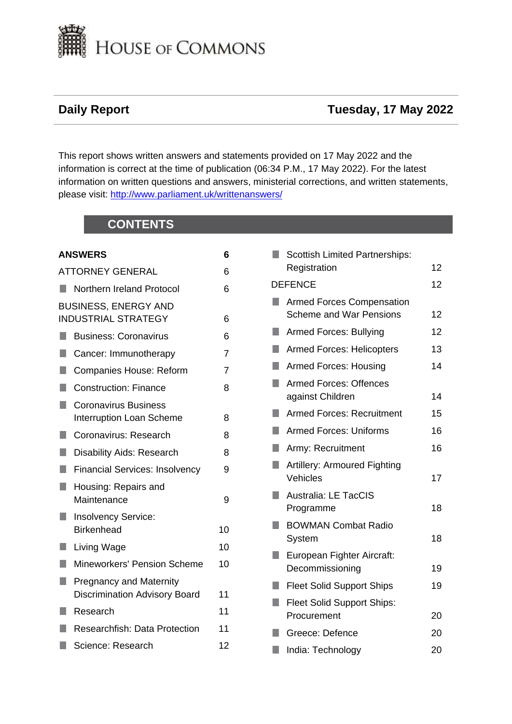

# **Daily Report Tuesday, 17 May 2022**

This report shows written answers and statements provided on 17 May 2022 and the information is correct at the time of publication (06:34 P.M., 17 May 2022). For the latest information on written questions and answers, ministerial corrections, and written statements, please visit: [http://www.parliament.uk/writtenanswers/](http://www.parliament.uk/writtenanswers)

# **CONTENTS**

| <b>ANSWERS</b>                                                         | 6              |
|------------------------------------------------------------------------|----------------|
| <b>ATTORNEY GENERAL</b>                                                | 6              |
| Northern Ireland Protocol<br>H                                         | 6              |
| <b>BUSINESS, ENERGY AND</b><br><b>INDUSTRIAL STRATEGY</b>              | 6              |
| <b>Business: Coronavirus</b><br>M.                                     | 6              |
| H<br>Cancer: Immunotherapy                                             | $\overline{7}$ |
| M.<br>Companies House: Reform                                          | 7              |
| <b>Construction: Finance</b><br>Π                                      | 8              |
| <b>Coronavirus Business</b><br>H<br><b>Interruption Loan Scheme</b>    | 8              |
| Coronavirus: Research                                                  | 8              |
| H<br><b>Disability Aids: Research</b>                                  | 8              |
| <b>Financial Services: Insolvency</b>                                  | 9              |
| Housing: Repairs and<br>Maintenance                                    | 9              |
| <b>Insolvency Service:</b><br>H<br><b>Birkenhead</b>                   | 10             |
| M.<br>Living Wage                                                      | 10             |
| <b>Mineworkers' Pension Scheme</b><br>$\Box$                           | 10             |
| <b>Pregnancy and Maternity</b><br><b>Discrimination Advisory Board</b> | 11             |
| Research                                                               | 11             |
| <b>Researchfish: Data Protection</b><br>×.                             | 11             |
|                                                                        |                |

[Science: Research](#page-11-0) [12](#page-11-0)

|                | <b>Scottish Limited Partnerships:</b> |    |
|----------------|---------------------------------------|----|
|                | Registration                          | 12 |
| <b>DEFENCE</b> |                                       |    |
|                | <b>Armed Forces Compensation</b>      |    |
|                | <b>Scheme and War Pensions</b>        | 12 |
|                | Armed Forces: Bullying                | 12 |
| ×.             | <b>Armed Forces: Helicopters</b>      | 13 |
| H.             | Armed Forces: Housing                 | 14 |
| ٠              | <b>Armed Forces: Offences</b>         |    |
|                | against Children                      | 14 |
| H.             | <b>Armed Forces: Recruitment</b>      | 15 |
| ۰              | <b>Armed Forces: Uniforms</b>         | 16 |
|                | Army: Recruitment                     | 16 |
| ٠              | <b>Artillery: Armoured Fighting</b>   |    |
|                | Vehicles                              | 17 |
| ٠              | <b>Australia: LE TacCIS</b>           |    |
|                | Programme                             | 18 |
|                | <b>BOWMAN Combat Radio</b>            |    |
|                | System                                | 18 |
|                | European Fighter Aircraft:            |    |
|                | Decommissioning                       | 19 |
|                | <b>Fleet Solid Support Ships</b>      | 19 |
| ٠              | <b>Fleet Solid Support Ships:</b>     |    |
|                | Procurement                           | 20 |
|                | Greece: Defence                       | 20 |
|                | India: Technology                     | 20 |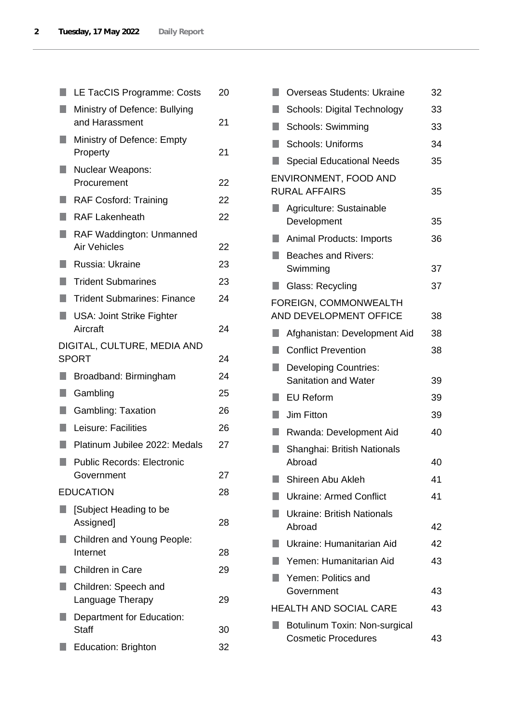|              | LE TacCIS Programme: Costs                             | 20 |
|--------------|--------------------------------------------------------|----|
|              | Ministry of Defence: Bullying<br>and Harassment        | 21 |
|              | Ministry of Defence: Empty<br>Property                 | 21 |
| ٠            | Nuclear Weapons:<br>Procurement                        | 22 |
|              | <b>RAF Cosford: Training</b>                           | 22 |
|              | <b>RAF Lakenheath</b>                                  | 22 |
| ٠            | <b>RAF Waddington: Unmanned</b><br><b>Air Vehicles</b> | 22 |
| u.           | Russia: Ukraine                                        | 23 |
| $\mathbb{Z}$ | <b>Trident Submarines</b>                              | 23 |
| ٠            | <b>Trident Submarines: Finance</b>                     | 24 |
| П            | <b>USA: Joint Strike Fighter</b><br>Aircraft           | 24 |
|              | DIGITAL, CULTURE, MEDIA AND<br><b>SPORT</b>            | 24 |
| ٠            | Broadband: Birmingham                                  | 24 |
| ų            | Gambling                                               | 25 |
| L.           | <b>Gambling: Taxation</b>                              | 26 |
| ٠            | Leisure: Facilities                                    | 26 |
| Q.           | Platinum Jubilee 2022: Medals                          | 27 |
|              | <b>Public Records: Electronic</b><br>Government        | 27 |
|              | <b>EDUCATION</b>                                       | 28 |
|              | [Subject Heading to be<br>Assigned]                    | 28 |
|              | Children and Young People:<br>Internet                 | 28 |
|              | <b>Children in Care</b>                                | 29 |
|              | Children: Speech and<br>Language Therapy               | 29 |
|              | Department for Education:<br><b>Staff</b>              | 30 |
|              | <b>Education: Brighton</b>                             | 32 |
|              |                                                        |    |

|    | <b>Overseas Students: Ukraine</b>                           | 32 |
|----|-------------------------------------------------------------|----|
|    | Schools: Digital Technology                                 | 33 |
| J. | Schools: Swimming                                           | 33 |
| ٠  | <b>Schools: Uniforms</b>                                    | 34 |
|    | <b>Special Educational Needs</b>                            | 35 |
|    | ENVIRONMENT, FOOD AND<br><b>RURAL AFFAIRS</b>               | 35 |
|    | Agriculture: Sustainable<br>Development                     | 35 |
|    | <b>Animal Products: Imports</b>                             | 36 |
|    | <b>Beaches and Rivers:</b><br>Swimming                      | 37 |
|    | Glass: Recycling                                            | 37 |
|    | FOREIGN, COMMONWEALTH<br><b>AND DEVELOPMENT OFFICE</b>      | 38 |
| H  | Afghanistan: Development Aid                                | 38 |
| n  | <b>Conflict Prevention</b>                                  | 38 |
| ×. | <b>Developing Countries:</b><br>Sanitation and Water        | 39 |
|    | <b>EU Reform</b>                                            | 39 |
| n  | <b>Jim Fitton</b>                                           | 39 |
|    | Rwanda: Development Aid                                     | 40 |
|    | Shanghai: British Nationals<br>Abroad                       | 40 |
|    | Shireen Abu Akleh                                           | 41 |
|    | <b>Ukraine: Armed Conflict</b>                              | 41 |
|    | Ukraine: British Nationals<br>Abroad                        | 42 |
| ٠  | Ukraine: Humanitarian Aid                                   | 42 |
|    | Yemen: Humanitarian Aid                                     | 43 |
|    | Yemen: Politics and<br>Government                           | 43 |
|    | <b>HEALTH AND SOCIAL CARE</b>                               | 43 |
|    | Botulinum Toxin: Non-surgical<br><b>Cosmetic Procedures</b> | 43 |
|    |                                                             |    |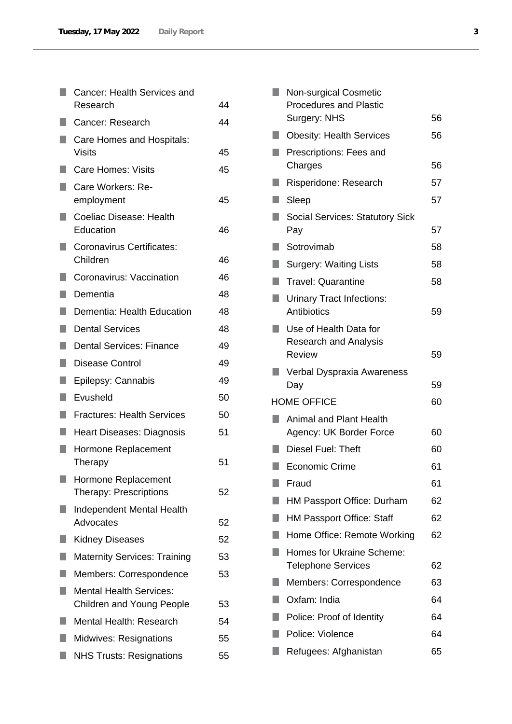|     | Cancer: Health Services and                                        |    |
|-----|--------------------------------------------------------------------|----|
|     | Research                                                           | 44 |
|     | Cancer: Research                                                   | 44 |
| a a | Care Homes and Hospitals:<br><b>Visits</b>                         | 45 |
|     | Care Homes: Visits                                                 | 45 |
|     | Care Workers: Re-<br>employment                                    | 45 |
| H   | Coeliac Disease: Health<br>Education                               | 46 |
| H   | Coronavirus Certificates:<br>Children                              | 46 |
|     | Coronavirus: Vaccination                                           | 46 |
| ш   | Dementia                                                           | 48 |
| r.  | Dementia: Health Education                                         | 48 |
| ٠   | <b>Dental Services</b>                                             | 48 |
| H   | <b>Dental Services: Finance</b>                                    | 49 |
| U   | <b>Disease Control</b>                                             | 49 |
| n   | Epilepsy: Cannabis                                                 | 49 |
| ш   | Evusheld                                                           | 50 |
| ×.  | <b>Fractures: Health Services</b>                                  | 50 |
|     | Heart Diseases: Diagnosis                                          | 51 |
| H   | Hormone Replacement<br>Therapy                                     | 51 |
|     | Hormone Replacement<br>Therapy: Prescriptions                      | 52 |
|     | <b>Independent Mental Health</b><br>Advocates                      | 52 |
|     | <b>Kidney Diseases</b>                                             | 52 |
|     | <b>Maternity Services: Training</b>                                | 53 |
|     | Members: Correspondence                                            | 53 |
|     | <b>Mental Health Services:</b><br><b>Children and Young People</b> | 53 |
|     | <b>Mental Health: Research</b>                                     | 54 |
|     | <b>Midwives: Resignations</b>                                      | 55 |
|     | <b>NHS Trusts: Resignations</b>                                    | 55 |

| п | <b>Non-surgical Cosmetic</b><br><b>Procedures and Plastic</b><br>Surgery: NHS | 56 |
|---|-------------------------------------------------------------------------------|----|
|   | <b>Obesity: Health Services</b>                                               | 56 |
|   | Prescriptions: Fees and                                                       |    |
|   | Charges                                                                       | 56 |
|   | Risperidone: Research                                                         | 57 |
| ٠ | Sleep                                                                         | 57 |
|   | <b>Social Services: Statutory Sick</b><br>Pay                                 | 57 |
|   | Sotrovimab                                                                    | 58 |
|   | <b>Surgery: Waiting Lists</b>                                                 | 58 |
| ٠ | <b>Travel: Quarantine</b>                                                     | 58 |
| ٠ | <b>Urinary Tract Infections:</b><br>Antibiotics                               | 59 |
|   | Use of Health Data for<br><b>Research and Analysis</b><br><b>Review</b>       | 59 |
|   | Verbal Dyspraxia Awareness<br>Day                                             | 59 |
|   | <b>HOME OFFICE</b>                                                            | 60 |
|   | <b>Animal and Plant Health</b><br>Agency: UK Border Force                     | 60 |
|   | Diesel Fuel: Theft                                                            | 60 |
|   | <b>Economic Crime</b>                                                         | 61 |
|   | Fraud                                                                         | 61 |
|   | <b>HM Passport Office: Durham</b>                                             | 62 |
|   | <b>HM Passport Office: Staff</b>                                              | 62 |
|   | Home Office: Remote Working                                                   | 62 |
|   | <b>Homes for Ukraine Scheme:</b><br><b>Telephone Services</b>                 | 62 |
|   | Members: Correspondence                                                       | 63 |
|   | Oxfam: India                                                                  | 64 |
|   | Police: Proof of Identity                                                     | 64 |
|   | Police: Violence                                                              | 64 |
|   | Refugees: Afghanistan                                                         | 65 |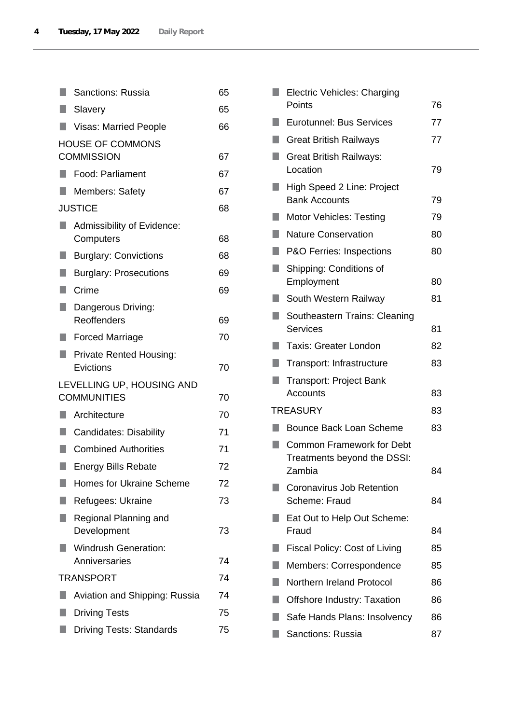|                   | <b>Sanctions: Russia</b>                        | 65 |
|-------------------|-------------------------------------------------|----|
| $\blacksquare$    | Slavery                                         | 65 |
| ٠                 | <b>Visas: Married People</b>                    | 66 |
|                   | <b>HOUSE OF COMMONS</b>                         |    |
| <b>COMMISSION</b> |                                                 |    |
| $\Box$            | Food: Parliament                                | 67 |
|                   | <b>Members: Safety</b>                          | 67 |
|                   | <b>JUSTICE</b>                                  | 68 |
| H                 | Admissibility of Evidence:<br>Computers         | 68 |
| ٠                 | <b>Burglary: Convictions</b>                    | 68 |
| H.                | <b>Burglary: Prosecutions</b>                   | 69 |
| u.                | Crime                                           | 69 |
| $\blacksquare$    | Dangerous Driving:                              |    |
|                   | Reoffenders                                     | 69 |
| ٠                 | <b>Forced Marriage</b>                          | 70 |
| <b>I</b>          | <b>Private Rented Housing:</b><br>Evictions     | 70 |
|                   | LEVELLING UP, HOUSING AND<br><b>COMMUNITIES</b> | 70 |
| n                 | Architecture                                    | 70 |
| $\blacksquare$    | <b>Candidates: Disability</b>                   | 71 |
|                   | <b>Combined Authorities</b>                     | 71 |
|                   | <b>Energy Bills Rebate</b>                      | 72 |
|                   | <b>Homes for Ukraine Scheme</b>                 | 72 |
|                   | Refugees: Ukraine                               | 73 |
|                   | Regional Planning and<br>Development            | 73 |
|                   | <b>Windrush Generation:</b><br>Anniversaries    | 74 |
|                   | <b>TRANSPORT</b>                                | 74 |
|                   | Aviation and Shipping: Russia                   | 74 |
|                   | <b>Driving Tests</b>                            | 75 |
|                   | <b>Driving Tests: Standards</b>                 | 75 |

|    | <b>Electric Vehicles: Charging</b><br>Points                    | 76 |
|----|-----------------------------------------------------------------|----|
|    | <b>Eurotunnel: Bus Services</b>                                 | 77 |
|    | <b>Great British Railways</b>                                   | 77 |
|    | <b>Great British Railways:</b><br>Location                      | 79 |
|    | High Speed 2 Line: Project<br><b>Bank Accounts</b>              | 79 |
|    | Motor Vehicles: Testing                                         | 79 |
|    | <b>Nature Conservation</b>                                      | 80 |
|    | P&O Ferries: Inspections                                        | 80 |
|    | Shipping: Conditions of<br>Employment                           | 80 |
|    | South Western Railway                                           | 81 |
| ×. | Southeastern Trains: Cleaning<br><b>Services</b>                | 81 |
| n  | <b>Taxis: Greater London</b>                                    | 82 |
|    | Transport: Infrastructure                                       | 83 |
|    | <b>Transport: Project Bank</b><br>Accounts                      | 83 |
|    | <b>TREASURY</b>                                                 | 83 |
|    | <b>Bounce Back Loan Scheme</b>                                  | 83 |
|    | <b>Common Framework for Debt</b><br>Treatments beyond the DSSI: |    |
|    | Zambia                                                          | 84 |
|    | Coronavirus Job Retention<br>Scheme: Fraud                      | 84 |
|    | Eat Out to Help Out Scheme:<br>Fraud                            | 84 |
|    | <b>Fiscal Policy: Cost of Living</b>                            | 85 |
|    | Members: Correspondence                                         | 85 |
|    | Northern Ireland Protocol                                       | 86 |
|    | <b>Offshore Industry: Taxation</b>                              | 86 |
|    | Safe Hands Plans: Insolvency                                    | 86 |
| H  | <b>Sanctions: Russia</b>                                        | 87 |
|    |                                                                 |    |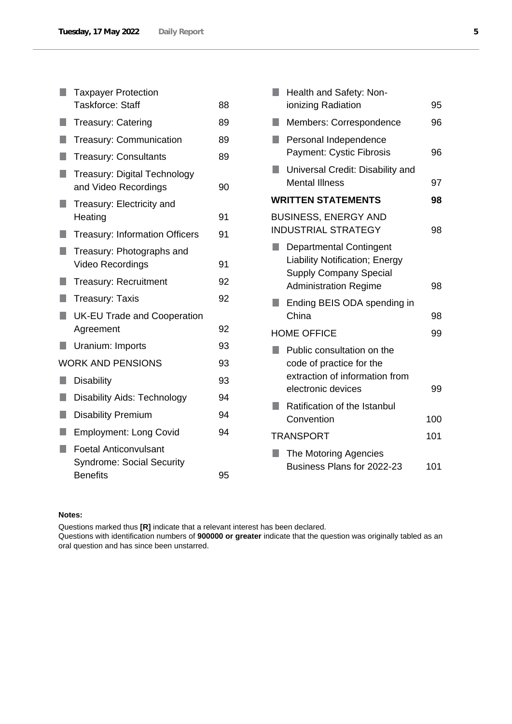|                                                                                                                      | <b>Taxpayer Protection</b>                                       |    |
|----------------------------------------------------------------------------------------------------------------------|------------------------------------------------------------------|----|
|                                                                                                                      | <b>Taskforce: Staff</b>                                          | 88 |
|                                                                                                                      | <b>Treasury: Catering</b>                                        | 89 |
|                                                                                                                      | <b>Treasury: Communication</b>                                   | 89 |
|                                                                                                                      | <b>Treasury: Consultants</b>                                     | 89 |
| <b>STATE OF STATE OF STATE OF STATE OF STATE OF STATE OF STATE OF STATE OF STATE OF STATE OF STATE OF STATE OF S</b> | Treasury: Digital Technology<br>and Video Recordings             | 90 |
| ×.                                                                                                                   | Treasury: Electricity and<br>Heating                             | 91 |
|                                                                                                                      | <b>Treasury: Information Officers</b>                            | 91 |
| ٠                                                                                                                    | Treasury: Photographs and                                        |    |
|                                                                                                                      | Video Recordings                                                 | 91 |
|                                                                                                                      | <b>Treasury: Recruitment</b>                                     | 92 |
|                                                                                                                      | <b>Treasury: Taxis</b>                                           | 92 |
|                                                                                                                      | <b>UK-EU Trade and Cooperation</b>                               |    |
|                                                                                                                      | Agreement                                                        | 92 |
| n                                                                                                                    | Uranium: Imports                                                 | 93 |
|                                                                                                                      | <b>WORK AND PENSIONS</b>                                         | 93 |
| H                                                                                                                    | <b>Disability</b>                                                | 93 |
| H                                                                                                                    | <b>Disability Aids: Technology</b>                               | 94 |
|                                                                                                                      | <b>Disability Premium</b>                                        | 94 |
|                                                                                                                      | <b>Employment: Long Covid</b>                                    | 94 |
| <b>STATE OF STATE OF STATE OF STATE OF STATE OF STATE OF STATE OF STATE OF STATE OF STATE OF STATE OF STATE OF S</b> | <b>Foetal Anticonvulsant</b><br><b>Syndrome: Social Security</b> |    |
|                                                                                                                      | <b>Benefits</b>                                                  | 95 |

|                    | Health and Safety: Non-<br>ionizing Radiation                                                                                            | 95  |
|--------------------|------------------------------------------------------------------------------------------------------------------------------------------|-----|
|                    | Members: Correspondence                                                                                                                  | 96  |
|                    | Personal Independence<br><b>Payment: Cystic Fibrosis</b>                                                                                 | 96  |
| ш                  | Universal Credit: Disability and<br><b>Mental Illness</b>                                                                                | 97  |
|                    | <b>WRITTEN STATEMENTS</b>                                                                                                                | 98  |
|                    | <b>BUSINESS, ENERGY AND</b><br><b>INDUSTRIAL STRATEGY</b>                                                                                | 98  |
|                    | <b>Departmental Contingent</b><br><b>Liability Notification; Energy</b><br><b>Supply Company Special</b><br><b>Administration Regime</b> | 98  |
|                    | Ending BEIS ODA spending in<br>China                                                                                                     | 98  |
| <b>HOME OFFICE</b> |                                                                                                                                          | 99  |
|                    | Public consultation on the<br>code of practice for the<br>extraction of information from<br>electronic devices                           | 99  |
|                    | Ratification of the Istanbul<br>Convention                                                                                               | 100 |
|                    | <b>TRANSPORT</b>                                                                                                                         | 101 |
|                    | The Motoring Agencies<br>Business Plans for 2022-23                                                                                      | 101 |

## **Notes:**

Questions marked thus **[R]** indicate that a relevant interest has been declared.

Questions with identification numbers of **900000 or greater** indicate that the question was originally tabled as an oral question and has since been unstarred.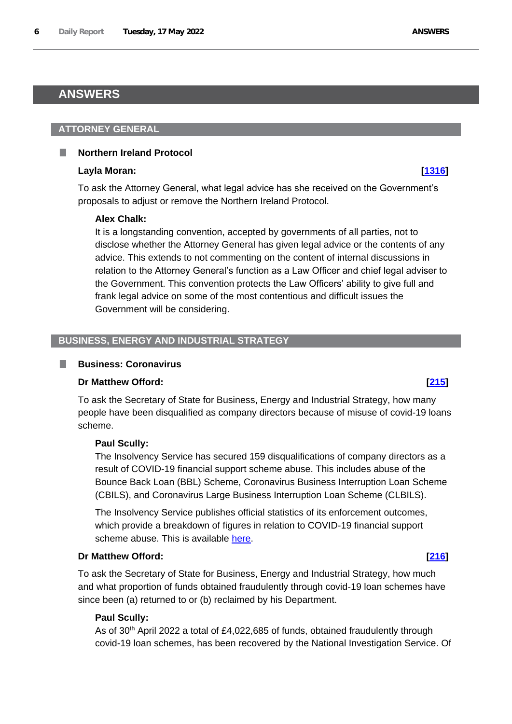# <span id="page-5-0"></span>**ANSWERS**

### <span id="page-5-1"></span>**ATTORNEY GENERAL**

## <span id="page-5-2"></span>**Northern Ireland Protocol**

#### **Layla Moran: [\[1316\]](http://www.parliament.uk/business/publications/written-questions-answers-statements/written-question/Commons/2022-05-12/1316)**

To ask the Attorney General, what legal advice has she received on the Government's proposals to adjust or remove the Northern Ireland Protocol.

## **Alex Chalk:**

It is a longstanding convention, accepted by governments of all parties, not to disclose whether the Attorney General has given legal advice or the contents of any advice. This extends to not commenting on the content of internal discussions in relation to the Attorney General's function as a Law Officer and chief legal adviser to the Government. This convention protects the Law Officers' ability to give full and frank legal advice on some of the most contentious and difficult issues the Government will be considering.

# <span id="page-5-3"></span>**BUSINESS, ENERGY AND INDUSTRIAL STRATEGY**

## <span id="page-5-4"></span>**Business: Coronavirus**

## **Dr Matthew Offord: [\[215\]](http://www.parliament.uk/business/publications/written-questions-answers-statements/written-question/Commons/2022-05-10/215)**

To ask the Secretary of State for Business, Energy and Industrial Strategy, how many people have been disqualified as company directors because of misuse of covid-19 loans scheme.

## **Paul Scully:**

The Insolvency Service has secured 159 disqualifications of company directors as a result of COVID-19 financial support scheme abuse. This includes abuse of the Bounce Back Loan (BBL) Scheme, Coronavirus Business Interruption Loan Scheme (CBILS), and Coronavirus Large Business Interruption Loan Scheme (CLBILS).

The Insolvency Service publishes official statistics of its enforcement outcomes, which provide a breakdown of figures in relation to COVID-19 financial support scheme abuse. This is available [here.](https://www.gov.uk/government/collections/insolvency-service-enforcement-outcomes?msclkid=ef7e0397d12e11ec9414c6c3c95bdbb7)

## **Dr Matthew Offord: [\[216\]](http://www.parliament.uk/business/publications/written-questions-answers-statements/written-question/Commons/2022-05-10/216)**

To ask the Secretary of State for Business, Energy and Industrial Strategy, how much and what proportion of funds obtained fraudulently through covid-19 loan schemes have since been (a) returned to or (b) reclaimed by his Department.

## **Paul Scully:**

As of 30th April 2022 a total of £4,022,685 of funds, obtained fraudulently through covid-19 loan schemes, has been recovered by the National Investigation Service. Of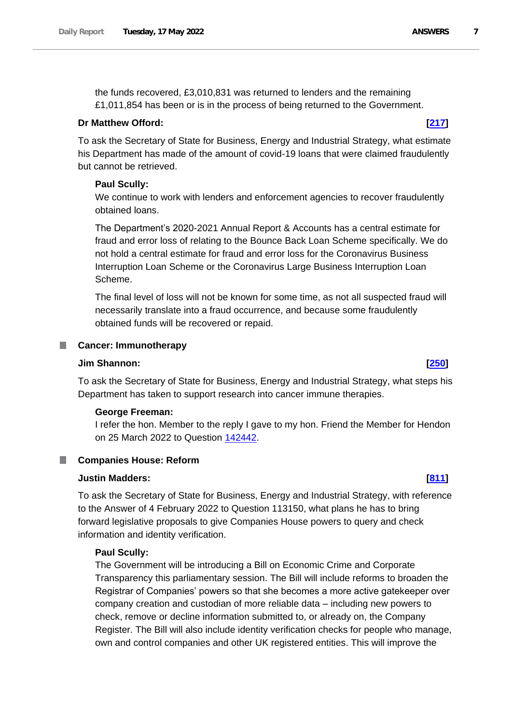the funds recovered, £3,010,831 was returned to lenders and the remaining £1,011,854 has been or is in the process of being returned to the Government.

## **Dr Matthew Offord: [\[217\]](http://www.parliament.uk/business/publications/written-questions-answers-statements/written-question/Commons/2022-05-10/217)**

To ask the Secretary of State for Business, Energy and Industrial Strategy, what estimate his Department has made of the amount of covid-19 loans that were claimed fraudulently but cannot be retrieved.

# **Paul Scully:**

We continue to work with lenders and enforcement agencies to recover fraudulently obtained loans.

The Department's 2020-2021 Annual Report & Accounts has a central estimate for fraud and error loss of relating to the Bounce Back Loan Scheme specifically. We do not hold a central estimate for fraud and error loss for the Coronavirus Business Interruption Loan Scheme or the Coronavirus Large Business Interruption Loan Scheme.

The final level of loss will not be known for some time, as not all suspected fraud will necessarily translate into a fraud occurrence, and because some fraudulently obtained funds will be recovered or repaid.

## <span id="page-6-0"></span>**Cancer: Immunotherapy**

## **Jim Shannon: [\[250\]](http://www.parliament.uk/business/publications/written-questions-answers-statements/written-question/Commons/2022-05-10/250)**

To ask the Secretary of State for Business, Energy and Industrial Strategy, what steps his Department has taken to support research into cancer immune therapies.

## **George Freeman:**

I refer the hon. Member to the reply I gave to my hon. Friend the Member for Hendon on 25 March 2022 to Question 142442.

# <span id="page-6-1"></span>**E** Companies House: Reform

## **Justin Madders: [\[811\]](http://www.parliament.uk/business/publications/written-questions-answers-statements/written-question/Commons/2022-05-11/811)**

To ask the Secretary of State for Business, Energy and Industrial Strategy, with reference to the Answer of 4 February 2022 to Question 113150, what plans he has to bring forward legislative proposals to give Companies House powers to query and check information and identity verification.

## **Paul Scully:**

The Government will be introducing a Bill on Economic Crime and Corporate Transparency this parliamentary session. The Bill will include reforms to broaden the Registrar of Companies' powers so that she becomes a more active gatekeeper over company creation and custodian of more reliable data – including new powers to check, remove or decline information submitted to, or already on, the Company Register. The Bill will also include identity verification checks for people who manage, own and control companies and other UK registered entities. This will improve the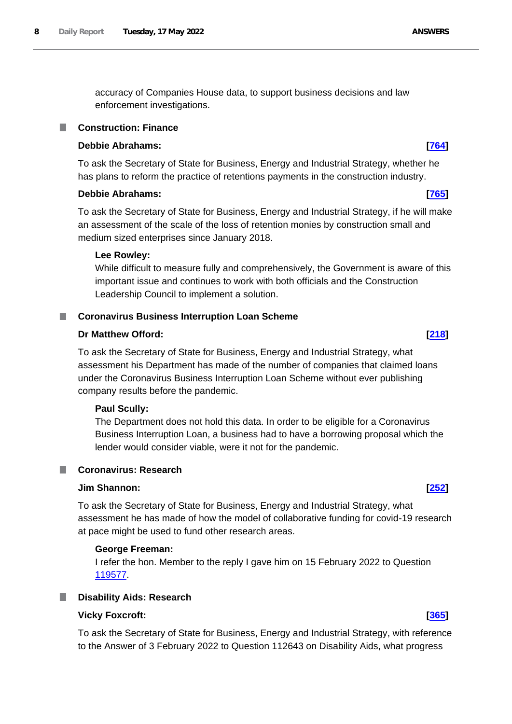accuracy of Companies House data, to support business decisions and law enforcement investigations.

## <span id="page-7-0"></span>**Construction: Finance**

## **Debbie Abrahams: [\[764\]](http://www.parliament.uk/business/publications/written-questions-answers-statements/written-question/Commons/2022-05-11/764)**

To ask the Secretary of State for Business, Energy and Industrial Strategy, whether he has plans to reform the practice of retentions payments in the construction industry.

### **Debbie Abrahams: [\[765\]](http://www.parliament.uk/business/publications/written-questions-answers-statements/written-question/Commons/2022-05-11/765)**

To ask the Secretary of State for Business, Energy and Industrial Strategy, if he will make an assessment of the scale of the loss of retention monies by construction small and medium sized enterprises since January 2018.

#### **Lee Rowley:**

While difficult to measure fully and comprehensively, the Government is aware of this important issue and continues to work with both officials and the Construction Leadership Council to implement a solution.

### <span id="page-7-1"></span>**Coronavirus Business Interruption Loan Scheme**

# **Dr Matthew Offord: [\[218\]](http://www.parliament.uk/business/publications/written-questions-answers-statements/written-question/Commons/2022-05-10/218)**

To ask the Secretary of State for Business, Energy and Industrial Strategy, what assessment his Department has made of the number of companies that claimed loans under the Coronavirus Business Interruption Loan Scheme without ever publishing company results before the pandemic.

## **Paul Scully:**

The Department does not hold this data. In order to be eligible for a Coronavirus Business Interruption Loan, a business had to have a borrowing proposal which the lender would consider viable, were it not for the pandemic.

## <span id="page-7-2"></span>**Coronavirus: Research**

# **Jim Shannon: [\[252\]](http://www.parliament.uk/business/publications/written-questions-answers-statements/written-question/Commons/2022-05-10/252)**

To ask the Secretary of State for Business, Energy and Industrial Strategy, what assessment he has made of how the model of collaborative funding for covid-19 research at pace might be used to fund other research areas.

## **George Freeman:**

I refer the hon. Member to the reply I gave him on 15 February 2022 to Question 119577.

#### <span id="page-7-3"></span>**Disability Aids: Research**

### **Vicky Foxcroft: [\[365\]](http://www.parliament.uk/business/publications/written-questions-answers-statements/written-question/Commons/2022-05-10/365)**

To ask the Secretary of State for Business, Energy and Industrial Strategy, with reference to the Answer of 3 February 2022 to Question 112643 on Disability Aids, what progress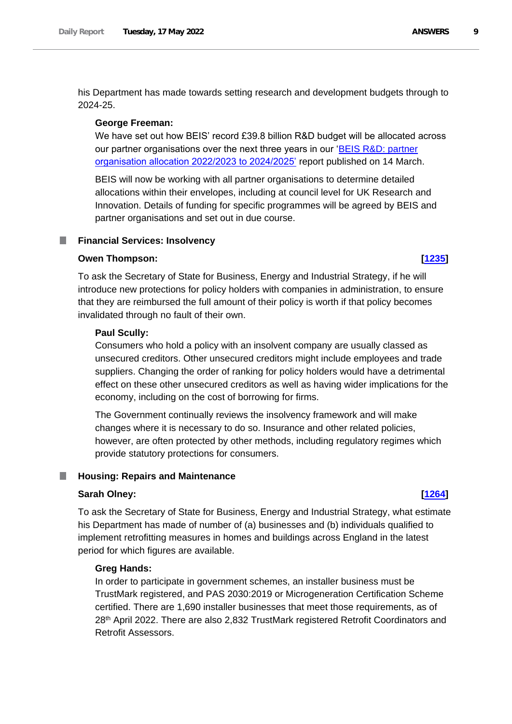his Department has made towards setting research and development budgets through to 2024-25.

#### **George Freeman:**

We have set out how BEIS' record £39.8 billion R&D budget will be allocated across our partner organisations over the next three years in our 'BEIS R&D: partner organisation allocation 2022/2023 to 2024/2025' report published on 14 March.

BEIS will now be working with all partner organisations to determine detailed allocations within their envelopes, including at council level for UK Research and Innovation. Details of funding for specific programmes will be agreed by BEIS and partner organisations and set out in due course.

### <span id="page-8-0"></span>**Financial Services: Insolvency**

# **Owen Thompson: [\[1235\]](http://www.parliament.uk/business/publications/written-questions-answers-statements/written-question/Commons/2022-05-12/1235)**

To ask the Secretary of State for Business, Energy and Industrial Strategy, if he will introduce new protections for policy holders with companies in administration, to ensure that they are reimbursed the full amount of their policy is worth if that policy becomes invalidated through no fault of their own.

### **Paul Scully:**

Consumers who hold a policy with an insolvent company are usually classed as unsecured creditors. Other unsecured creditors might include employees and trade suppliers. Changing the order of ranking for policy holders would have a detrimental effect on these other unsecured creditors as well as having wider implications for the economy, including on the cost of borrowing for firms.

The Government continually reviews the insolvency framework and will make changes where it is necessary to do so. Insurance and other related policies, however, are often protected by other methods, including regulatory regimes which provide statutory protections for consumers.

#### <span id="page-8-1"></span>П **Housing: Repairs and Maintenance**

period for which figures are available.

#### **Sarah Olney: [\[1264\]](http://www.parliament.uk/business/publications/written-questions-answers-statements/written-question/Commons/2022-05-12/1264)**

To ask the Secretary of State for Business, Energy and Industrial Strategy, what estimate his Department has made of number of (a) businesses and (b) individuals qualified to implement retrofitting measures in homes and buildings across England in the latest

#### **Greg Hands:**

In order to participate in government schemes, an installer business must be TrustMark registered, and PAS 2030:2019 or Microgeneration Certification Scheme certified. There are 1,690 installer businesses that meet those requirements, as of 28th April 2022. There are also 2,832 TrustMark registered Retrofit Coordinators and Retrofit Assessors.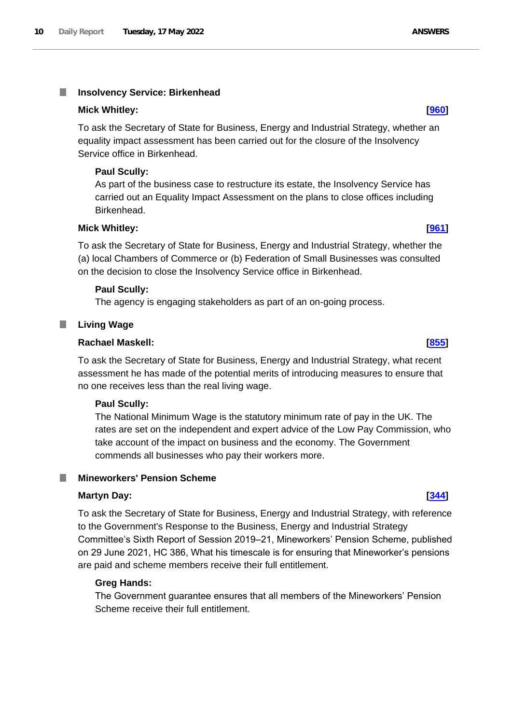#### <span id="page-9-0"></span>T. **Insolvency Service: Birkenhead**

### **Mick Whitley: [\[960\]](http://www.parliament.uk/business/publications/written-questions-answers-statements/written-question/Commons/2022-05-11/960)**

To ask the Secretary of State for Business, Energy and Industrial Strategy, whether an equality impact assessment has been carried out for the closure of the Insolvency Service office in Birkenhead.

### **Paul Scully:**

As part of the business case to restructure its estate, the Insolvency Service has carried out an Equality Impact Assessment on the plans to close offices including Birkenhead.

### **Mick Whitley: [\[961\]](http://www.parliament.uk/business/publications/written-questions-answers-statements/written-question/Commons/2022-05-11/961)**

To ask the Secretary of State for Business, Energy and Industrial Strategy, whether the (a) local Chambers of Commerce or (b) Federation of Small Businesses was consulted on the decision to close the Insolvency Service office in Birkenhead.

## **Paul Scully:**

The agency is engaging stakeholders as part of an on-going process.

#### <span id="page-9-1"></span>ш **Living Wage**

### **Rachael Maskell: [\[855\]](http://www.parliament.uk/business/publications/written-questions-answers-statements/written-question/Commons/2022-05-11/855)**

To ask the Secretary of State for Business, Energy and Industrial Strategy, what recent assessment he has made of the potential merits of introducing measures to ensure that no one receives less than the real living wage.

#### **Paul Scully:**

The National Minimum Wage is the statutory minimum rate of pay in the UK. The rates are set on the independent and expert advice of the Low Pay Commission, who take account of the impact on business and the economy. The Government commends all businesses who pay their workers more.

#### <span id="page-9-2"></span>**Mineworkers' Pension Scheme**

#### **Martyn Day: [\[344\]](http://www.parliament.uk/business/publications/written-questions-answers-statements/written-question/Commons/2022-05-10/344)**

To ask the Secretary of State for Business, Energy and Industrial Strategy, with reference to the Government's Response to the Business, Energy and Industrial Strategy Committee's Sixth Report of Session 2019–21, Mineworkers' Pension Scheme, published on 29 June 2021, HC 386, What his timescale is for ensuring that Mineworker's pensions are paid and scheme members receive their full entitlement.

#### **Greg Hands:**

The Government guarantee ensures that all members of the Mineworkers' Pension Scheme receive their full entitlement.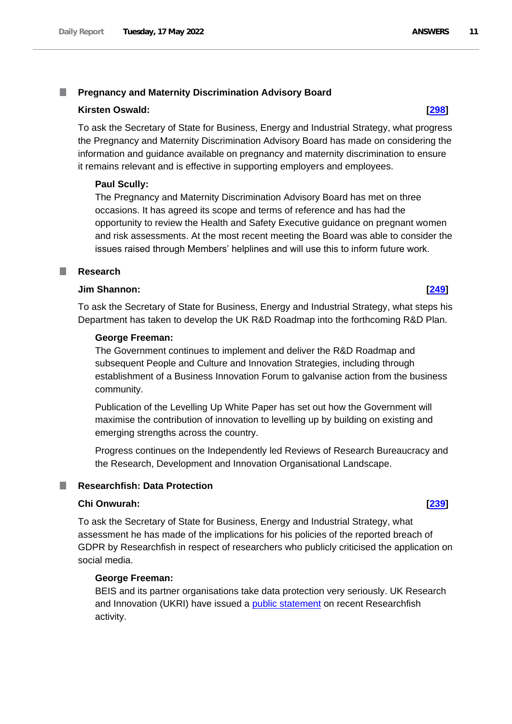#### <span id="page-10-0"></span>T. **Pregnancy and Maternity Discrimination Advisory Board**

### **Kirsten Oswald: [\[298\]](http://www.parliament.uk/business/publications/written-questions-answers-statements/written-question/Commons/2022-05-10/298)**

To ask the Secretary of State for Business, Energy and Industrial Strategy, what progress the Pregnancy and Maternity Discrimination Advisory Board has made on considering the information and guidance available on pregnancy and maternity discrimination to ensure it remains relevant and is effective in supporting employers and employees.

## **Paul Scully:**

The Pregnancy and Maternity Discrimination Advisory Board has met on three occasions. It has agreed its scope and terms of reference and has had the opportunity to review the Health and Safety Executive guidance on pregnant women and risk assessments. At the most recent meeting the Board was able to consider the issues raised through Members' helplines and will use this to inform future work.

#### <span id="page-10-1"></span>**Research** a an

#### **Jim Shannon: [\[249\]](http://www.parliament.uk/business/publications/written-questions-answers-statements/written-question/Commons/2022-05-10/249)**

To ask the Secretary of State for Business, Energy and Industrial Strategy, what steps his Department has taken to develop the UK R&D Roadmap into the forthcoming R&D Plan.

### **George Freeman:**

The Government continues to implement and deliver the R&D Roadmap and subsequent People and Culture and Innovation Strategies, including through establishment of a Business Innovation Forum to galvanise action from the business community.

Publication of the Levelling Up White Paper has set out how the Government will maximise the contribution of innovation to levelling up by building on existing and emerging strengths across the country.

Progress continues on the Independently led Reviews of Research Bureaucracy and the Research, Development and Innovation Organisational Landscape.

# <span id="page-10-2"></span>**Researchfish: Data Protection**

### **Chi Onwurah: [\[239\]](http://www.parliament.uk/business/publications/written-questions-answers-statements/written-question/Commons/2022-05-10/239)**

To ask the Secretary of State for Business, Energy and Industrial Strategy, what assessment he has made of the implications for his policies of the reported breach of GDPR by Researchfish in respect of researchers who publicly criticised the application on social media.

## **George Freeman:**

BEIS and its partner organisations take data protection very seriously. UK Research and Innovation (UKRI) have issued a public statement on recent Researchfish activity.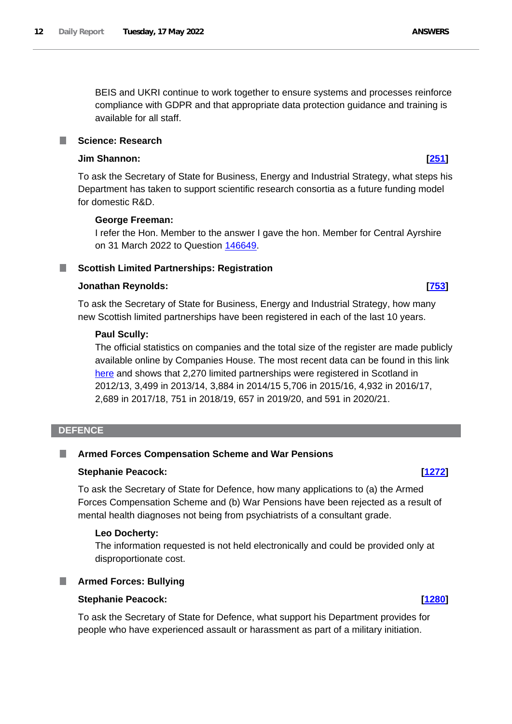BEIS and UKRI continue to work together to ensure systems and processes reinforce compliance with GDPR and that appropriate data protection guidance and training is available for all staff.

# <span id="page-11-0"></span>**Science: Research**

### **Jim Shannon: [\[251\]](http://www.parliament.uk/business/publications/written-questions-answers-statements/written-question/Commons/2022-05-10/251)**

To ask the Secretary of State for Business, Energy and Industrial Strategy, what steps his Department has taken to support scientific research consortia as a future funding model for domestic R&D.

## **George Freeman:**

I refer the Hon. Member to the answer I gave the hon. Member for Central Ayrshire on 31 March 2022 to Question 146649.

# <span id="page-11-1"></span>■ Scottish Limited Partnerships: Registration

## **Jonathan Reynolds: [\[753\]](http://www.parliament.uk/business/publications/written-questions-answers-statements/written-question/Commons/2022-05-11/753)**

To ask the Secretary of State for Business, Energy and Industrial Strategy, how many new Scottish limited partnerships have been registered in each of the last 10 years.

## **Paul Scully:**

The official statistics on companies and the total size of the register are made publicly available online by Companies House. The most recent data can be found in this link here and shows that 2,270 limited partnerships were registered in Scotland in 2012/13, 3,499 in 2013/14, 3,884 in 2014/15 5,706 in 2015/16, 4,932 in 2016/17, 2,689 in 2017/18, 751 in 2018/19, 657 in 2019/20, and 591 in 2020/21.

#### <span id="page-11-2"></span>**DEFENCE**

#### <span id="page-11-3"></span>**Armed Forces Compensation Scheme and War Pensions** ш

## **Stephanie Peacock: [\[1272\]](http://www.parliament.uk/business/publications/written-questions-answers-statements/written-question/Commons/2022-05-12/1272)**

To ask the Secretary of State for Defence, how many applications to (a) the Armed Forces Compensation Scheme and (b) War Pensions have been rejected as a result of mental health diagnoses not being from psychiatrists of a consultant grade.

## **Leo Docherty:**

The information requested is not held electronically and could be provided only at disproportionate cost.

# <span id="page-11-4"></span>**Armed Forces: Bullying**

#### **Stephanie Peacock: [\[1280\]](http://www.parliament.uk/business/publications/written-questions-answers-statements/written-question/Commons/2022-05-12/1280)**

To ask the Secretary of State for Defence, what support his Department provides for people who have experienced assault or harassment as part of a military initiation.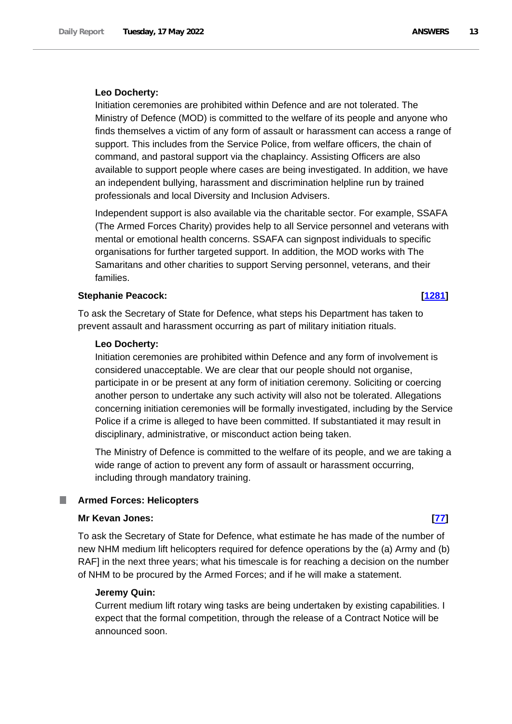#### **Leo Docherty:**

Initiation ceremonies are prohibited within Defence and are not tolerated. The Ministry of Defence (MOD) is committed to the welfare of its people and anyone who finds themselves a victim of any form of assault or harassment can access a range of support. This includes from the Service Police, from welfare officers, the chain of command, and pastoral support via the chaplaincy. Assisting Officers are also available to support people where cases are being investigated. In addition, we have an independent bullying, harassment and discrimination helpline run by trained professionals and local Diversity and Inclusion Advisers.

Independent support is also available via the charitable sector. For example, SSAFA (The Armed Forces Charity) provides help to all Service personnel and veterans with mental or emotional health concerns. SSAFA can signpost individuals to specific organisations for further targeted support. In addition, the MOD works with The Samaritans and other charities to support Serving personnel, veterans, and their families.

### **Stephanie Peacock: [\[1281\]](http://www.parliament.uk/business/publications/written-questions-answers-statements/written-question/Commons/2022-05-12/1281)**

To ask the Secretary of State for Defence, what steps his Department has taken to prevent assault and harassment occurring as part of military initiation rituals.

#### **Leo Docherty:**

Initiation ceremonies are prohibited within Defence and any form of involvement is considered unacceptable. We are clear that our people should not organise, participate in or be present at any form of initiation ceremony. Soliciting or coercing another person to undertake any such activity will also not be tolerated. Allegations concerning initiation ceremonies will be formally investigated, including by the Service Police if a crime is alleged to have been committed. If substantiated it may result in disciplinary, administrative, or misconduct action being taken.

The Ministry of Defence is committed to the welfare of its people, and we are taking a wide range of action to prevent any form of assault or harassment occurring, including through mandatory training.

#### <span id="page-12-0"></span>**Armed Forces: Helicopters** .

#### **Mr Kevan Jones: [\[77\]](http://www.parliament.uk/business/publications/written-questions-answers-statements/written-question/Commons/2022-05-10/77)**

To ask the Secretary of State for Defence, what estimate he has made of the number of new NHM medium lift helicopters required for defence operations by the (a) Army and (b) RAF] in the next three years; what his timescale is for reaching a decision on the number of NHM to be procured by the Armed Forces; and if he will make a statement.

#### **Jeremy Quin:**

Current medium lift rotary wing tasks are being undertaken by existing capabilities. I expect that the formal competition, through the release of a Contract Notice will be announced soon.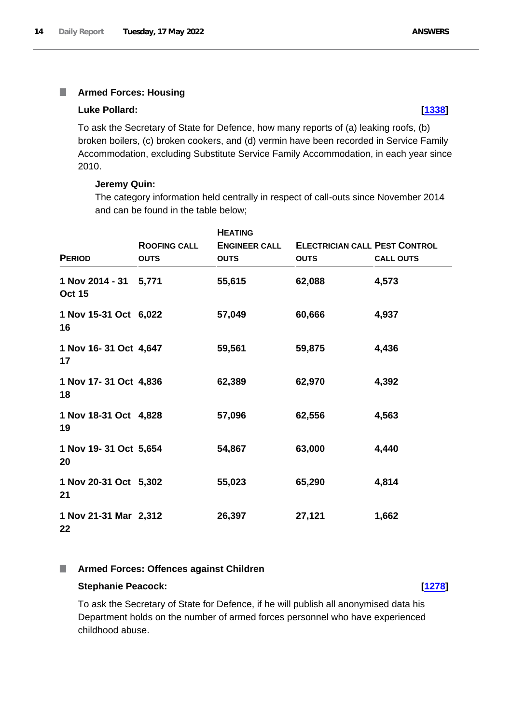# <span id="page-13-0"></span>**Armed Forces: Housing**

#### **Luke Pollard: [\[1338\]](http://www.parliament.uk/business/publications/written-questions-answers-statements/written-question/Commons/2022-05-12/1338)**

To ask the Secretary of State for Defence, how many reports of (a) leaking roofs, (b) broken boilers, (c) broken cookers, and (d) vermin have been recorded in Service Family Accommodation, excluding Substitute Service Family Accommodation, in each year since 2010.

### **Jeremy Quin:**

The category information held centrally in respect of call-outs since November 2014 and can be found in the table below;

| <b>PERIOD</b>                          | <b>ROOFING CALL</b><br><b>OUTS</b> | <b>HEATING</b><br><b>ENGINEER CALL</b><br><b>OUTS</b> | <b>ELECTRICIAN CALL PEST CONTROL</b><br><b>OUTS</b> | <b>CALL OUTS</b> |
|----------------------------------------|------------------------------------|-------------------------------------------------------|-----------------------------------------------------|------------------|
| 1 Nov 2014 - 31 5,771<br><b>Oct 15</b> |                                    | 55,615                                                | 62,088                                              | 4,573            |
| 1 Nov 15-31 Oct 6,022<br>16            |                                    | 57,049                                                | 60,666                                              | 4,937            |
| 1 Nov 16-31 Oct 4,647<br>17            |                                    | 59,561                                                | 59,875                                              | 4,436            |
| 1 Nov 17-31 Oct 4,836<br>18            |                                    | 62,389                                                | 62,970                                              | 4,392            |
| 1 Nov 18-31 Oct 4,828<br>19            |                                    | 57,096                                                | 62,556                                              | 4,563            |
| 1 Nov 19-31 Oct 5,654<br>20            |                                    | 54,867                                                | 63,000                                              | 4,440            |
| 1 Nov 20-31 Oct 5,302<br>21            |                                    | 55,023                                                | 65,290                                              | 4,814            |
| 1 Nov 21-31 Mar 2,312<br>22            |                                    | 26,397                                                | 27,121                                              | 1,662            |

#### <span id="page-13-1"></span>**Armed Forces: Offences against Children** I.

### **Stephanie Peacock: [\[1278\]](http://www.parliament.uk/business/publications/written-questions-answers-statements/written-question/Commons/2022-05-12/1278)**

To ask the Secretary of State for Defence, if he will publish all anonymised data his Department holds on the number of armed forces personnel who have experienced childhood abuse.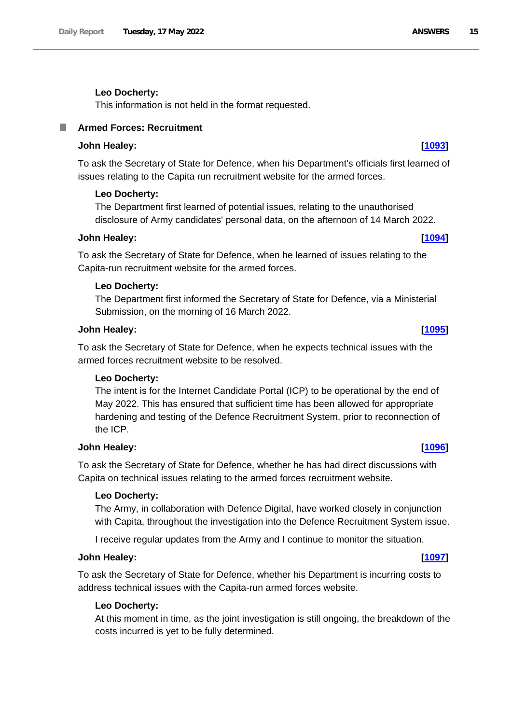### **Leo Docherty:**

This information is not held in the format requested.

# <span id="page-14-0"></span>**Armed Forces: Recruitment**

## **John Healey: [\[1093\]](http://www.parliament.uk/business/publications/written-questions-answers-statements/written-question/Commons/2022-05-12/1093)**

To ask the Secretary of State for Defence, when his Department's officials first learned of issues relating to the Capita run recruitment website for the armed forces.

#### **Leo Docherty:**

The Department first learned of potential issues, relating to the unauthorised disclosure of Army candidates' personal data, on the afternoon of 14 March 2022.

### **John Healey: [\[1094\]](http://www.parliament.uk/business/publications/written-questions-answers-statements/written-question/Commons/2022-05-12/1094)**

To ask the Secretary of State for Defence, when he learned of issues relating to the Capita-run recruitment website for the armed forces.

#### **Leo Docherty:**

The Department first informed the Secretary of State for Defence, via a Ministerial Submission, on the morning of 16 March 2022.

## **John Healey: [\[1095\]](http://www.parliament.uk/business/publications/written-questions-answers-statements/written-question/Commons/2022-05-12/1095)**

To ask the Secretary of State for Defence, when he expects technical issues with the armed forces recruitment website to be resolved.

#### **Leo Docherty:**

The intent is for the Internet Candidate Portal (ICP) to be operational by the end of May 2022. This has ensured that sufficient time has been allowed for appropriate hardening and testing of the Defence Recruitment System, prior to reconnection of the ICP.

### **John Healey: [\[1096\]](http://www.parliament.uk/business/publications/written-questions-answers-statements/written-question/Commons/2022-05-12/1096)**

To ask the Secretary of State for Defence, whether he has had direct discussions with Capita on technical issues relating to the armed forces recruitment website.

#### **Leo Docherty:**

The Army, in collaboration with Defence Digital, have worked closely in conjunction with Capita, throughout the investigation into the Defence Recruitment System issue.

I receive regular updates from the Army and I continue to monitor the situation.

### **John Healey: [\[1097\]](http://www.parliament.uk/business/publications/written-questions-answers-statements/written-question/Commons/2022-05-12/1097)**

To ask the Secretary of State for Defence, whether his Department is incurring costs to address technical issues with the Capita-run armed forces website.

### **Leo Docherty:**

At this moment in time, as the joint investigation is still ongoing, the breakdown of the costs incurred is yet to be fully determined.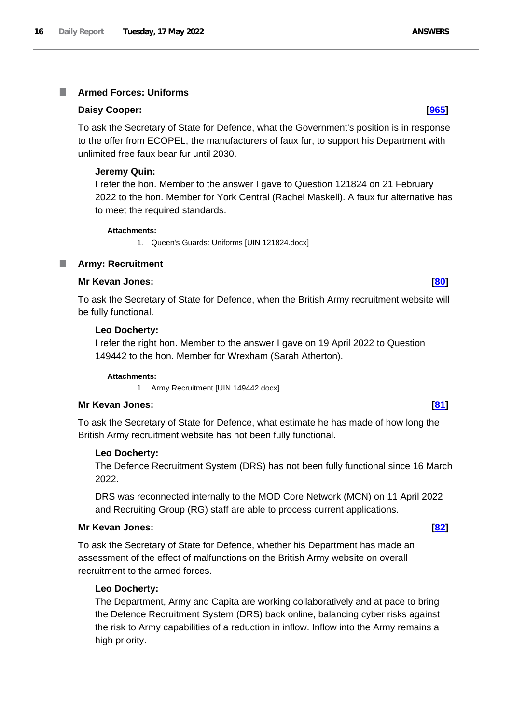#### <span id="page-15-0"></span>**Armed Forces: Uniforms** T.

### **Daisy Cooper: [\[965\]](http://www.parliament.uk/business/publications/written-questions-answers-statements/written-question/Commons/2022-05-11/965)**

To ask the Secretary of State for Defence, what the Government's position is in response to the offer from ECOPEL, the manufacturers of faux fur, to support his Department with unlimited free faux bear fur until 2030.

### **Jeremy Quin:**

I refer the hon. Member to the answer I gave to Question 121824 on 21 February 2022 to the hon. Member for York Central (Rachel Maskell). A faux fur alternative has to meet the required standards.

#### **Attachments:**

1. Queen's Guards: Uniforms [UIN 121824.docx]

## <span id="page-15-1"></span>**Army: Recruitment**

#### **Mr Kevan Jones: [\[80\]](http://www.parliament.uk/business/publications/written-questions-answers-statements/written-question/Commons/2022-05-10/80)**

To ask the Secretary of State for Defence, when the British Army recruitment website will be fully functional.

### **Leo Docherty:**

I refer the right hon. Member to the answer I gave on 19 April 2022 to Question 149442 to the hon. Member for Wrexham (Sarah Atherton).

#### **Attachments:**

1. Army Recruitment [UIN 149442.docx]

## **Mr Kevan Jones: [\[81\]](http://www.parliament.uk/business/publications/written-questions-answers-statements/written-question/Commons/2022-05-10/81)**

To ask the Secretary of State for Defence, what estimate he has made of how long the British Army recruitment website has not been fully functional.

## **Leo Docherty:**

The Defence Recruitment System (DRS) has not been fully functional since 16 March 2022.

DRS was reconnected internally to the MOD Core Network (MCN) on 11 April 2022 and Recruiting Group (RG) staff are able to process current applications.

## **Mr Kevan Jones: [\[82\]](http://www.parliament.uk/business/publications/written-questions-answers-statements/written-question/Commons/2022-05-10/82)**

To ask the Secretary of State for Defence, whether his Department has made an assessment of the effect of malfunctions on the British Army website on overall recruitment to the armed forces.

## **Leo Docherty:**

The Department, Army and Capita are working collaboratively and at pace to bring the Defence Recruitment System (DRS) back online, balancing cyber risks against the risk to Army capabilities of a reduction in inflow. Inflow into the Army remains a high priority.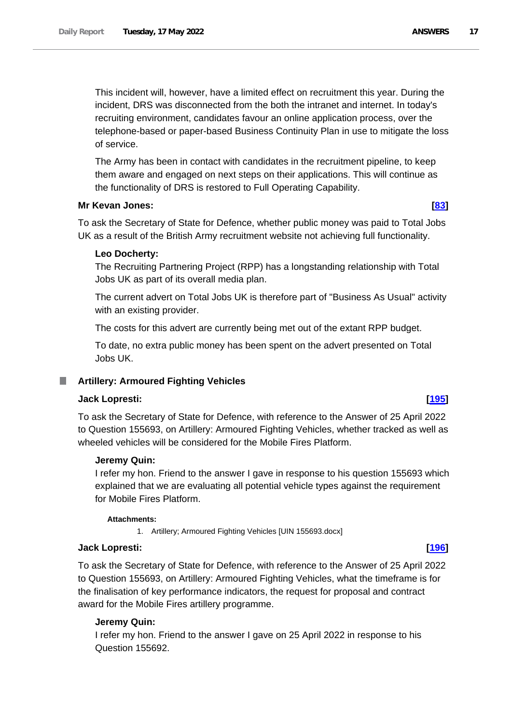This incident will, however, have a limited effect on recruitment this year. During the incident, DRS was disconnected from the both the intranet and internet. In today's recruiting environment, candidates favour an online application process, over the telephone-based or paper-based Business Continuity Plan in use to mitigate the loss of service.

The Army has been in contact with candidates in the recruitment pipeline, to keep them aware and engaged on next steps on their applications. This will continue as the functionality of DRS is restored to Full Operating Capability.

### **Mr Kevan Jones: [\[83\]](http://www.parliament.uk/business/publications/written-questions-answers-statements/written-question/Commons/2022-05-10/83)**

To ask the Secretary of State for Defence, whether public money was paid to Total Jobs UK as a result of the British Army recruitment website not achieving full functionality.

## **Leo Docherty:**

The Recruiting Partnering Project (RPP) has a longstanding relationship with Total Jobs UK as part of its overall media plan.

The current advert on Total Jobs UK is therefore part of "Business As Usual" activity with an existing provider.

The costs for this advert are currently being met out of the extant RPP budget.

To date, no extra public money has been spent on the advert presented on Total Jobs UK.

# <span id="page-16-0"></span>**Artillery: Armoured Fighting Vehicles**

# **Jack Lopresti: [\[195\]](http://www.parliament.uk/business/publications/written-questions-answers-statements/written-question/Commons/2022-05-10/195)**

To ask the Secretary of State for Defence, with reference to the Answer of 25 April 2022 to Question 155693, on Artillery: Armoured Fighting Vehicles, whether tracked as well as wheeled vehicles will be considered for the Mobile Fires Platform.

#### **Jeremy Quin:**

I refer my hon. Friend to the answer I gave in response to his question 155693 which explained that we are evaluating all potential vehicle types against the requirement for Mobile Fires Platform.

#### **Attachments:**

1. Artillery; Armoured Fighting Vehicles [UIN 155693.docx]

### **Jack Lopresti: [\[196\]](http://www.parliament.uk/business/publications/written-questions-answers-statements/written-question/Commons/2022-05-10/196)**

To ask the Secretary of State for Defence, with reference to the Answer of 25 April 2022 to Question 155693, on Artillery: Armoured Fighting Vehicles, what the timeframe is for the finalisation of key performance indicators, the request for proposal and contract award for the Mobile Fires artillery programme.

#### **Jeremy Quin:**

I refer my hon. Friend to the answer I gave on 25 April 2022 in response to his Question 155692.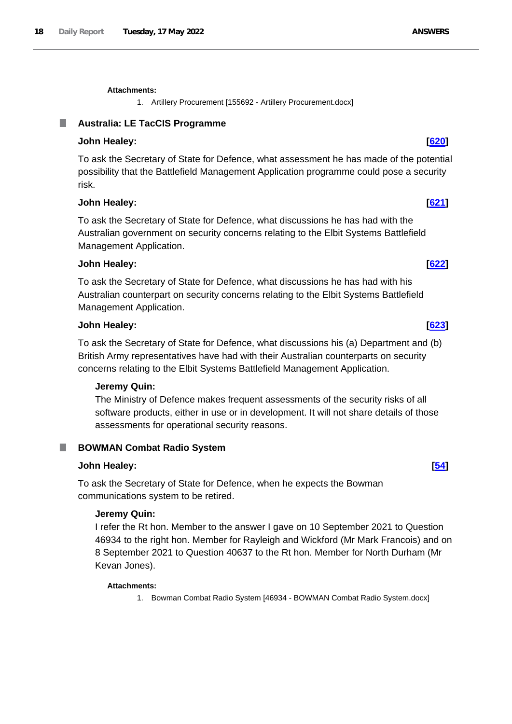1. Artillery Procurement [155692 - Artillery Procurement.docx]

# <span id="page-17-0"></span>**Australia: LE TacCIS Programme**

# **John Healey: [\[620\]](http://www.parliament.uk/business/publications/written-questions-answers-statements/written-question/Commons/2022-05-11/620)**

To ask the Secretary of State for Defence, what assessment he has made of the potential possibility that the Battlefield Management Application programme could pose a security risk.

## **John Healey: [\[621\]](http://www.parliament.uk/business/publications/written-questions-answers-statements/written-question/Commons/2022-05-11/621)**

To ask the Secretary of State for Defence, what discussions he has had with the Australian government on security concerns relating to the Elbit Systems Battlefield Management Application.

## **John Healey: [\[622\]](http://www.parliament.uk/business/publications/written-questions-answers-statements/written-question/Commons/2022-05-11/622)**

To ask the Secretary of State for Defence, what discussions he has had with his Australian counterpart on security concerns relating to the Elbit Systems Battlefield Management Application.

## **John Healey: [\[623\]](http://www.parliament.uk/business/publications/written-questions-answers-statements/written-question/Commons/2022-05-11/623)**

To ask the Secretary of State for Defence, what discussions his (a) Department and (b) British Army representatives have had with their Australian counterparts on security concerns relating to the Elbit Systems Battlefield Management Application.

## **Jeremy Quin:**

The Ministry of Defence makes frequent assessments of the security risks of all software products, either in use or in development. It will not share details of those assessments for operational security reasons.

# <span id="page-17-1"></span>ш

# **BOWMAN Combat Radio System**

# **John Healey: [\[54\]](http://www.parliament.uk/business/publications/written-questions-answers-statements/written-question/Commons/2022-05-10/54)**

To ask the Secretary of State for Defence, when he expects the Bowman communications system to be retired.

# **Jeremy Quin:**

I refer the Rt hon. Member to the answer I gave on 10 September 2021 to Question 46934 to the right hon. Member for Rayleigh and Wickford (Mr Mark Francois) and on 8 September 2021 to Question 40637 to the Rt hon. Member for North Durham (Mr Kevan Jones).

# **Attachments:**

1. Bowman Combat Radio System [46934 - BOWMAN Combat Radio System.docx]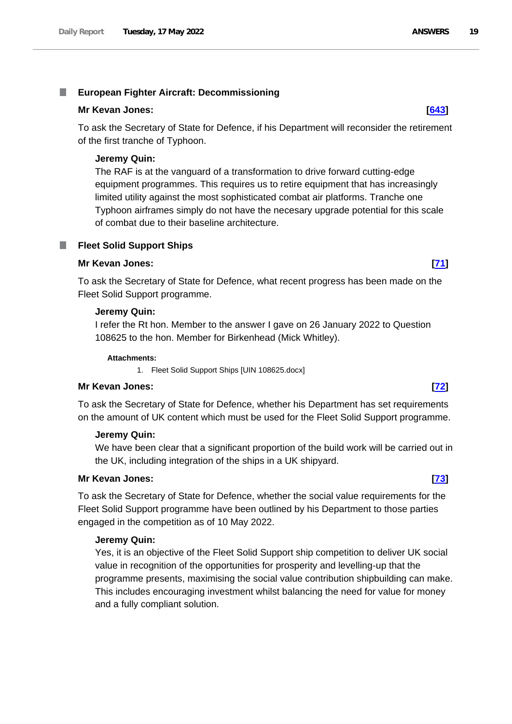#### <span id="page-18-0"></span>T. **European Fighter Aircraft: Decommissioning**

### **Mr Kevan Jones: [\[643\]](http://www.parliament.uk/business/publications/written-questions-answers-statements/written-question/Commons/2022-05-11/643)**

To ask the Secretary of State for Defence, if his Department will reconsider the retirement of the first tranche of Typhoon.

## **Jeremy Quin:**

The RAF is at the vanguard of a transformation to drive forward cutting-edge equipment programmes. This requires us to retire equipment that has increasingly limited utility against the most sophisticated combat air platforms. Tranche one Typhoon airframes simply do not have the necesary upgrade potential for this scale of combat due to their baseline architecture.

# <span id="page-18-1"></span>**Fleet Solid Support Ships**

### **Mr Kevan Jones: [\[71\]](http://www.parliament.uk/business/publications/written-questions-answers-statements/written-question/Commons/2022-05-10/71)**

To ask the Secretary of State for Defence, what recent progress has been made on the Fleet Solid Support programme.

### **Jeremy Quin:**

I refer the Rt hon. Member to the answer I gave on 26 January 2022 to Question 108625 to the hon. Member for Birkenhead (Mick Whitley).

#### **Attachments:**

1. Fleet Solid Support Ships [UIN 108625.docx]

#### **Mr Kevan Jones: [\[72\]](http://www.parliament.uk/business/publications/written-questions-answers-statements/written-question/Commons/2022-05-10/72)**

To ask the Secretary of State for Defence, whether his Department has set requirements on the amount of UK content which must be used for the Fleet Solid Support programme.

## **Jeremy Quin:**

We have been clear that a significant proportion of the build work will be carried out in the UK, including integration of the ships in a UK shipyard.

## **Mr Kevan Jones: [\[73\]](http://www.parliament.uk/business/publications/written-questions-answers-statements/written-question/Commons/2022-05-10/73)**

To ask the Secretary of State for Defence, whether the social value requirements for the Fleet Solid Support programme have been outlined by his Department to those parties engaged in the competition as of 10 May 2022.

## **Jeremy Quin:**

Yes, it is an objective of the Fleet Solid Support ship competition to deliver UK social value in recognition of the opportunities for prosperity and levelling-up that the programme presents, maximising the social value contribution shipbuilding can make. This includes encouraging investment whilst balancing the need for value for money and a fully compliant solution.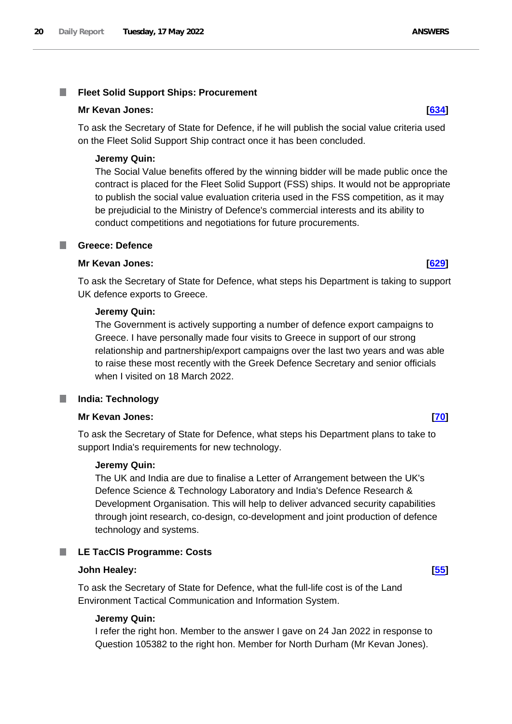#### <span id="page-19-0"></span>T. **Fleet Solid Support Ships: Procurement**

### **Mr Kevan Jones: [\[634\]](http://www.parliament.uk/business/publications/written-questions-answers-statements/written-question/Commons/2022-05-11/634)**

To ask the Secretary of State for Defence, if he will publish the social value criteria used on the Fleet Solid Support Ship contract once it has been concluded.

## **Jeremy Quin:**

The Social Value benefits offered by the winning bidder will be made public once the contract is placed for the Fleet Solid Support (FSS) ships. It would not be appropriate to publish the social value evaluation criteria used in the FSS competition, as it may be prejudicial to the Ministry of Defence's commercial interests and its ability to conduct competitions and negotiations for future procurements.

### <span id="page-19-1"></span>**Greece: Defence**

### **Mr Kevan Jones: [\[629\]](http://www.parliament.uk/business/publications/written-questions-answers-statements/written-question/Commons/2022-05-11/629)**

To ask the Secretary of State for Defence, what steps his Department is taking to support UK defence exports to Greece.

#### **Jeremy Quin:**

The Government is actively supporting a number of defence export campaigns to Greece. I have personally made four visits to Greece in support of our strong relationship and partnership/export campaigns over the last two years and was able to raise these most recently with the Greek Defence Secretary and senior officials when I visited on 18 March 2022.

## <span id="page-19-2"></span>**India: Technology**

#### **Mr Kevan Jones: [\[70\]](http://www.parliament.uk/business/publications/written-questions-answers-statements/written-question/Commons/2022-05-10/70)**

To ask the Secretary of State for Defence, what steps his Department plans to take to support India's requirements for new technology.

#### **Jeremy Quin:**

The UK and India are due to finalise a Letter of Arrangement between the UK's Defence Science & Technology Laboratory and India's Defence Research & Development Organisation. This will help to deliver advanced security capabilities through joint research, co-design, co-development and joint production of defence technology and systems.

#### <span id="page-19-3"></span>. **LE TacCIS Programme: Costs**

#### **John Healey: [\[55\]](http://www.parliament.uk/business/publications/written-questions-answers-statements/written-question/Commons/2022-05-10/55)**

To ask the Secretary of State for Defence, what the full-life cost is of the Land Environment Tactical Communication and Information System.

#### **Jeremy Quin:**

I refer the right hon. Member to the answer I gave on 24 Jan 2022 in response to Question 105382 to the right hon. Member for North Durham (Mr Kevan Jones).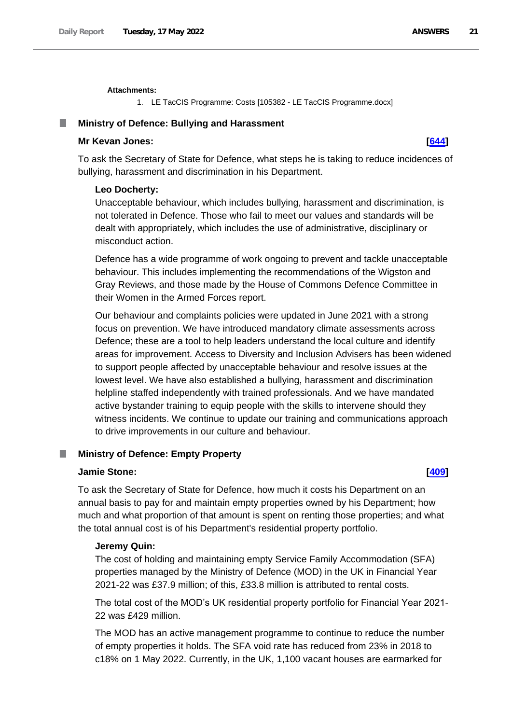#### **Attachments:**

1. LE TacCIS Programme: Costs [105382 - LE TacCIS Programme.docx]

### <span id="page-20-0"></span>**Ministry of Defence: Bullying and Harassment**

## **Mr Kevan Jones: [\[644\]](http://www.parliament.uk/business/publications/written-questions-answers-statements/written-question/Commons/2022-05-11/644)**

To ask the Secretary of State for Defence, what steps he is taking to reduce incidences of bullying, harassment and discrimination in his Department.

#### **Leo Docherty:**

Unacceptable behaviour, which includes bullying, harassment and discrimination, is not tolerated in Defence. Those who fail to meet our values and standards will be dealt with appropriately, which includes the use of administrative, disciplinary or misconduct action.

Defence has a wide programme of work ongoing to prevent and tackle unacceptable behaviour. This includes implementing the recommendations of the Wigston and Gray Reviews, and those made by the House of Commons Defence Committee in their Women in the Armed Forces report.

Our behaviour and complaints policies were updated in June 2021 with a strong focus on prevention. We have introduced mandatory climate assessments across Defence; these are a tool to help leaders understand the local culture and identify areas for improvement. Access to Diversity and Inclusion Advisers has been widened to support people affected by unacceptable behaviour and resolve issues at the lowest level. We have also established a bullying, harassment and discrimination helpline staffed independently with trained professionals. And we have mandated active bystander training to equip people with the skills to intervene should they witness incidents. We continue to update our training and communications approach to drive improvements in our culture and behaviour.

#### <span id="page-20-1"></span>. **Ministry of Defence: Empty Property**

# **Jamie Stone: [\[409\]](http://www.parliament.uk/business/publications/written-questions-answers-statements/written-question/Commons/2022-05-10/409)**

To ask the Secretary of State for Defence, how much it costs his Department on an annual basis to pay for and maintain empty properties owned by his Department; how much and what proportion of that amount is spent on renting those properties; and what the total annual cost is of his Department's residential property portfolio.

#### **Jeremy Quin:**

The cost of holding and maintaining empty Service Family Accommodation (SFA) properties managed by the Ministry of Defence (MOD) in the UK in Financial Year 2021-22 was £37.9 million; of this, £33.8 million is attributed to rental costs.

The total cost of the MOD's UK residential property portfolio for Financial Year 2021- 22 was £429 million.

The MOD has an active management programme to continue to reduce the number of empty properties it holds. The SFA void rate has reduced from 23% in 2018 to c18% on 1 May 2022. Currently, in the UK, 1,100 vacant houses are earmarked for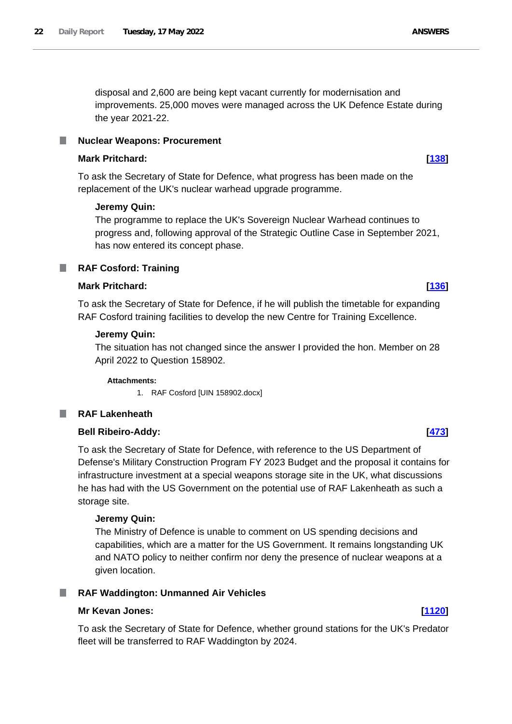disposal and 2,600 are being kept vacant currently for modernisation and improvements. 25,000 moves were managed across the UK Defence Estate during the year 2021-22.

#### <span id="page-21-0"></span>**Nuclear Weapons: Procurement** L.

#### **Mark Pritchard: [\[138\]](http://www.parliament.uk/business/publications/written-questions-answers-statements/written-question/Commons/2022-05-10/138)**

To ask the Secretary of State for Defence, what progress has been made on the replacement of the UK's nuclear warhead upgrade programme.

#### **Jeremy Quin:**

The programme to replace the UK's Sovereign Nuclear Warhead continues to progress and, following approval of the Strategic Outline Case in September 2021, has now entered its concept phase.

#### <span id="page-21-1"></span>**RAF Cosford: Training** m.

# **Mark Pritchard: [\[136\]](http://www.parliament.uk/business/publications/written-questions-answers-statements/written-question/Commons/2022-05-10/136)**

To ask the Secretary of State for Defence, if he will publish the timetable for expanding RAF Cosford training facilities to develop the new Centre for Training Excellence.

#### **Jeremy Quin:**

The situation has not changed since the answer I provided the hon. Member on 28 April 2022 to Question 158902.

#### **Attachments:**

1. RAF Cosford [UIN 158902.docx]

#### <span id="page-21-2"></span>**RAF Lakenheath** m.

#### **Bell Ribeiro-Addy: [\[473\]](http://www.parliament.uk/business/publications/written-questions-answers-statements/written-question/Commons/2022-05-10/473)**

To ask the Secretary of State for Defence, with reference to the US Department of Defense's Military Construction Program FY 2023 Budget and the proposal it contains for infrastructure investment at a special weapons storage site in the UK, what discussions he has had with the US Government on the potential use of RAF Lakenheath as such a storage site.

#### **Jeremy Quin:**

The Ministry of Defence is unable to comment on US spending decisions and capabilities, which are a matter for the US Government. It remains longstanding UK and NATO policy to neither confirm nor deny the presence of nuclear weapons at a given location.

#### <span id="page-21-3"></span>ш **RAF Waddington: Unmanned Air Vehicles**

#### **Mr Kevan Jones: [\[1120\]](http://www.parliament.uk/business/publications/written-questions-answers-statements/written-question/Commons/2022-05-12/1120)**

To ask the Secretary of State for Defence, whether ground stations for the UK's Predator fleet will be transferred to RAF Waddington by 2024.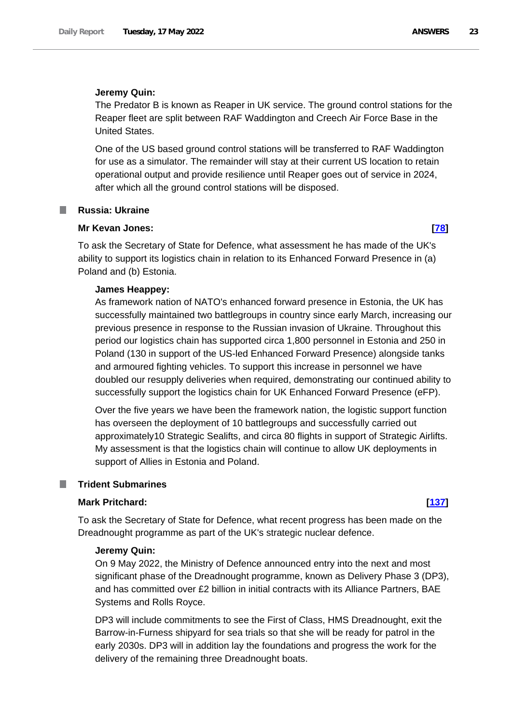# **Jeremy Quin:**

The Predator B is known as Reaper in UK service. The ground control stations for the Reaper fleet are split between RAF Waddington and Creech Air Force Base in the United States.

One of the US based ground control stations will be transferred to RAF Waddington for use as a simulator. The remainder will stay at their current US location to retain operational output and provide resilience until Reaper goes out of service in 2024, after which all the ground control stations will be disposed.

## <span id="page-22-0"></span>**Russia: Ukraine**

# **Mr Kevan Jones: [\[78\]](http://www.parliament.uk/business/publications/written-questions-answers-statements/written-question/Commons/2022-05-10/78)**

To ask the Secretary of State for Defence, what assessment he has made of the UK's ability to support its logistics chain in relation to its Enhanced Forward Presence in (a) Poland and (b) Estonia.

# **James Heappey:**

As framework nation of NATO's enhanced forward presence in Estonia, the UK has successfully maintained two battlegroups in country since early March, increasing our previous presence in response to the Russian invasion of Ukraine. Throughout this period our logistics chain has supported circa 1,800 personnel in Estonia and 250 in Poland (130 in support of the US-led Enhanced Forward Presence) alongside tanks and armoured fighting vehicles. To support this increase in personnel we have doubled our resupply deliveries when required, demonstrating our continued ability to successfully support the logistics chain for UK Enhanced Forward Presence (eFP).

Over the five years we have been the framework nation, the logistic support function has overseen the deployment of 10 battlegroups and successfully carried out approximately10 Strategic Sealifts, and circa 80 flights in support of Strategic Airlifts. My assessment is that the logistics chain will continue to allow UK deployments in support of Allies in Estonia and Poland.

# <span id="page-22-1"></span>**Trident Submarines**

## **Mark Pritchard: [\[137\]](http://www.parliament.uk/business/publications/written-questions-answers-statements/written-question/Commons/2022-05-10/137)**

To ask the Secretary of State for Defence, what recent progress has been made on the Dreadnought programme as part of the UK's strategic nuclear defence.

## **Jeremy Quin:**

On 9 May 2022, the Ministry of Defence announced entry into the next and most significant phase of the Dreadnought programme, known as Delivery Phase 3 (DP3), and has committed over £2 billion in initial contracts with its Alliance Partners, BAE Systems and Rolls Royce.

DP3 will include commitments to see the First of Class, HMS Dreadnought, exit the Barrow-in-Furness shipyard for sea trials so that she will be ready for patrol in the early 2030s. DP3 will in addition lay the foundations and progress the work for the delivery of the remaining three Dreadnought boats.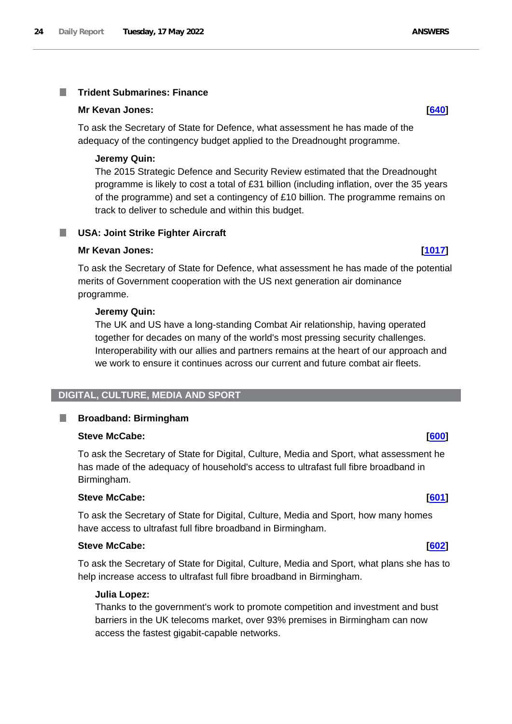#### <span id="page-23-0"></span>**Trident Submarines: Finance** I.

#### **Mr Kevan Jones: [\[640\]](http://www.parliament.uk/business/publications/written-questions-answers-statements/written-question/Commons/2022-05-11/640)**

To ask the Secretary of State for Defence, what assessment he has made of the adequacy of the contingency budget applied to the Dreadnought programme.

#### **Jeremy Quin:**

The 2015 Strategic Defence and Security Review estimated that the Dreadnought programme is likely to cost a total of £31 billion (including inflation, over the 35 years of the programme) and set a contingency of £10 billion. The programme remains on track to deliver to schedule and within this budget.

#### <span id="page-23-1"></span>**USA: Joint Strike Fighter Aircraft**

#### **Mr Kevan Jones: [\[1017\]](http://www.parliament.uk/business/publications/written-questions-answers-statements/written-question/Commons/2022-05-11/1017)**

To ask the Secretary of State for Defence, what assessment he has made of the potential merits of Government cooperation with the US next generation air dominance programme.

#### **Jeremy Quin:**

The UK and US have a long-standing Combat Air relationship, having operated together for decades on many of the world's most pressing security challenges. Interoperability with our allies and partners remains at the heart of our approach and we work to ensure it continues across our current and future combat air fleets.

# <span id="page-23-2"></span>**DIGITAL, CULTURE, MEDIA AND SPORT**

## **Broadband: Birmingham**

#### **Steve McCabe: [\[600\]](http://www.parliament.uk/business/publications/written-questions-answers-statements/written-question/Commons/2022-05-11/600)**

<span id="page-23-3"></span>ш

To ask the Secretary of State for Digital, Culture, Media and Sport, what assessment he has made of the adequacy of household's access to ultrafast full fibre broadband in Birmingham.

#### **Steve McCabe: [\[601\]](http://www.parliament.uk/business/publications/written-questions-answers-statements/written-question/Commons/2022-05-11/601)**

To ask the Secretary of State for Digital, Culture, Media and Sport, how many homes have access to ultrafast full fibre broadband in Birmingham.

## **Steve McCabe: [\[602\]](http://www.parliament.uk/business/publications/written-questions-answers-statements/written-question/Commons/2022-05-11/602)**

To ask the Secretary of State for Digital, Culture, Media and Sport, what plans she has to help increase access to ultrafast full fibre broadband in Birmingham.

#### **Julia Lopez:**

Thanks to the government's work to promote competition and investment and bust barriers in the UK telecoms market, over 93% premises in Birmingham can now access the fastest gigabit-capable networks.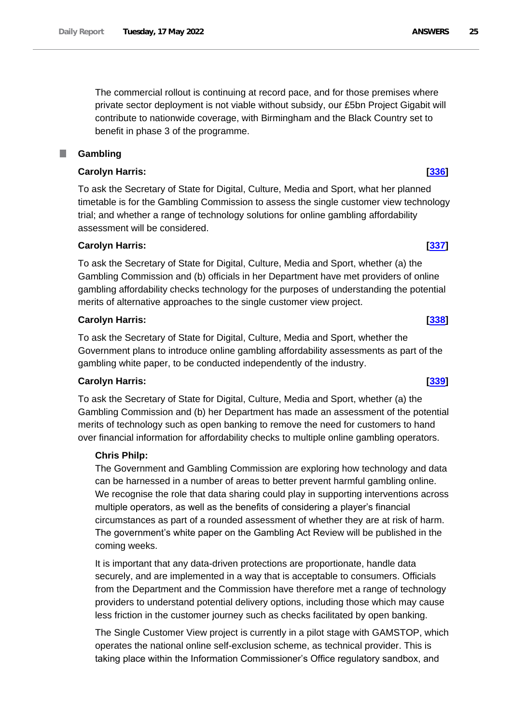The commercial rollout is continuing at record pace, and for those premises where private sector deployment is not viable without subsidy, our £5bn Project Gigabit will contribute to nationwide coverage, with Birmingham and the Black Country set to benefit in phase 3 of the programme.

#### <span id="page-24-0"></span>П **Gambling**

# **Carolyn Harris: [\[336\]](http://www.parliament.uk/business/publications/written-questions-answers-statements/written-question/Commons/2022-05-10/336)**

To ask the Secretary of State for Digital, Culture, Media and Sport, what her planned timetable is for the Gambling Commission to assess the single customer view technology trial; and whether a range of technology solutions for online gambling affordability assessment will be considered.

## **Carolyn Harris: [\[337\]](http://www.parliament.uk/business/publications/written-questions-answers-statements/written-question/Commons/2022-05-10/337)**

To ask the Secretary of State for Digital, Culture, Media and Sport, whether (a) the Gambling Commission and (b) officials in her Department have met providers of online gambling affordability checks technology for the purposes of understanding the potential merits of alternative approaches to the single customer view project.

## **Carolyn Harris: [\[338\]](http://www.parliament.uk/business/publications/written-questions-answers-statements/written-question/Commons/2022-05-10/338)**

To ask the Secretary of State for Digital, Culture, Media and Sport, whether the Government plans to introduce online gambling affordability assessments as part of the gambling white paper, to be conducted independently of the industry.

## **Carolyn Harris: [\[339\]](http://www.parliament.uk/business/publications/written-questions-answers-statements/written-question/Commons/2022-05-10/339)**

To ask the Secretary of State for Digital, Culture, Media and Sport, whether (a) the Gambling Commission and (b) her Department has made an assessment of the potential merits of technology such as open banking to remove the need for customers to hand over financial information for affordability checks to multiple online gambling operators.

## **Chris Philp:**

The Government and Gambling Commission are exploring how technology and data can be harnessed in a number of areas to better prevent harmful gambling online. We recognise the role that data sharing could play in supporting interventions across multiple operators, as well as the benefits of considering a player's financial circumstances as part of a rounded assessment of whether they are at risk of harm. The government's white paper on the Gambling Act Review will be published in the coming weeks.

It is important that any data-driven protections are proportionate, handle data securely, and are implemented in a way that is acceptable to consumers. Officials from the Department and the Commission have therefore met a range of technology providers to understand potential delivery options, including those which may cause less friction in the customer journey such as checks facilitated by open banking.

The Single Customer View project is currently in a pilot stage with GAMSTOP, which operates the national online self-exclusion scheme, as technical provider. This is taking place within the Information Commissioner's Office regulatory sandbox, and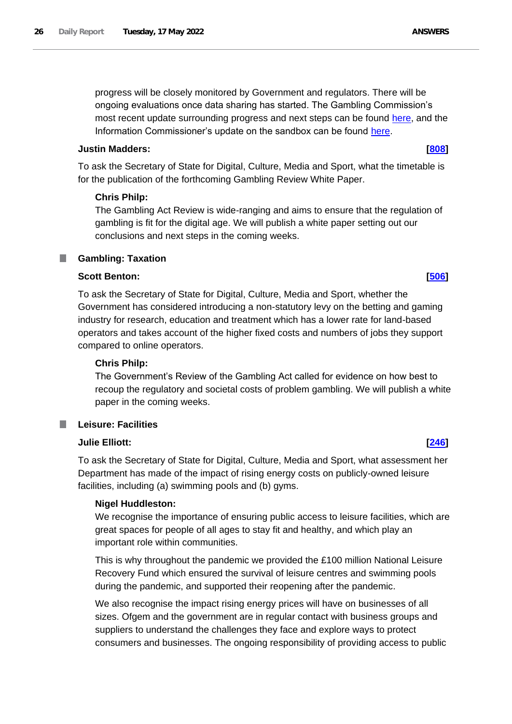progress will be closely monitored by Government and regulators. There will be ongoing evaluations once data sharing has started. The Gambling Commission's most recent update surrounding progress and next steps can be found [here,](https://www.gamblingcommission.gov.uk/news/article/an-update-on-the-single-customer-view-industry-challenge) and the Information Commissioner's update on the sandbox can be found [here.](https://ico.org.uk/for-organisations/regulatory-sandbox/current-projects)

# **Justin Madders: [\[808\]](http://www.parliament.uk/business/publications/written-questions-answers-statements/written-question/Commons/2022-05-11/808)**

To ask the Secretary of State for Digital, Culture, Media and Sport, what the timetable is for the publication of the forthcoming Gambling Review White Paper.

# **Chris Philp:**

The Gambling Act Review is wide-ranging and aims to ensure that the regulation of gambling is fit for the digital age. We will publish a white paper setting out our conclusions and next steps in the coming weeks.

#### <span id="page-25-0"></span>**Gambling: Taxation** T.

# **Scott Benton: [\[506\]](http://www.parliament.uk/business/publications/written-questions-answers-statements/written-question/Commons/2022-05-10/506)**

To ask the Secretary of State for Digital, Culture, Media and Sport, whether the Government has considered introducing a non-statutory levy on the betting and gaming industry for research, education and treatment which has a lower rate for land-based operators and takes account of the higher fixed costs and numbers of jobs they support compared to online operators.

# **Chris Philp:**

The Government's Review of the Gambling Act called for evidence on how best to recoup the regulatory and societal costs of problem gambling. We will publish a white paper in the coming weeks.

# <span id="page-25-1"></span>**Leisure: Facilities**

## **Julie Elliott: [\[246\]](http://www.parliament.uk/business/publications/written-questions-answers-statements/written-question/Commons/2022-05-10/246)**

To ask the Secretary of State for Digital, Culture, Media and Sport, what assessment her Department has made of the impact of rising energy costs on publicly-owned leisure facilities, including (a) swimming pools and (b) gyms.

## **Nigel Huddleston:**

We recognise the importance of ensuring public access to leisure facilities, which are great spaces for people of all ages to stay fit and healthy, and which play an important role within communities.

This is why throughout the pandemic we provided the £100 million National Leisure Recovery Fund which ensured the survival of leisure centres and swimming pools during the pandemic, and supported their reopening after the pandemic.

We also recognise the impact rising energy prices will have on businesses of all sizes. Ofgem and the government are in regular contact with business groups and suppliers to understand the challenges they face and explore ways to protect consumers and businesses. The ongoing responsibility of providing access to public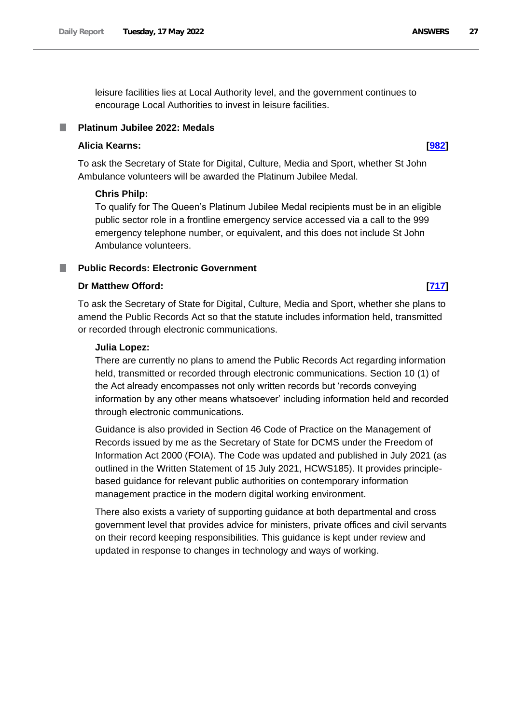leisure facilities lies at Local Authority level, and the government continues to encourage Local Authorities to invest in leisure facilities.

## <span id="page-26-0"></span>**Platinum Jubilee 2022: Medals**

## **Alicia Kearns: [\[982\]](http://www.parliament.uk/business/publications/written-questions-answers-statements/written-question/Commons/2022-05-11/982)**

To ask the Secretary of State for Digital, Culture, Media and Sport, whether St John Ambulance volunteers will be awarded the Platinum Jubilee Medal.

#### **Chris Philp:**

To qualify for The Queen's Platinum Jubilee Medal recipients must be in an eligible public sector role in a frontline emergency service accessed via a call to the 999 emergency telephone number, or equivalent, and this does not include St John Ambulance volunteers.

## <span id="page-26-1"></span>**Public Records: Electronic Government**

## **Dr Matthew Offord: [\[717\]](http://www.parliament.uk/business/publications/written-questions-answers-statements/written-question/Commons/2022-05-11/717)**

To ask the Secretary of State for Digital, Culture, Media and Sport, whether she plans to amend the Public Records Act so that the statute includes information held, transmitted or recorded through electronic communications.

#### **Julia Lopez:**

There are currently no plans to amend the Public Records Act regarding information held, transmitted or recorded through electronic communications. Section 10 (1) of the Act already encompasses not only written records but 'records conveying information by any other means whatsoever' including information held and recorded through electronic communications.

Guidance is also provided in Section 46 Code of Practice on the Management of Records issued by me as the Secretary of State for DCMS under the Freedom of Information Act 2000 (FOIA). The Code was updated and published in July 2021 (as outlined in the Written Statement of 15 July 2021, HCWS185). It provides principlebased guidance for relevant public authorities on contemporary information management practice in the modern digital working environment.

There also exists a variety of supporting guidance at both departmental and cross government level that provides advice for ministers, private offices and civil servants on their record keeping responsibilities. This guidance is kept under review and updated in response to changes in technology and ways of working.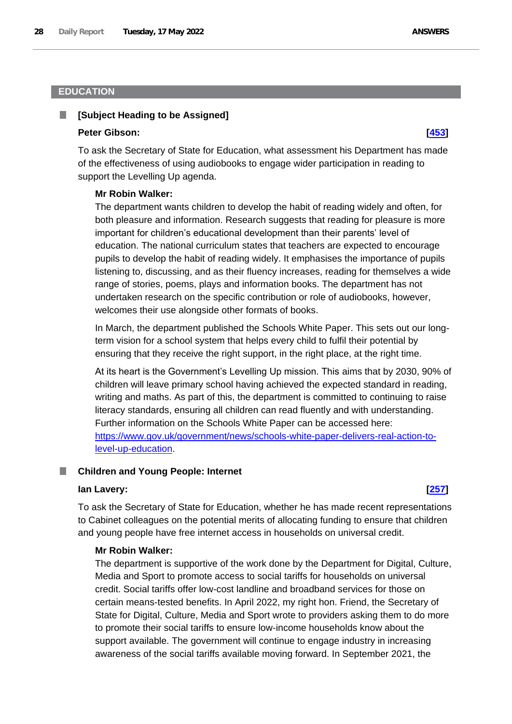# <span id="page-27-0"></span>**EDUCATION**

# <span id="page-27-1"></span>**[Subject Heading to be Assigned]**

#### **Peter Gibson: [\[453\]](http://www.parliament.uk/business/publications/written-questions-answers-statements/written-question/Commons/2022-05-10/453)**

To ask the Secretary of State for Education, what assessment his Department has made of the effectiveness of using audiobooks to engage wider participation in reading to support the Levelling Up agenda.

## **Mr Robin Walker:**

The department wants children to develop the habit of reading widely and often, for both pleasure and information. Research suggests that reading for pleasure is more important for children's educational development than their parents' level of education. The national curriculum states that teachers are expected to encourage pupils to develop the habit of reading widely. It emphasises the importance of pupils listening to, discussing, and as their fluency increases, reading for themselves a wide range of stories, poems, plays and information books. The department has not undertaken research on the specific contribution or role of audiobooks, however, welcomes their use alongside other formats of books.

In March, the department published the Schools White Paper. This sets out our longterm vision for a school system that helps every child to fulfil their potential by ensuring that they receive the right support, in the right place, at the right time.

At its heart is the Government's Levelling Up mission. This aims that by 2030, 90% of children will leave primary school having achieved the expected standard in reading, writing and maths. As part of this, the department is committed to continuing to raise literacy standards, ensuring all children can read fluently and with understanding. Further information on the Schools White Paper can be accessed here: [https://www.gov.uk/government/news/schools-white-paper-delivers-real-action-to](https://www.gov.uk/government/news/schools-white-paper-delivers-real-action-to-level-up-education)[level-up-education.](https://www.gov.uk/government/news/schools-white-paper-delivers-real-action-to-level-up-education)

## <span id="page-27-2"></span>**Children and Young People: Internet**

#### **Ian Lavery: [\[257\]](http://www.parliament.uk/business/publications/written-questions-answers-statements/written-question/Commons/2022-05-10/257)**

To ask the Secretary of State for Education, whether he has made recent representations to Cabinet colleagues on the potential merits of allocating funding to ensure that children and young people have free internet access in households on universal credit.

# **Mr Robin Walker:**

The department is supportive of the work done by the Department for Digital, Culture, Media and Sport to promote access to social tariffs for households on universal credit. Social tariffs offer low-cost landline and broadband services for those on certain means-tested benefits. In April 2022, my right hon. Friend, the Secretary of State for Digital, Culture, Media and Sport wrote to providers asking them to do more to promote their social tariffs to ensure low-income households know about the support available. The government will continue to engage industry in increasing awareness of the social tariffs available moving forward. In September 2021, the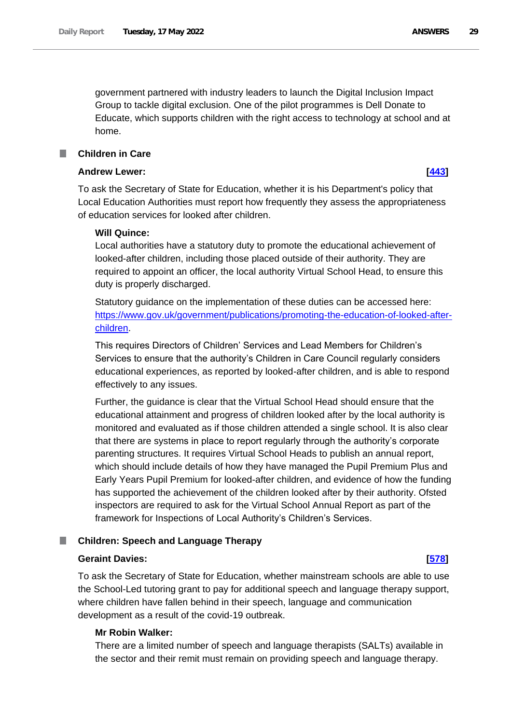government partnered with industry leaders to launch the Digital Inclusion Impact Group to tackle digital exclusion. One of the pilot programmes is Dell Donate to Educate, which supports children with the right access to technology at school and at home.

#### <span id="page-28-0"></span>**Children in Care** T.

#### **Andrew Lewer: [\[443\]](http://www.parliament.uk/business/publications/written-questions-answers-statements/written-question/Commons/2022-05-10/443)**

To ask the Secretary of State for Education, whether it is his Department's policy that Local Education Authorities must report how frequently they assess the appropriateness of education services for looked after children.

## **Will Quince:**

Local authorities have a statutory duty to promote the educational achievement of looked-after children, including those placed outside of their authority. They are required to appoint an officer, the local authority Virtual School Head, to ensure this duty is properly discharged.

Statutory guidance on the implementation of these duties can be accessed here: [https://www.gov.uk/government/publications/promoting-the-education-of-looked-after](https://www.gov.uk/government/publications/promoting-the-education-of-looked-after-children)[children.](https://www.gov.uk/government/publications/promoting-the-education-of-looked-after-children)

This requires Directors of Children' Services and Lead Members for Children's Services to ensure that the authority's Children in Care Council regularly considers educational experiences, as reported by looked-after children, and is able to respond effectively to any issues.

Further, the guidance is clear that the Virtual School Head should ensure that the educational attainment and progress of children looked after by the local authority is monitored and evaluated as if those children attended a single school. It is also clear that there are systems in place to report regularly through the authority's corporate parenting structures. It requires Virtual School Heads to publish an annual report, which should include details of how they have managed the Pupil Premium Plus and Early Years Pupil Premium for looked-after children, and evidence of how the funding has supported the achievement of the children looked after by their authority. Ofsted inspectors are required to ask for the Virtual School Annual Report as part of the framework for Inspections of Local Authority's Children's Services.

#### <span id="page-28-1"></span>**Children: Speech and Language Therapy** .

#### **Geraint Davies: [\[578\]](http://www.parliament.uk/business/publications/written-questions-answers-statements/written-question/Commons/2022-05-11/578)**

To ask the Secretary of State for Education, whether mainstream schools are able to use the School-Led tutoring grant to pay for additional speech and language therapy support, where children have fallen behind in their speech, language and communication development as a result of the covid-19 outbreak.

#### **Mr Robin Walker:**

There are a limited number of speech and language therapists (SALTs) available in the sector and their remit must remain on providing speech and language therapy.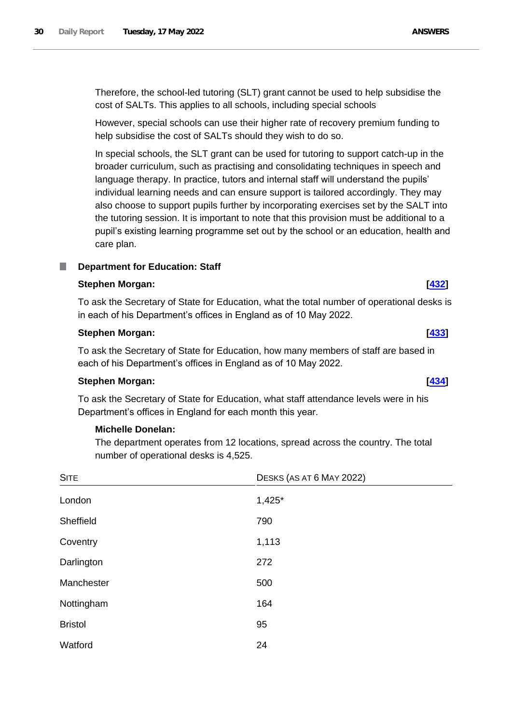Therefore, the school-led tutoring (SLT) grant cannot be used to help subsidise the cost of SALTs. This applies to all schools, including special schools

However, special schools can use their higher rate of recovery premium funding to help subsidise the cost of SALTs should they wish to do so.

In special schools, the SLT grant can be used for tutoring to support catch-up in the broader curriculum, such as practising and consolidating techniques in speech and language therapy. In practice, tutors and internal staff will understand the pupils' individual learning needs and can ensure support is tailored accordingly. They may also choose to support pupils further by incorporating exercises set by the SALT into the tutoring session. It is important to note that this provision must be additional to a pupil's existing learning programme set out by the school or an education, health and care plan.

#### <span id="page-29-0"></span>T. **Department for Education: Staff**

### **Stephen Morgan: [\[432\]](http://www.parliament.uk/business/publications/written-questions-answers-statements/written-question/Commons/2022-05-10/432)**

To ask the Secretary of State for Education, what the total number of operational desks is in each of his Department's offices in England as of 10 May 2022.

### **Stephen Morgan: [\[433\]](http://www.parliament.uk/business/publications/written-questions-answers-statements/written-question/Commons/2022-05-10/433)**

To ask the Secretary of State for Education, how many members of staff are based in each of his Department's offices in England as of 10 May 2022.

# **Stephen Morgan: [\[434\]](http://www.parliament.uk/business/publications/written-questions-answers-statements/written-question/Commons/2022-05-10/434)**

To ask the Secretary of State for Education, what staff attendance levels were in his Department's offices in England for each month this year.

### **Michelle Donelan:**

The department operates from 12 locations, spread across the country. The total number of operational desks is 4,525.

| <b>SITE</b>    | DESKS (AS AT 6 MAY 2022) |  |
|----------------|--------------------------|--|
| London         | $1,425*$                 |  |
| Sheffield      | 790                      |  |
| Coventry       | 1,113                    |  |
| Darlington     | 272                      |  |
| Manchester     | 500                      |  |
| Nottingham     | 164                      |  |
| <b>Bristol</b> | 95                       |  |
| Watford        | 24                       |  |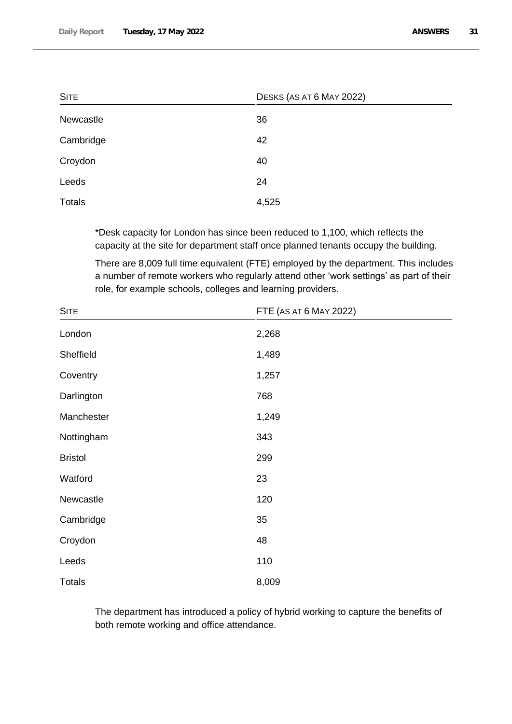| <b>SITE</b>   | DESKS (AS AT 6 MAY 2022) |  |
|---------------|--------------------------|--|
| Newcastle     | 36                       |  |
| Cambridge     | 42                       |  |
| Croydon       | 40                       |  |
| Leeds         | 24                       |  |
| <b>Totals</b> | 4,525                    |  |

\*Desk capacity for London has since been reduced to 1,100, which reflects the capacity at the site for department staff once planned tenants occupy the building.

There are 8,009 full time equivalent (FTE) employed by the department. This includes a number of remote workers who regularly attend other 'work settings' as part of their role, for example schools, colleges and learning providers.

| <b>SITE</b>    | FTE (AS AT 6 MAY 2022) |  |
|----------------|------------------------|--|
| London         | 2,268                  |  |
| Sheffield      | 1,489                  |  |
| Coventry       | 1,257                  |  |
| Darlington     | 768                    |  |
| Manchester     | 1,249                  |  |
| Nottingham     | 343                    |  |
| <b>Bristol</b> | 299                    |  |
| Watford        | 23                     |  |
| Newcastle      | 120                    |  |
| Cambridge      | 35                     |  |
| Croydon        | 48                     |  |
| Leeds          | 110                    |  |
| <b>Totals</b>  | 8,009                  |  |

The department has introduced a policy of hybrid working to capture the benefits of both remote working and office attendance.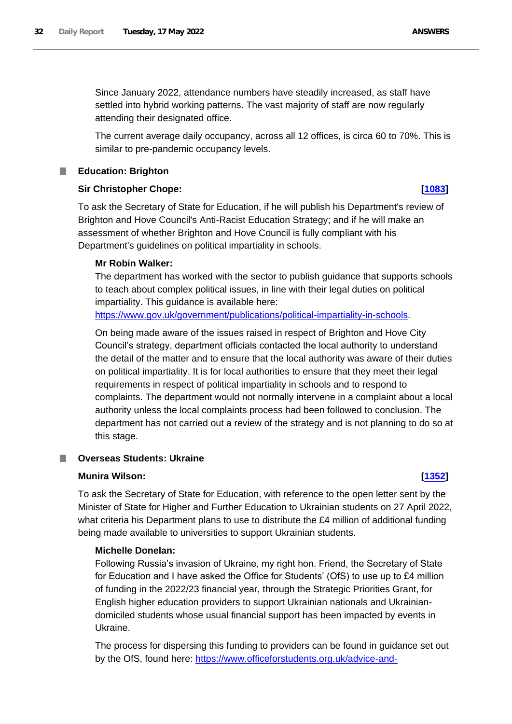Since January 2022, attendance numbers have steadily increased, as staff have settled into hybrid working patterns. The vast majority of staff are now regularly attending their designated office.

The current average daily occupancy, across all 12 offices, is circa 60 to 70%. This is similar to pre-pandemic occupancy levels.

# <span id="page-31-0"></span>**Education: Brighton**

# **Sir Christopher Chope: [\[1083\]](http://www.parliament.uk/business/publications/written-questions-answers-statements/written-question/Commons/2022-05-12/1083)**

To ask the Secretary of State for Education, if he will publish his Department's review of Brighton and Hove Council's Anti-Racist Education Strategy; and if he will make an assessment of whether Brighton and Hove Council is fully compliant with his Department's guidelines on political impartiality in schools.

# **Mr Robin Walker:**

The department has worked with the sector to publish guidance that supports schools to teach about complex political issues, in line with their legal duties on political impartiality. This guidance is available here:

https://www.gov.uk/government/publications/political-impartiality-in-schools.

On being made aware of the issues raised in respect of Brighton and Hove City Council's strategy, department officials contacted the local authority to understand the detail of the matter and to ensure that the local authority was aware of their duties on political impartiality. It is for local authorities to ensure that they meet their legal requirements in respect of political impartiality in schools and to respond to complaints. The department would not normally intervene in a complaint about a local authority unless the local complaints process had been followed to conclusion. The department has not carried out a review of the strategy and is not planning to do so at this stage.

# <span id="page-31-1"></span>**Overseas Students: Ukraine**

# **Munira Wilson: [\[1352\]](http://www.parliament.uk/business/publications/written-questions-answers-statements/written-question/Commons/2022-05-12/1352)**

To ask the Secretary of State for Education, with reference to the open letter sent by the Minister of State for Higher and Further Education to Ukrainian students on 27 April 2022, what criteria his Department plans to use to distribute the £4 million of additional funding being made available to universities to support Ukrainian students.

# **Michelle Donelan:**

Following Russia's invasion of Ukraine, my right hon. Friend, the Secretary of State for Education and I have asked the Office for Students' (OfS) to use up to £4 million of funding in the 2022/23 financial year, through the Strategic Priorities Grant, for English higher education providers to support Ukrainian nationals and Ukrainiandomiciled students whose usual financial support has been impacted by events in Ukraine.

The process for dispersing this funding to providers can be found in guidance set out by the OfS, found here: [https://www.officeforstudents.org.uk/advice-and-](https://www.officeforstudents.org.uk/advice-and-guidance/regulation/information-for-providers-on-the-crisis-in-ukraine/funding-to-support-ukrainian-students/)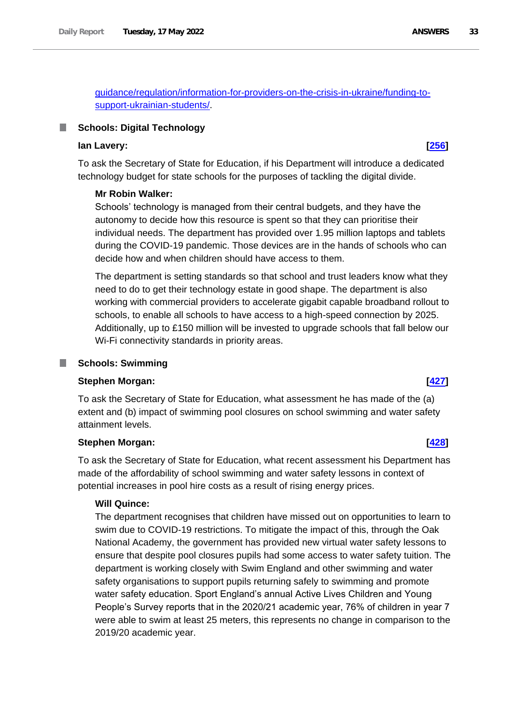[guidance/regulation/information-for-providers-on-the-crisis-in-ukraine/funding-to](https://www.officeforstudents.org.uk/advice-and-guidance/regulation/information-for-providers-on-the-crisis-in-ukraine/funding-to-support-ukrainian-students/)[support-ukrainian-students/.](https://www.officeforstudents.org.uk/advice-and-guidance/regulation/information-for-providers-on-the-crisis-in-ukraine/funding-to-support-ukrainian-students/)

# <span id="page-32-0"></span>**Schools: Digital Technology**

# **Ian Lavery: [\[256\]](http://www.parliament.uk/business/publications/written-questions-answers-statements/written-question/Commons/2022-05-10/256)**

To ask the Secretary of State for Education, if his Department will introduce a dedicated technology budget for state schools for the purposes of tackling the digital divide.

## **Mr Robin Walker:**

Schools' technology is managed from their central budgets, and they have the autonomy to decide how this resource is spent so that they can prioritise their individual needs. The department has provided over 1.95 million laptops and tablets during the COVID-19 pandemic. Those devices are in the hands of schools who can decide how and when children should have access to them.

The department is setting standards so that school and trust leaders know what they need to do to get their technology estate in good shape. The department is also working with commercial providers to accelerate gigabit capable broadband rollout to schools, to enable all schools to have access to a high-speed connection by 2025. Additionally, up to £150 million will be invested to upgrade schools that fall below our Wi-Fi connectivity standards in priority areas.

#### <span id="page-32-1"></span>**Schools: Swimming** .

### **Stephen Morgan: [\[427\]](http://www.parliament.uk/business/publications/written-questions-answers-statements/written-question/Commons/2022-05-10/427)**

To ask the Secretary of State for Education, what assessment he has made of the (a) extent and (b) impact of swimming pool closures on school swimming and water safety attainment levels.

## **Stephen Morgan: [\[428\]](http://www.parliament.uk/business/publications/written-questions-answers-statements/written-question/Commons/2022-05-10/428)**

To ask the Secretary of State for Education, what recent assessment his Department has made of the affordability of school swimming and water safety lessons in context of potential increases in pool hire costs as a result of rising energy prices.

#### **Will Quince:**

The department recognises that children have missed out on opportunities to learn to swim due to COVID-19 restrictions. To mitigate the impact of this, through the Oak National Academy, the government has provided new virtual water safety lessons to ensure that despite pool closures pupils had some access to water safety tuition. The department is working closely with Swim England and other swimming and water safety organisations to support pupils returning safely to swimming and promote water safety education. Sport England's annual Active Lives Children and Young People's Survey reports that in the 2020/21 academic year, 76% of children in year 7 were able to swim at least 25 meters, this represents no change in comparison to the 2019/20 academic year.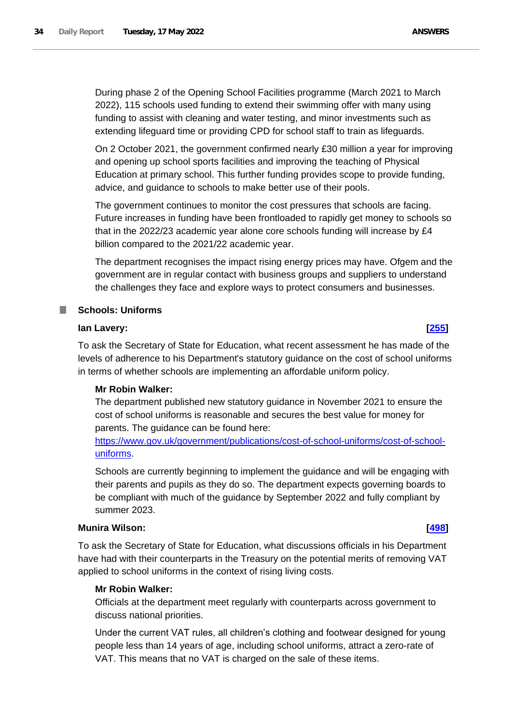During phase 2 of the Opening School Facilities programme (March 2021 to March 2022), 115 schools used funding to extend their swimming offer with many using funding to assist with cleaning and water testing, and minor investments such as extending lifeguard time or providing CPD for school staff to train as lifeguards.

On 2 October 2021, the government confirmed nearly £30 million a year for improving and opening up school sports facilities and improving the teaching of Physical Education at primary school. This further funding provides scope to provide funding, advice, and guidance to schools to make better use of their pools.

The government continues to monitor the cost pressures that schools are facing. Future increases in funding have been frontloaded to rapidly get money to schools so that in the 2022/23 academic year alone core schools funding will increase by £4 billion compared to the 2021/22 academic year.

The department recognises the impact rising energy prices may have. Ofgem and the government are in regular contact with business groups and suppliers to understand the challenges they face and explore ways to protect consumers and businesses.

# <span id="page-33-0"></span>**Schools: Uniforms**

# **Ian Lavery: [\[255\]](http://www.parliament.uk/business/publications/written-questions-answers-statements/written-question/Commons/2022-05-10/255)**

To ask the Secretary of State for Education, what recent assessment he has made of the levels of adherence to his Department's statutory guidance on the cost of school uniforms in terms of whether schools are implementing an affordable uniform policy.

## **Mr Robin Walker:**

The department published new statutory guidance in November 2021 to ensure the cost of school uniforms is reasonable and secures the best value for money for parents. The guidance can be found here:

https://www.gov.uk/government/publications/cost-of-school-uniforms/cost-of-schooluniforms.

Schools are currently beginning to implement the guidance and will be engaging with their parents and pupils as they do so. The department expects governing boards to be compliant with much of the guidance by September 2022 and fully compliant by summer 2023.

# **Munira Wilson: [\[498\]](http://www.parliament.uk/business/publications/written-questions-answers-statements/written-question/Commons/2022-05-10/498)**

To ask the Secretary of State for Education, what discussions officials in his Department have had with their counterparts in the Treasury on the potential merits of removing VAT applied to school uniforms in the context of rising living costs.

### **Mr Robin Walker:**

Officials at the department meet regularly with counterparts across government to discuss national priorities.

Under the current VAT rules, all children's clothing and footwear designed for young people less than 14 years of age, including school uniforms, attract a zero-rate of VAT. This means that no VAT is charged on the sale of these items.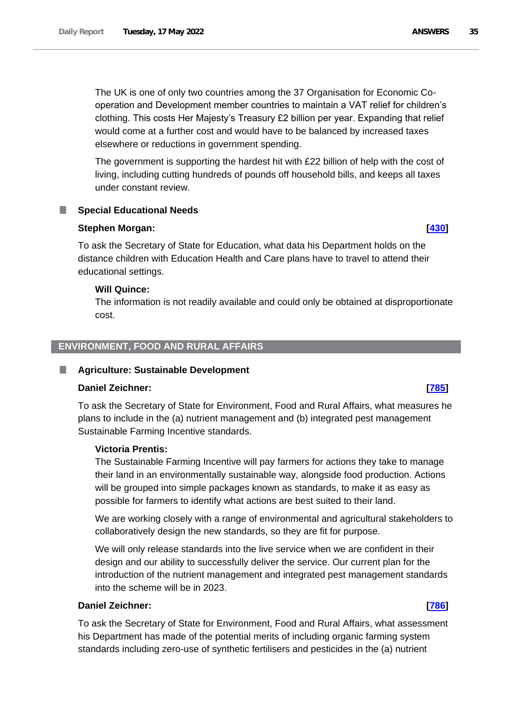The UK is one of only two countries among the 37 Organisation for Economic Cooperation and Development member countries to maintain a VAT relief for children's clothing. This costs Her Majesty's Treasury £2 billion per year. Expanding that relief would come at a further cost and would have to be balanced by increased taxes elsewhere or reductions in government spending.

The government is supporting the hardest hit with £22 billion of help with the cost of living, including cutting hundreds of pounds off household bills, and keeps all taxes under constant review.

### <span id="page-34-0"></span>**Special Educational Needs**

#### **Stephen Morgan: [\[430\]](http://www.parliament.uk/business/publications/written-questions-answers-statements/written-question/Commons/2022-05-10/430)**

To ask the Secretary of State for Education, what data his Department holds on the distance children with Education Health and Care plans have to travel to attend their educational settings.

#### **Will Quince:**

The information is not readily available and could only be obtained at disproportionate cost.

# <span id="page-34-1"></span>**ENVIRONMENT, FOOD AND RURAL AFFAIRS**

#### <span id="page-34-2"></span>**Agriculture: Sustainable Development** L.

#### **Daniel Zeichner: [\[785\]](http://www.parliament.uk/business/publications/written-questions-answers-statements/written-question/Commons/2022-05-11/785)**

To ask the Secretary of State for Environment, Food and Rural Affairs, what measures he plans to include in the (a) nutrient management and (b) integrated pest management Sustainable Farming Incentive standards.

#### **Victoria Prentis:**

The Sustainable Farming Incentive will pay farmers for actions they take to manage their land in an environmentally sustainable way, alongside food production. Actions will be grouped into simple packages known as standards, to make it as easy as possible for farmers to identify what actions are best suited to their land.

We are working closely with a range of environmental and agricultural stakeholders to collaboratively design the new standards, so they are fit for purpose.

We will only release standards into the live service when we are confident in their design and our ability to successfully deliver the service. Our current plan for the introduction of the nutrient management and integrated pest management standards into the scheme will be in 2023.

# **Daniel Zeichner: [\[786\]](http://www.parliament.uk/business/publications/written-questions-answers-statements/written-question/Commons/2022-05-11/786)**

To ask the Secretary of State for Environment, Food and Rural Affairs, what assessment his Department has made of the potential merits of including organic farming system standards including zero-use of synthetic fertilisers and pesticides in the (a) nutrient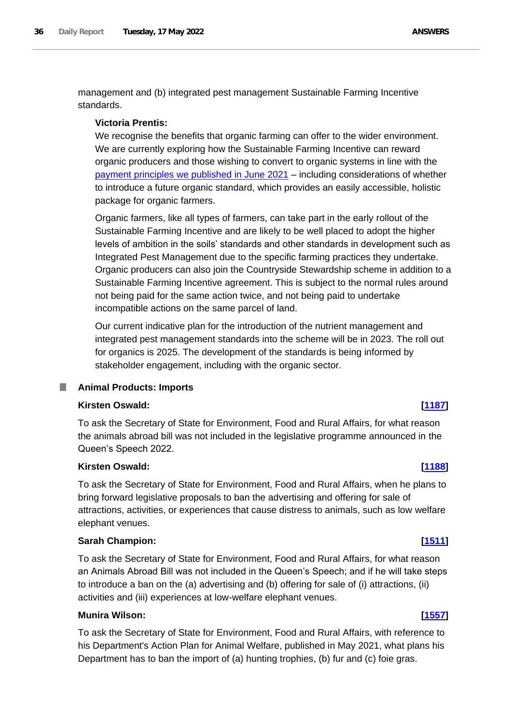management and (b) integrated pest management Sustainable Farming Incentive standards.

### **Victoria Prentis:**

We recognise the benefits that organic farming can offer to the wider environment. We are currently exploring how the Sustainable Farming Incentive can reward organic producers and those wishing to convert to organic systems in line with the payment principles we published in June 2021 – including considerations of whether to introduce a future organic standard, which provides an easily accessible, holistic package for organic farmers.

Organic farmers, like all types of farmers, can take part in the early rollout of the Sustainable Farming Incentive and are likely to be well placed to adopt the higher levels of ambition in the soils' standards and other standards in development such as Integrated Pest Management due to the specific farming practices they undertake. Organic producers can also join the Countryside Stewardship scheme in addition to a Sustainable Farming Incentive agreement. This is subject to the normal rules around not being paid for the same action twice, and not being paid to undertake incompatible actions on the same parcel of land.

Our current indicative plan for the introduction of the nutrient management and integrated pest management standards into the scheme will be in 2023. The roll out for organics is 2025. The development of the standards is being informed by stakeholder engagement, including with the organic sector.

<span id="page-35-0"></span>**Animal Products: Imports**

#### **Kirsten Oswald: [\[1187\]](http://www.parliament.uk/business/publications/written-questions-answers-statements/written-question/Commons/2022-05-12/1187)**

To ask the Secretary of State for Environment, Food and Rural Affairs, for what reason the animals abroad bill was not included in the legislative programme announced in the Queen's Speech 2022.

### **Kirsten Oswald: [\[1188\]](http://www.parliament.uk/business/publications/written-questions-answers-statements/written-question/Commons/2022-05-12/1188)**

To ask the Secretary of State for Environment, Food and Rural Affairs, when he plans to bring forward legislative proposals to ban the advertising and offering for sale of attractions, activities, or experiences that cause distress to animals, such as low welfare elephant venues.

# **Sarah Champion: [\[1511\]](http://www.parliament.uk/business/publications/written-questions-answers-statements/written-question/Commons/2022-05-13/1511)**

To ask the Secretary of State for Environment, Food and Rural Affairs, for what reason an Animals Abroad Bill was not included in the Queen's Speech; and if he will take steps to introduce a ban on the (a) advertising and (b) offering for sale of (i) attractions, (ii) activities and (iii) experiences at low-welfare elephant venues.

#### **Munira Wilson: [\[1557\]](http://www.parliament.uk/business/publications/written-questions-answers-statements/written-question/Commons/2022-05-13/1557)**

To ask the Secretary of State for Environment, Food and Rural Affairs, with reference to his Department's Action Plan for Animal Welfare, published in May 2021, what plans his Department has to ban the import of (a) hunting trophies, (b) fur and (c) foie gras.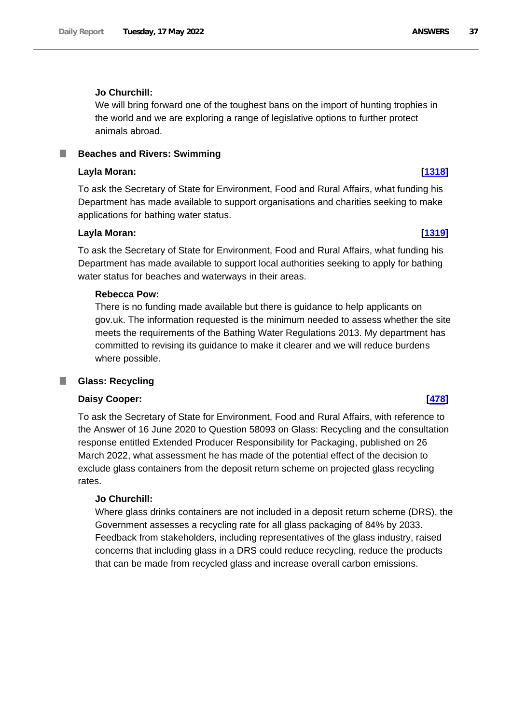# **Jo Churchill:**

We will bring forward one of the toughest bans on the import of hunting trophies in the world and we are exploring a range of legislative options to further protect animals abroad.

**Beaches and Rivers: Swimming**

# **Layla Moran: [\[1318\]](http://www.parliament.uk/business/publications/written-questions-answers-statements/written-question/Commons/2022-05-12/1318)**

To ask the Secretary of State for Environment, Food and Rural Affairs, what funding his Department has made available to support organisations and charities seeking to make applications for bathing water status.

# **Layla Moran: [\[1319\]](http://www.parliament.uk/business/publications/written-questions-answers-statements/written-question/Commons/2022-05-12/1319)**

To ask the Secretary of State for Environment, Food and Rural Affairs, what funding his Department has made available to support local authorities seeking to apply for bathing water status for beaches and waterways in their areas.

# **Rebecca Pow:**

There is no funding made available but there is guidance to help applicants on gov.uk. The information requested is the minimum needed to assess whether the site meets the requirements of the Bathing Water Regulations 2013. My department has committed to revising its guidance to make it clearer and we will reduce burdens where possible.

# **Glass: Recycling**

# **Daisy Cooper: [\[478\]](http://www.parliament.uk/business/publications/written-questions-answers-statements/written-question/Commons/2022-05-10/478)**

To ask the Secretary of State for Environment, Food and Rural Affairs, with reference to the Answer of 16 June 2020 to Question 58093 on Glass: Recycling and the consultation response entitled Extended Producer Responsibility for Packaging, published on 26 March 2022, what assessment he has made of the potential effect of the decision to exclude glass containers from the deposit return scheme on projected glass recycling rates.

# **Jo Churchill:**

Where glass drinks containers are not included in a deposit return scheme (DRS), the Government assesses a recycling rate for all glass packaging of 84% by 2033. Feedback from stakeholders, including representatives of the glass industry, raised concerns that including glass in a DRS could reduce recycling, reduce the products that can be made from recycled glass and increase overall carbon emissions.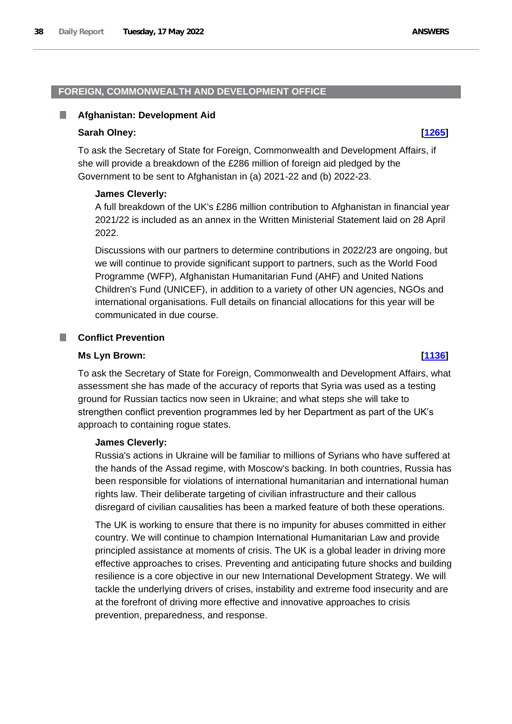# **FOREIGN, COMMONWEALTH AND DEVELOPMENT OFFICE**

# **Afghanistan: Development Aid**

# **Sarah Olney: [\[1265\]](http://www.parliament.uk/business/publications/written-questions-answers-statements/written-question/Commons/2022-05-12/1265)**

To ask the Secretary of State for Foreign, Commonwealth and Development Affairs, if she will provide a breakdown of the £286 million of foreign aid pledged by the Government to be sent to Afghanistan in (a) 2021-22 and (b) 2022-23.

# **James Cleverly:**

A full breakdown of the UK's £286 million contribution to Afghanistan in financial year 2021/22 is included as an annex in the Written Ministerial Statement laid on 28 April 2022.

Discussions with our partners to determine contributions in 2022/23 are ongoing, but we will continue to provide significant support to partners, such as the World Food Programme (WFP), Afghanistan Humanitarian Fund (AHF) and United Nations Children's Fund (UNICEF), in addition to a variety of other UN agencies, NGOs and international organisations. Full details on financial allocations for this year will be communicated in due course.

# **Conflict Prevention**

# **Ms Lyn Brown: [\[1136\]](http://www.parliament.uk/business/publications/written-questions-answers-statements/written-question/Commons/2022-05-12/1136)**

To ask the Secretary of State for Foreign, Commonwealth and Development Affairs, what assessment she has made of the accuracy of reports that Syria was used as a testing ground for Russian tactics now seen in Ukraine; and what steps she will take to strengthen conflict prevention programmes led by her Department as part of the UK's approach to containing rogue states.

# **James Cleverly:**

Russia's actions in Ukraine will be familiar to millions of Syrians who have suffered at the hands of the Assad regime, with Moscow's backing. In both countries, Russia has been responsible for violations of international humanitarian and international human rights law. Their deliberate targeting of civilian infrastructure and their callous disregard of civilian causalities has been a marked feature of both these operations.

The UK is working to ensure that there is no impunity for abuses committed in either country. We will continue to champion International Humanitarian Law and provide principled assistance at moments of crisis. The UK is a global leader in driving more effective approaches to crises. Preventing and anticipating future shocks and building resilience is a core objective in our new International Development Strategy. We will tackle the underlying drivers of crises, instability and extreme food insecurity and are at the forefront of driving more effective and innovative approaches to crisis prevention, preparedness, and response.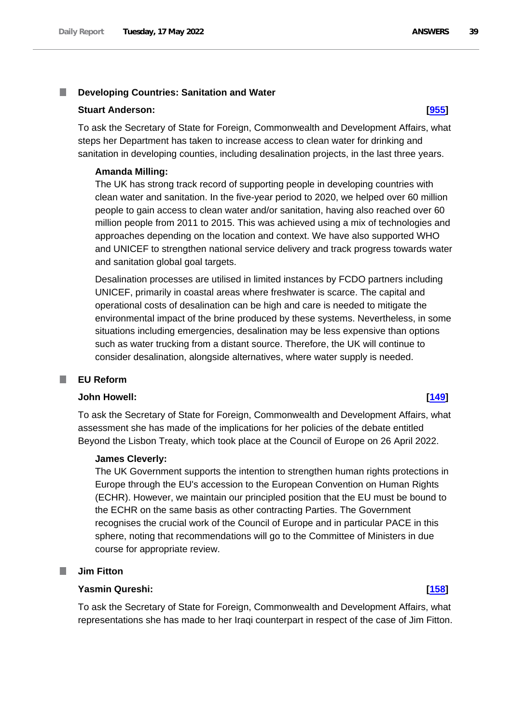### I. **Developing Countries: Sanitation and Water**

### **Stuart Anderson: [\[955\]](http://www.parliament.uk/business/publications/written-questions-answers-statements/written-question/Commons/2022-05-11/955)**

To ask the Secretary of State for Foreign, Commonwealth and Development Affairs, what steps her Department has taken to increase access to clean water for drinking and sanitation in developing counties, including desalination projects, in the last three years.

### **Amanda Milling:**

The UK has strong track record of supporting people in developing countries with clean water and sanitation. In the five-year period to 2020, we helped over 60 million people to gain access to clean water and/or sanitation, having also reached over 60 million people from 2011 to 2015. This was achieved using a mix of technologies and approaches depending on the location and context. We have also supported WHO and UNICEF to strengthen national service delivery and track progress towards water and sanitation global goal targets.

Desalination processes are utilised in limited instances by FCDO partners including UNICEF, primarily in coastal areas where freshwater is scarce. The capital and operational costs of desalination can be high and care is needed to mitigate the environmental impact of the brine produced by these systems. Nevertheless, in some situations including emergencies, desalination may be less expensive than options such as water trucking from a distant source. Therefore, the UK will continue to consider desalination, alongside alternatives, where water supply is needed.

### **I EU Reform**

# **John Howell: [\[149\]](http://www.parliament.uk/business/publications/written-questions-answers-statements/written-question/Commons/2022-05-10/149)**

To ask the Secretary of State for Foreign, Commonwealth and Development Affairs, what assessment she has made of the implications for her policies of the debate entitled Beyond the Lisbon Treaty, which took place at the Council of Europe on 26 April 2022.

## **James Cleverly:**

The UK Government supports the intention to strengthen human rights protections in Europe through the EU's accession to the European Convention on Human Rights (ECHR). However, we maintain our principled position that the EU must be bound to the ECHR on the same basis as other contracting Parties. The Government recognises the crucial work of the Council of Europe and in particular PACE in this sphere, noting that recommendations will go to the Committee of Ministers in due course for appropriate review.

### L. **Jim Fitton**

# **Yasmin Qureshi: [\[158\]](http://www.parliament.uk/business/publications/written-questions-answers-statements/written-question/Commons/2022-05-10/158)**

To ask the Secretary of State for Foreign, Commonwealth and Development Affairs, what representations she has made to her Iraqi counterpart in respect of the case of Jim Fitton.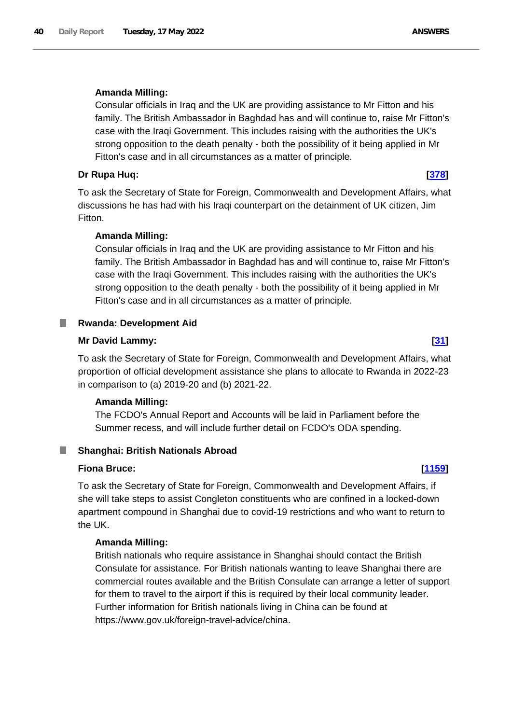# **Amanda Milling:**

Consular officials in Iraq and the UK are providing assistance to Mr Fitton and his family. The British Ambassador in Baghdad has and will continue to, raise Mr Fitton's case with the Iraqi Government. This includes raising with the authorities the UK's strong opposition to the death penalty - both the possibility of it being applied in Mr Fitton's case and in all circumstances as a matter of principle.

## **Dr Rupa Huq: [\[378\]](http://www.parliament.uk/business/publications/written-questions-answers-statements/written-question/Commons/2022-05-10/378)**

To ask the Secretary of State for Foreign, Commonwealth and Development Affairs, what discussions he has had with his Iraqi counterpart on the detainment of UK citizen, Jim Fitton.

## **Amanda Milling:**

Consular officials in Iraq and the UK are providing assistance to Mr Fitton and his family. The British Ambassador in Baghdad has and will continue to, raise Mr Fitton's case with the Iraqi Government. This includes raising with the authorities the UK's strong opposition to the death penalty - both the possibility of it being applied in Mr Fitton's case and in all circumstances as a matter of principle.

# **Rwanda: Development Aid**

### **Mr David Lammy: [\[31\]](http://www.parliament.uk/business/publications/written-questions-answers-statements/written-question/Commons/2022-05-10/31)**

To ask the Secretary of State for Foreign, Commonwealth and Development Affairs, what proportion of official development assistance she plans to allocate to Rwanda in 2022-23 in comparison to (a) 2019-20 and (b) 2021-22.

# **Amanda Milling:**

The FCDO's Annual Report and Accounts will be laid in Parliament before the Summer recess, and will include further detail on FCDO's ODA spending.

### ш **Shanghai: British Nationals Abroad**

# **Fiona Bruce: [\[1159\]](http://www.parliament.uk/business/publications/written-questions-answers-statements/written-question/Commons/2022-05-12/1159)**

To ask the Secretary of State for Foreign, Commonwealth and Development Affairs, if she will take steps to assist Congleton constituents who are confined in a locked-down apartment compound in Shanghai due to covid-19 restrictions and who want to return to the UK.

## **Amanda Milling:**

British nationals who require assistance in Shanghai should contact the British Consulate for assistance. For British nationals wanting to leave Shanghai there are commercial routes available and the British Consulate can arrange a letter of support for them to travel to the airport if this is required by their local community leader. Further information for British nationals living in China can be found at https://www.gov.uk/foreign-travel-advice/china.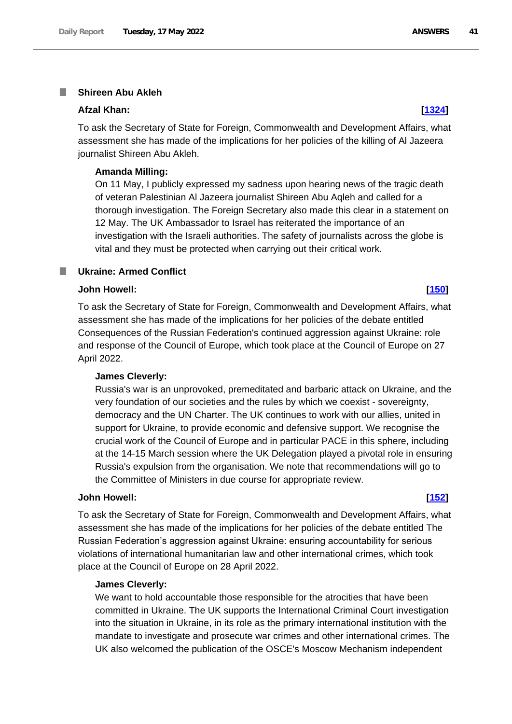### **Shireen Abu Akleh** T.

### **Afzal Khan: [\[1324\]](http://www.parliament.uk/business/publications/written-questions-answers-statements/written-question/Commons/2022-05-12/1324)**

To ask the Secretary of State for Foreign, Commonwealth and Development Affairs, what assessment she has made of the implications for her policies of the killing of Al Jazeera journalist Shireen Abu Akleh.

### **Amanda Milling:**

On 11 May, I publicly expressed my sadness upon hearing news of the tragic death of veteran Palestinian Al Jazeera journalist Shireen Abu Aqleh and called for a thorough investigation. The Foreign Secretary also made this clear in a statement on 12 May. The UK Ambassador to Israel has reiterated the importance of an investigation with the Israeli authorities. The safety of journalists across the globe is vital and they must be protected when carrying out their critical work.

### **Ukraine: Armed Conflict** a an

## **John Howell: [\[150\]](http://www.parliament.uk/business/publications/written-questions-answers-statements/written-question/Commons/2022-05-10/150)**

To ask the Secretary of State for Foreign, Commonwealth and Development Affairs, what assessment she has made of the implications for her policies of the debate entitled Consequences of the Russian Federation's continued aggression against Ukraine: role and response of the Council of Europe, which took place at the Council of Europe on 27 April 2022.

### **James Cleverly:**

Russia's war is an unprovoked, premeditated and barbaric attack on Ukraine, and the very foundation of our societies and the rules by which we coexist - sovereignty, democracy and the UN Charter. The UK continues to work with our allies, united in support for Ukraine, to provide economic and defensive support. We recognise the crucial work of the Council of Europe and in particular PACE in this sphere, including at the 14-15 March session where the UK Delegation played a pivotal role in ensuring Russia's expulsion from the organisation. We note that recommendations will go to the Committee of Ministers in due course for appropriate review.

### **John Howell: [\[152\]](http://www.parliament.uk/business/publications/written-questions-answers-statements/written-question/Commons/2022-05-10/152)**

To ask the Secretary of State for Foreign, Commonwealth and Development Affairs, what assessment she has made of the implications for her policies of the debate entitled The Russian Federation's aggression against Ukraine: ensuring accountability for serious violations of international humanitarian law and other international crimes, which took place at the Council of Europe on 28 April 2022.

## **James Cleverly:**

We want to hold accountable those responsible for the atrocities that have been committed in Ukraine. The UK supports the International Criminal Court investigation into the situation in Ukraine, in its role as the primary international institution with the mandate to investigate and prosecute war crimes and other international crimes. The UK also welcomed the publication of the OSCE's Moscow Mechanism independent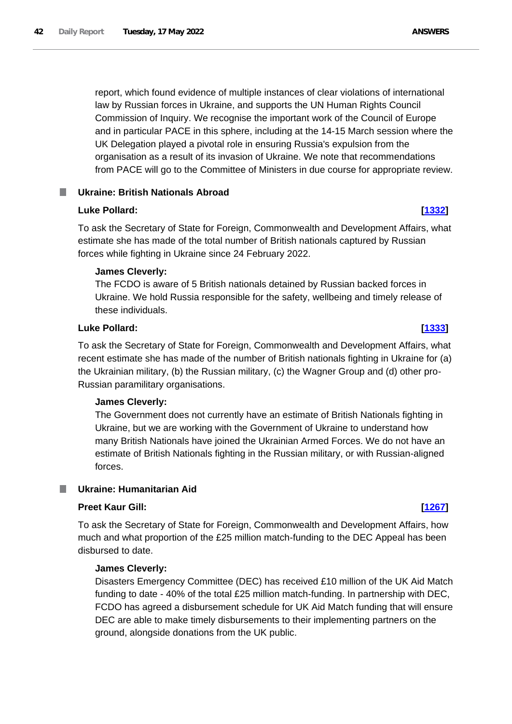report, which found evidence of multiple instances of clear violations of international law by Russian forces in Ukraine, and supports the UN Human Rights Council Commission of Inquiry. We recognise the important work of the Council of Europe and in particular PACE in this sphere, including at the 14-15 March session where the UK Delegation played a pivotal role in ensuring Russia's expulsion from the organisation as a result of its invasion of Ukraine. We note that recommendations from PACE will go to the Committee of Ministers in due course for appropriate review.

# **Ukraine: British Nationals Abroad**

# **Luke Pollard: [\[1332\]](http://www.parliament.uk/business/publications/written-questions-answers-statements/written-question/Commons/2022-05-12/1332)**

To ask the Secretary of State for Foreign, Commonwealth and Development Affairs, what estimate she has made of the total number of British nationals captured by Russian forces while fighting in Ukraine since 24 February 2022.

# **James Cleverly:**

The FCDO is aware of 5 British nationals detained by Russian backed forces in Ukraine. We hold Russia responsible for the safety, wellbeing and timely release of these individuals.

# **Luke Pollard: [\[1333\]](http://www.parliament.uk/business/publications/written-questions-answers-statements/written-question/Commons/2022-05-12/1333)**

To ask the Secretary of State for Foreign, Commonwealth and Development Affairs, what recent estimate she has made of the number of British nationals fighting in Ukraine for (a) the Ukrainian military, (b) the Russian military, (c) the Wagner Group and (d) other pro-Russian paramilitary organisations.

# **James Cleverly:**

The Government does not currently have an estimate of British Nationals fighting in Ukraine, but we are working with the Government of Ukraine to understand how many British Nationals have joined the Ukrainian Armed Forces. We do not have an estimate of British Nationals fighting in the Russian military, or with Russian-aligned forces.

### **Ukraine: Humanitarian Aid** ш

# **Preet Kaur Gill: [\[1267\]](http://www.parliament.uk/business/publications/written-questions-answers-statements/written-question/Commons/2022-05-12/1267)**

To ask the Secretary of State for Foreign, Commonwealth and Development Affairs, how much and what proportion of the £25 million match-funding to the DEC Appeal has been disbursed to date.

# **James Cleverly:**

Disasters Emergency Committee (DEC) has received £10 million of the UK Aid Match funding to date - 40% of the total £25 million match-funding. In partnership with DEC, FCDO has agreed a disbursement schedule for UK Aid Match funding that will ensure DEC are able to make timely disbursements to their implementing partners on the ground, alongside donations from the UK public.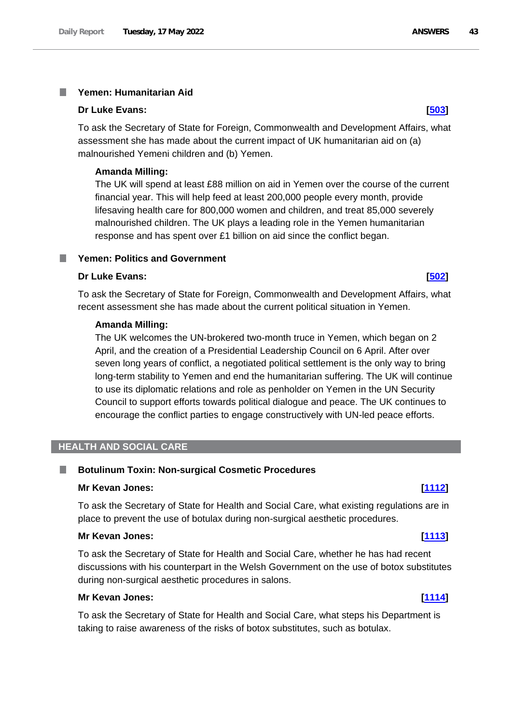### **Yemen: Humanitarian Aid** T.

### **Dr Luke Evans: [\[503\]](http://www.parliament.uk/business/publications/written-questions-answers-statements/written-question/Commons/2022-05-10/503)**

To ask the Secretary of State for Foreign, Commonwealth and Development Affairs, what assessment she has made about the current impact of UK humanitarian aid on (a) malnourished Yemeni children and (b) Yemen.

## **Amanda Milling:**

The UK will spend at least £88 million on aid in Yemen over the course of the current financial year. This will help feed at least 200,000 people every month, provide lifesaving health care for 800,000 women and children, and treat 85,000 severely malnourished children. The UK plays a leading role in the Yemen humanitarian response and has spent over £1 billion on aid since the conflict began.

# **Yemen: Politics and Government**

# **Dr Luke Evans: [\[502\]](http://www.parliament.uk/business/publications/written-questions-answers-statements/written-question/Commons/2022-05-10/502)**

To ask the Secretary of State for Foreign, Commonwealth and Development Affairs, what recent assessment she has made about the current political situation in Yemen.

### **Amanda Milling:**

The UK welcomes the UN-brokered two-month truce in Yemen, which began on 2 April, and the creation of a Presidential Leadership Council on 6 April. After over seven long years of conflict, a negotiated political settlement is the only way to bring long-term stability to Yemen and end the humanitarian suffering. The UK will continue to use its diplomatic relations and role as penholder on Yemen in the UN Security Council to support efforts towards political dialogue and peace. The UK continues to encourage the conflict parties to engage constructively with UN-led peace efforts.

# **HEALTH AND SOCIAL CARE**

### **Botulinum Toxin: Non-surgical Cosmetic Procedures** I.

# **Mr Kevan Jones: [\[1112\]](http://www.parliament.uk/business/publications/written-questions-answers-statements/written-question/Commons/2022-05-12/1112)**

To ask the Secretary of State for Health and Social Care, what existing regulations are in place to prevent the use of botulax during non-surgical aesthetic procedures.

## **Mr Kevan Jones: [\[1113\]](http://www.parliament.uk/business/publications/written-questions-answers-statements/written-question/Commons/2022-05-12/1113)**

To ask the Secretary of State for Health and Social Care, whether he has had recent discussions with his counterpart in the Welsh Government on the use of botox substitutes during non-surgical aesthetic procedures in salons.

# **Mr Kevan Jones: [\[1114\]](http://www.parliament.uk/business/publications/written-questions-answers-statements/written-question/Commons/2022-05-12/1114)**

To ask the Secretary of State for Health and Social Care, what steps his Department is taking to raise awareness of the risks of botox substitutes, such as botulax.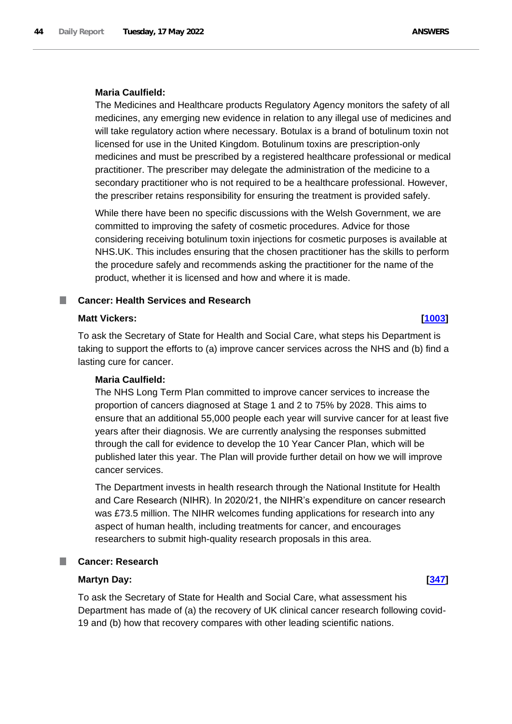# **Maria Caulfield:**

The Medicines and Healthcare products Regulatory Agency monitors the safety of all medicines, any emerging new evidence in relation to any illegal use of medicines and will take regulatory action where necessary. Botulax is a brand of botulinum toxin not licensed for use in the United Kingdom. Botulinum toxins are prescription-only medicines and must be prescribed by a registered healthcare professional or medical practitioner. The prescriber may delegate the administration of the medicine to a secondary practitioner who is not required to be a healthcare professional. However, the prescriber retains responsibility for ensuring the treatment is provided safely.

While there have been no specific discussions with the Welsh Government, we are committed to improving the safety of cosmetic procedures. Advice for those considering receiving botulinum toxin injections for cosmetic purposes is available at NHS.UK. This includes ensuring that the chosen practitioner has the skills to perform the procedure safely and recommends asking the practitioner for the name of the product, whether it is licensed and how and where it is made.

# **Cancer: Health Services and Research**

# **Matt Vickers: [\[1003\]](http://www.parliament.uk/business/publications/written-questions-answers-statements/written-question/Commons/2022-05-11/1003)**

To ask the Secretary of State for Health and Social Care, what steps his Department is taking to support the efforts to (a) improve cancer services across the NHS and (b) find a lasting cure for cancer.

# **Maria Caulfield:**

The NHS Long Term Plan committed to improve cancer services to increase the proportion of cancers diagnosed at Stage 1 and 2 to 75% by 2028. This aims to ensure that an additional 55,000 people each year will survive cancer for at least five years after their diagnosis. We are currently analysing the responses submitted through the call for evidence to develop the 10 Year Cancer Plan, which will be published later this year. The Plan will provide further detail on how we will improve cancer services.

The Department invests in health research through the National Institute for Health and Care Research (NIHR). In 2020/21, the NIHR's expenditure on cancer research was £73.5 million. The NIHR welcomes funding applications for research into any aspect of human health, including treatments for cancer, and encourages researchers to submit high-quality research proposals in this area.

# **Cancer: Research**

# **Martyn Day: [\[347\]](http://www.parliament.uk/business/publications/written-questions-answers-statements/written-question/Commons/2022-05-10/347)**

To ask the Secretary of State for Health and Social Care, what assessment his Department has made of (a) the recovery of UK clinical cancer research following covid-19 and (b) how that recovery compares with other leading scientific nations.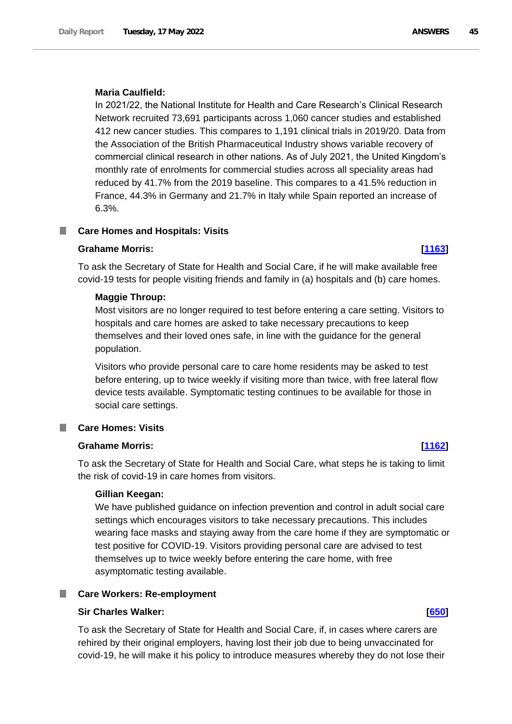## **Maria Caulfield:**

In 2021/22, the National Institute for Health and Care Research's Clinical Research Network recruited 73,691 participants across 1,060 cancer studies and established 412 new cancer studies. This compares to 1,191 clinical trials in 2019/20. Data from the Association of the British Pharmaceutical Industry shows variable recovery of commercial clinical research in other nations. As of July 2021, the United Kingdom's monthly rate of enrolments for commercial studies across all speciality areas had reduced by 41.7% from the 2019 baseline. This compares to a 41.5% reduction in France, 44.3% in Germany and 21.7% in Italy while Spain reported an increase of 6.3%.

# **Care Homes and Hospitals: Visits**

## **Grahame Morris: [\[1163\]](http://www.parliament.uk/business/publications/written-questions-answers-statements/written-question/Commons/2022-05-12/1163)**

To ask the Secretary of State for Health and Social Care, if he will make available free covid-19 tests for people visiting friends and family in (a) hospitals and (b) care homes.

## **Maggie Throup:**

Most visitors are no longer required to test before entering a care setting. Visitors to hospitals and care homes are asked to take necessary precautions to keep themselves and their loved ones safe, in line with the guidance for the general population.

Visitors who provide personal care to care home residents may be asked to test before entering, up to twice weekly if visiting more than twice, with free lateral flow device tests available. Symptomatic testing continues to be available for those in social care settings.

## **Care Homes: Visits**

### **Grahame Morris: [\[1162\]](http://www.parliament.uk/business/publications/written-questions-answers-statements/written-question/Commons/2022-05-12/1162)**

To ask the Secretary of State for Health and Social Care, what steps he is taking to limit the risk of covid-19 in care homes from visitors.

## **Gillian Keegan:**

We have published guidance on infection prevention and control in adult social care settings which encourages visitors to take necessary precautions. This includes wearing face masks and staying away from the care home if they are symptomatic or test positive for COVID-19. Visitors providing personal care are advised to test themselves up to twice weekly before entering the care home, with free asymptomatic testing available.

### **Care Workers: Re-employment**

### **Sir Charles Walker: [\[650\]](http://www.parliament.uk/business/publications/written-questions-answers-statements/written-question/Commons/2022-05-11/650)**

To ask the Secretary of State for Health and Social Care, if, in cases where carers are rehired by their original employers, having lost their job due to being unvaccinated for covid-19, he will make it his policy to introduce measures whereby they do not lose their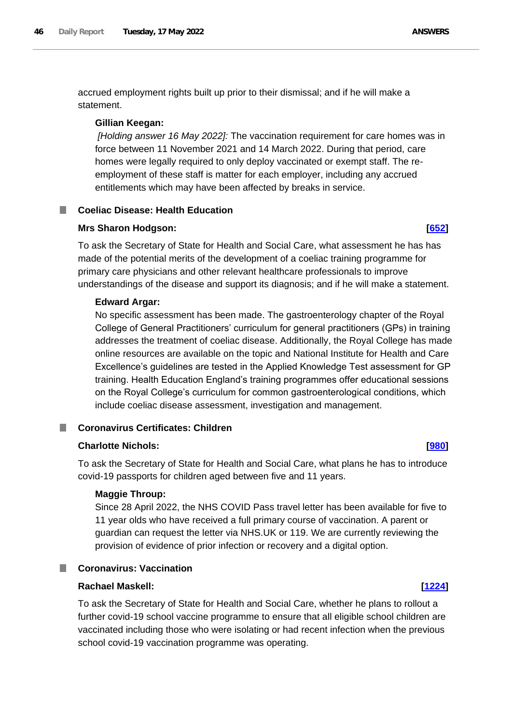accrued employment rights built up prior to their dismissal; and if he will make a statement.

## **Gillian Keegan:**

*[Holding answer 16 May 2022]:* The vaccination requirement for care homes was in force between 11 November 2021 and 14 March 2022. During that period, care homes were legally required to only deploy vaccinated or exempt staff. The reemployment of these staff is matter for each employer, including any accrued entitlements which may have been affected by breaks in service.

# **Coeliac Disease: Health Education**

## **Mrs Sharon Hodgson: [\[652\]](http://www.parliament.uk/business/publications/written-questions-answers-statements/written-question/Commons/2022-05-11/652)**

To ask the Secretary of State for Health and Social Care, what assessment he has has made of the potential merits of the development of a coeliac training programme for primary care physicians and other relevant healthcare professionals to improve understandings of the disease and support its diagnosis; and if he will make a statement.

## **Edward Argar:**

No specific assessment has been made. The gastroenterology chapter of the Royal College of General Practitioners' curriculum for general practitioners (GPs) in training addresses the treatment of coeliac disease. Additionally, the Royal College has made online resources are available on the topic and National Institute for Health and Care Excellence's guidelines are tested in the Applied Knowledge Test assessment for GP training. Health Education England's training programmes offer educational sessions on the Royal College's curriculum for common gastroenterological conditions, which include coeliac disease assessment, investigation and management.

### **Coronavirus Certificates: Children** ш

# **Charlotte Nichols: [\[980\]](http://www.parliament.uk/business/publications/written-questions-answers-statements/written-question/Commons/2022-05-11/980)**

To ask the Secretary of State for Health and Social Care, what plans he has to introduce covid-19 passports for children aged between five and 11 years.

## **Maggie Throup:**

Since 28 April 2022, the NHS COVID Pass travel letter has been available for five to 11 year olds who have received a full primary course of vaccination. A parent or guardian can request the letter via NHS.UK or 119. We are currently reviewing the provision of evidence of prior infection or recovery and a digital option.

# **Coronavirus: Vaccination**

### **Rachael Maskell: [\[1224\]](http://www.parliament.uk/business/publications/written-questions-answers-statements/written-question/Commons/2022-05-12/1224)**

To ask the Secretary of State for Health and Social Care, whether he plans to rollout a further covid-19 school vaccine programme to ensure that all eligible school children are vaccinated including those who were isolating or had recent infection when the previous school covid-19 vaccination programme was operating.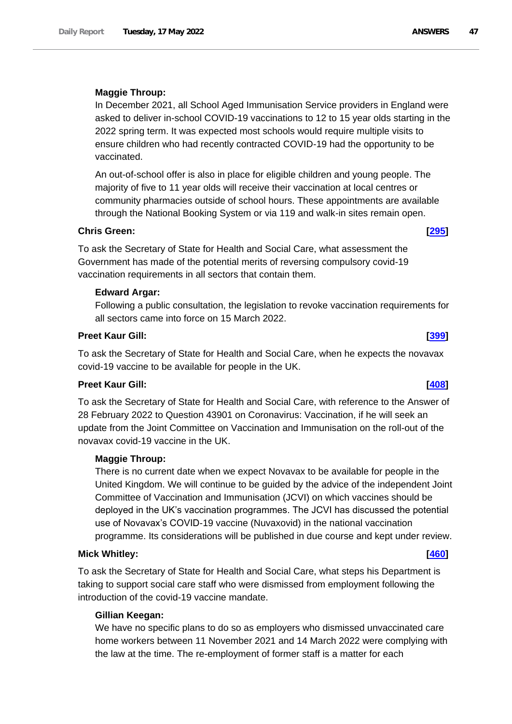# **Maggie Throup:**

In December 2021, all School Aged Immunisation Service providers in England were asked to deliver in-school COVID-19 vaccinations to 12 to 15 year olds starting in the 2022 spring term. It was expected most schools would require multiple visits to ensure children who had recently contracted COVID-19 had the opportunity to be vaccinated.

An out-of-school offer is also in place for eligible children and young people. The majority of five to 11 year olds will receive their vaccination at local centres or community pharmacies outside of school hours. These appointments are available through the National Booking System or via 119 and walk-in sites remain open.

# **Chris Green: [\[295\]](http://www.parliament.uk/business/publications/written-questions-answers-statements/written-question/Commons/2022-05-10/295)**

To ask the Secretary of State for Health and Social Care, what assessment the Government has made of the potential merits of reversing compulsory covid-19 vaccination requirements in all sectors that contain them.

# **Edward Argar:**

Following a public consultation, the legislation to revoke vaccination requirements for all sectors came into force on 15 March 2022.

# **Preet Kaur Gill: [\[399\]](http://www.parliament.uk/business/publications/written-questions-answers-statements/written-question/Commons/2022-05-10/399)**

To ask the Secretary of State for Health and Social Care, when he expects the novavax covid-19 vaccine to be available for people in the UK.

# **Preet Kaur Gill: [\[408\]](http://www.parliament.uk/business/publications/written-questions-answers-statements/written-question/Commons/2022-05-10/408)**

To ask the Secretary of State for Health and Social Care, with reference to the Answer of 28 February 2022 to Question 43901 on Coronavirus: Vaccination, if he will seek an update from the Joint Committee on Vaccination and Immunisation on the roll-out of the novavax covid-19 vaccine in the UK.

# **Maggie Throup:**

There is no current date when we expect Novavax to be available for people in the United Kingdom. We will continue to be guided by the advice of the independent Joint Committee of Vaccination and Immunisation (JCVI) on which vaccines should be deployed in the UK's vaccination programmes. The JCVI has discussed the potential use of Novavax's COVID-19 vaccine (Nuvaxovid) in the national vaccination programme. Its considerations will be published in due course and kept under review.

### **Mick Whitley: [\[460\]](http://www.parliament.uk/business/publications/written-questions-answers-statements/written-question/Commons/2022-05-10/460)**

To ask the Secretary of State for Health and Social Care, what steps his Department is taking to support social care staff who were dismissed from employment following the introduction of the covid-19 vaccine mandate.

# **Gillian Keegan:**

We have no specific plans to do so as employers who dismissed unvaccinated care home workers between 11 November 2021 and 14 March 2022 were complying with the law at the time. The re-employment of former staff is a matter for each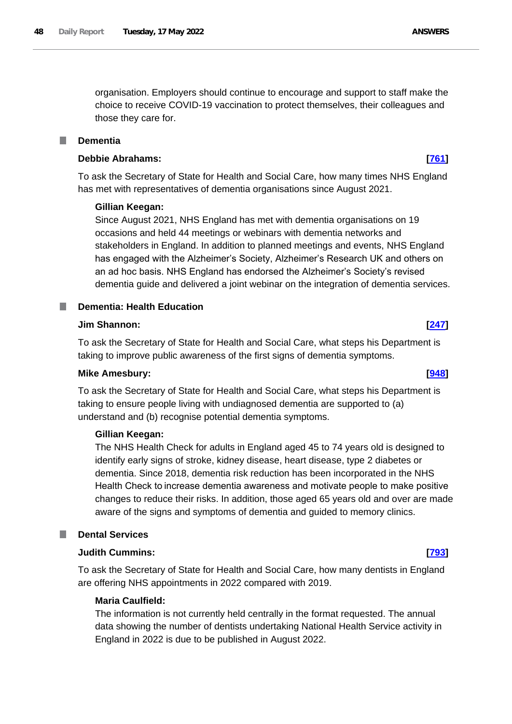organisation. Employers should continue to encourage and support to staff make the choice to receive COVID-19 vaccination to protect themselves, their colleagues and those they care for.

### F. **Dementia**

## **Debbie Abrahams: [\[761\]](http://www.parliament.uk/business/publications/written-questions-answers-statements/written-question/Commons/2022-05-11/761)**

To ask the Secretary of State for Health and Social Care, how many times NHS England has met with representatives of dementia organisations since August 2021.

## **Gillian Keegan:**

Since August 2021, NHS England has met with dementia organisations on 19 occasions and held 44 meetings or webinars with dementia networks and stakeholders in England. In addition to planned meetings and events, NHS England has engaged with the Alzheimer's Society, Alzheimer's Research UK and others on an ad hoc basis. NHS England has endorsed the Alzheimer's Society's revised dementia guide and delivered a joint webinar on the integration of dementia services.

# **Dementia: Health Education**

# **Jim Shannon: [\[247\]](http://www.parliament.uk/business/publications/written-questions-answers-statements/written-question/Commons/2022-05-10/247)**

To ask the Secretary of State for Health and Social Care, what steps his Department is taking to improve public awareness of the first signs of dementia symptoms.

### **Mike Amesbury: [\[948\]](http://www.parliament.uk/business/publications/written-questions-answers-statements/written-question/Commons/2022-05-11/948)**

To ask the Secretary of State for Health and Social Care, what steps his Department is taking to ensure people living with undiagnosed dementia are supported to (a) understand and (b) recognise potential dementia symptoms.

## **Gillian Keegan:**

The NHS Health Check for adults in England aged 45 to 74 years old is designed to identify early signs of stroke, kidney disease, heart disease, type 2 diabetes or dementia. Since 2018, dementia risk reduction has been incorporated in the NHS Health Check to increase dementia awareness and motivate people to make positive changes to reduce their risks. In addition, those aged 65 years old and over are made aware of the signs and symptoms of dementia and guided to memory clinics.

# **Dental Services**

### **Judith Cummins: [\[793\]](http://www.parliament.uk/business/publications/written-questions-answers-statements/written-question/Commons/2022-05-11/793)**

To ask the Secretary of State for Health and Social Care, how many dentists in England are offering NHS appointments in 2022 compared with 2019.

# **Maria Caulfield:**

The information is not currently held centrally in the format requested. The annual data showing the number of dentists undertaking National Health Service activity in England in 2022 is due to be published in August 2022.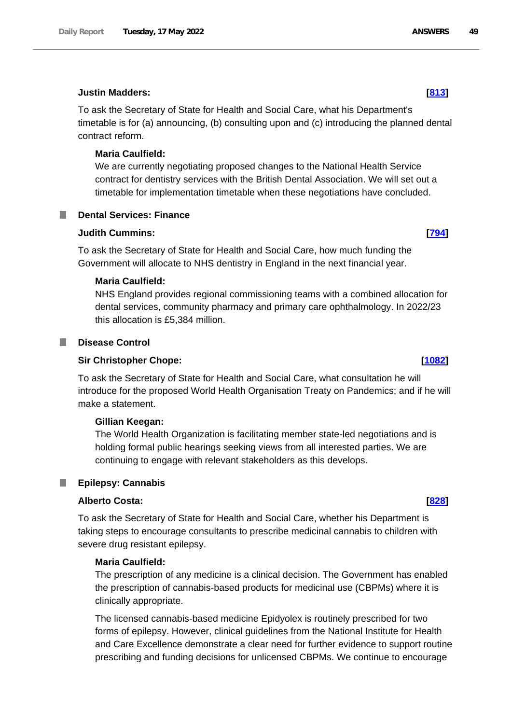## **Justin Madders: [\[813\]](http://www.parliament.uk/business/publications/written-questions-answers-statements/written-question/Commons/2022-05-11/813)**

To ask the Secretary of State for Health and Social Care, what his Department's timetable is for (a) announcing, (b) consulting upon and (c) introducing the planned dental contract reform.

# **Maria Caulfield:**

We are currently negotiating proposed changes to the National Health Service contract for dentistry services with the British Dental Association. We will set out a timetable for implementation timetable when these negotiations have concluded.

# **Dental Services: Finance**

# **Judith Cummins: [\[794\]](http://www.parliament.uk/business/publications/written-questions-answers-statements/written-question/Commons/2022-05-11/794)**

To ask the Secretary of State for Health and Social Care, how much funding the Government will allocate to NHS dentistry in England in the next financial year.

# **Maria Caulfield:**

NHS England provides regional commissioning teams with a combined allocation for dental services, community pharmacy and primary care ophthalmology. In 2022/23 this allocation is £5,384 million.

# **Disease Control**

# **Sir Christopher Chope: [\[1082\]](http://www.parliament.uk/business/publications/written-questions-answers-statements/written-question/Commons/2022-05-12/1082)**

To ask the Secretary of State for Health and Social Care, what consultation he will introduce for the proposed World Health Organisation Treaty on Pandemics; and if he will make a statement.

# **Gillian Keegan:**

The World Health Organization is facilitating member state-led negotiations and is holding formal public hearings seeking views from all interested parties. We are continuing to engage with relevant stakeholders as this develops.

# **Epilepsy: Cannabis**

# **Alberto Costa: [\[828\]](http://www.parliament.uk/business/publications/written-questions-answers-statements/written-question/Commons/2022-05-11/828)**

To ask the Secretary of State for Health and Social Care, whether his Department is taking steps to encourage consultants to prescribe medicinal cannabis to children with severe drug resistant epilepsy.

# **Maria Caulfield:**

The prescription of any medicine is a clinical decision. The Government has enabled the prescription of cannabis-based products for medicinal use (CBPMs) where it is clinically appropriate.

The licensed cannabis-based medicine Epidyolex is routinely prescribed for two forms of epilepsy. However, clinical guidelines from the National Institute for Health and Care Excellence demonstrate a clear need for further evidence to support routine prescribing and funding decisions for unlicensed CBPMs. We continue to encourage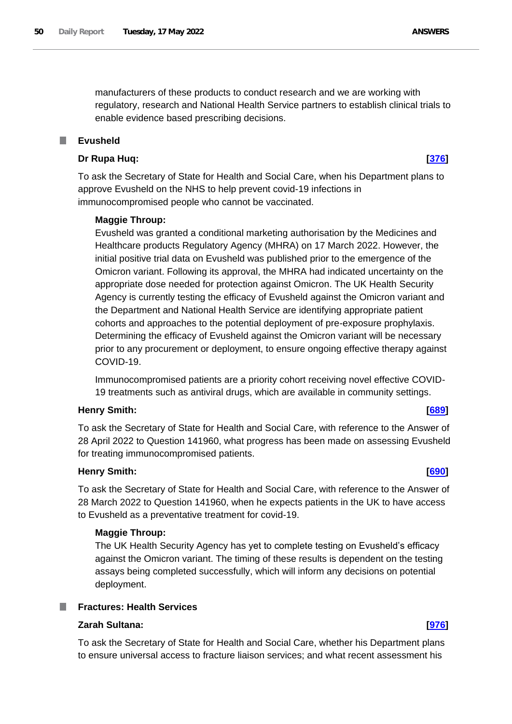manufacturers of these products to conduct research and we are working with regulatory, research and National Health Service partners to establish clinical trials to enable evidence based prescribing decisions.

# **Evusheld**

## **Dr Rupa Huq: [\[376\]](http://www.parliament.uk/business/publications/written-questions-answers-statements/written-question/Commons/2022-05-10/376)**

To ask the Secretary of State for Health and Social Care, when his Department plans to approve Evusheld on the NHS to help prevent covid-19 infections in immunocompromised people who cannot be vaccinated.

## **Maggie Throup:**

Evusheld was granted a conditional marketing authorisation by the Medicines and Healthcare products Regulatory Agency (MHRA) on 17 March 2022. However, the initial positive trial data on Evusheld was published prior to the emergence of the Omicron variant. Following its approval, the MHRA had indicated uncertainty on the appropriate dose needed for protection against Omicron. The UK Health Security Agency is currently testing the efficacy of Evusheld against the Omicron variant and the Department and National Health Service are identifying appropriate patient cohorts and approaches to the potential deployment of pre-exposure prophylaxis. Determining the efficacy of Evusheld against the Omicron variant will be necessary prior to any procurement or deployment, to ensure ongoing effective therapy against COVID-19.

Immunocompromised patients are a priority cohort receiving novel effective COVID-19 treatments such as antiviral drugs, which are available in community settings.

## **Henry Smith: [\[689\]](http://www.parliament.uk/business/publications/written-questions-answers-statements/written-question/Commons/2022-05-11/689)**

To ask the Secretary of State for Health and Social Care, with reference to the Answer of 28 April 2022 to Question 141960, what progress has been made on assessing Evusheld for treating immunocompromised patients.

# **Henry Smith: [\[690\]](http://www.parliament.uk/business/publications/written-questions-answers-statements/written-question/Commons/2022-05-11/690)**

To ask the Secretary of State for Health and Social Care, with reference to the Answer of 28 March 2022 to Question 141960, when he expects patients in the UK to have access to Evusheld as a preventative treatment for covid-19.

## **Maggie Throup:**

The UK Health Security Agency has yet to complete testing on Evusheld's efficacy against the Omicron variant. The timing of these results is dependent on the testing assays being completed successfully, which will inform any decisions on potential deployment.

# **Fractures: Health Services**

# **Zarah Sultana: [\[976\]](http://www.parliament.uk/business/publications/written-questions-answers-statements/written-question/Commons/2022-05-11/976)**

To ask the Secretary of State for Health and Social Care, whether his Department plans to ensure universal access to fracture liaison services; and what recent assessment his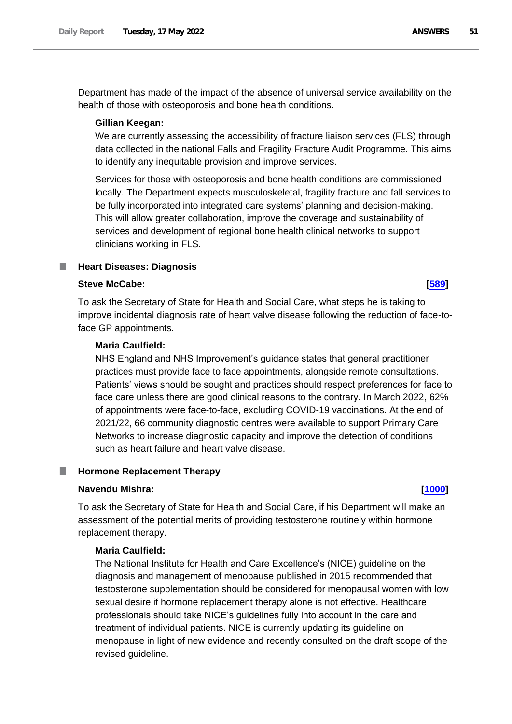Department has made of the impact of the absence of universal service availability on the health of those with osteoporosis and bone health conditions.

## **Gillian Keegan:**

We are currently assessing the accessibility of fracture liaison services (FLS) through data collected in the national Falls and Fragility Fracture Audit Programme. This aims to identify any inequitable provision and improve services.

Services for those with osteoporosis and bone health conditions are commissioned locally. The Department expects musculoskeletal, fragility fracture and fall services to be fully incorporated into integrated care systems' planning and decision-making. This will allow greater collaboration, improve the coverage and sustainability of services and development of regional bone health clinical networks to support clinicians working in FLS.

### n. **Heart Diseases: Diagnosis**

# **Steve McCabe: [\[589\]](http://www.parliament.uk/business/publications/written-questions-answers-statements/written-question/Commons/2022-05-11/589)**

To ask the Secretary of State for Health and Social Care, what steps he is taking to improve incidental diagnosis rate of heart valve disease following the reduction of face-toface GP appointments.

# **Maria Caulfield:**

NHS England and NHS Improvement's guidance states that general practitioner practices must provide face to face appointments, alongside remote consultations. Patients' views should be sought and practices should respect preferences for face to face care unless there are good clinical reasons to the contrary. In March 2022, 62% of appointments were face-to-face, excluding COVID-19 vaccinations. At the end of 2021/22, 66 community diagnostic centres were available to support Primary Care Networks to increase diagnostic capacity and improve the detection of conditions such as heart failure and heart valve disease.

### **Hormone Replacement Therapy** ш

### **Navendu Mishra: [\[1000\]](http://www.parliament.uk/business/publications/written-questions-answers-statements/written-question/Commons/2022-05-11/1000)**

To ask the Secretary of State for Health and Social Care, if his Department will make an assessment of the potential merits of providing testosterone routinely within hormone replacement therapy.

# **Maria Caulfield:**

The National Institute for Health and Care Excellence's (NICE) guideline on the diagnosis and management of menopause published in 2015 recommended that testosterone supplementation should be considered for menopausal women with low sexual desire if hormone replacement therapy alone is not effective. Healthcare professionals should take NICE's guidelines fully into account in the care and treatment of individual patients. NICE is currently updating its guideline on menopause in light of new evidence and recently consulted on the draft scope of the revised guideline.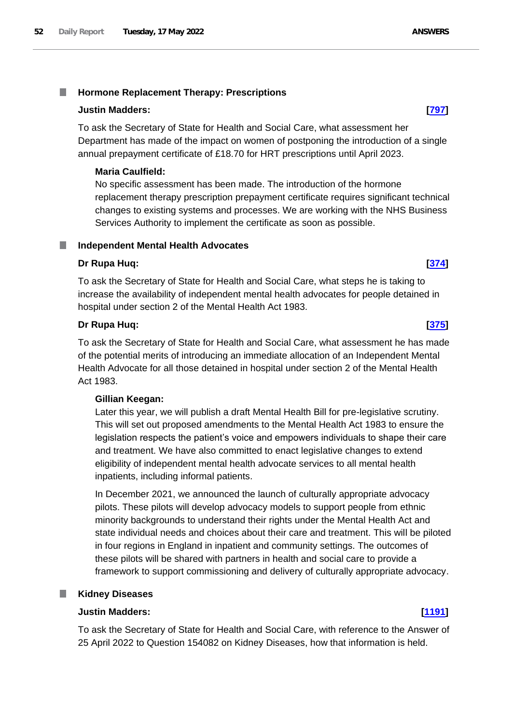### T. **Hormone Replacement Therapy: Prescriptions**

# **Justin Madders: [\[797\]](http://www.parliament.uk/business/publications/written-questions-answers-statements/written-question/Commons/2022-05-11/797)**

To ask the Secretary of State for Health and Social Care, what assessment her Department has made of the impact on women of postponing the introduction of a single annual prepayment certificate of £18.70 for HRT prescriptions until April 2023.

# **Maria Caulfield:**

No specific assessment has been made. The introduction of the hormone replacement therapy prescription prepayment certificate requires significant technical changes to existing systems and processes. We are working with the NHS Business Services Authority to implement the certificate as soon as possible.

# **Independent Mental Health Advocates**

# **Dr Rupa Huq: [\[374\]](http://www.parliament.uk/business/publications/written-questions-answers-statements/written-question/Commons/2022-05-10/374)**

To ask the Secretary of State for Health and Social Care, what steps he is taking to increase the availability of independent mental health advocates for people detained in hospital under section 2 of the Mental Health Act 1983.

# **Dr Rupa Huq: [\[375\]](http://www.parliament.uk/business/publications/written-questions-answers-statements/written-question/Commons/2022-05-10/375)**

To ask the Secretary of State for Health and Social Care, what assessment he has made of the potential merits of introducing an immediate allocation of an Independent Mental Health Advocate for all those detained in hospital under section 2 of the Mental Health Act 1983.

# **Gillian Keegan:**

Later this year, we will publish a draft Mental Health Bill for pre-legislative scrutiny. This will set out proposed amendments to the Mental Health Act 1983 to ensure the legislation respects the patient's voice and empowers individuals to shape their care and treatment. We have also committed to enact legislative changes to extend eligibility of independent mental health advocate services to all mental health inpatients, including informal patients.

In December 2021, we announced the launch of culturally appropriate advocacy pilots. These pilots will develop advocacy models to support people from ethnic minority backgrounds to understand their rights under the Mental Health Act and state individual needs and choices about their care and treatment. This will be piloted in four regions in England in inpatient and community settings. The outcomes of these pilots will be shared with partners in health and social care to provide a framework to support commissioning and delivery of culturally appropriate advocacy.

# **Kidney Diseases**

# **Justin Madders: [\[1191\]](http://www.parliament.uk/business/publications/written-questions-answers-statements/written-question/Commons/2022-05-12/1191)**

To ask the Secretary of State for Health and Social Care, with reference to the Answer of 25 April 2022 to Question 154082 on Kidney Diseases, how that information is held.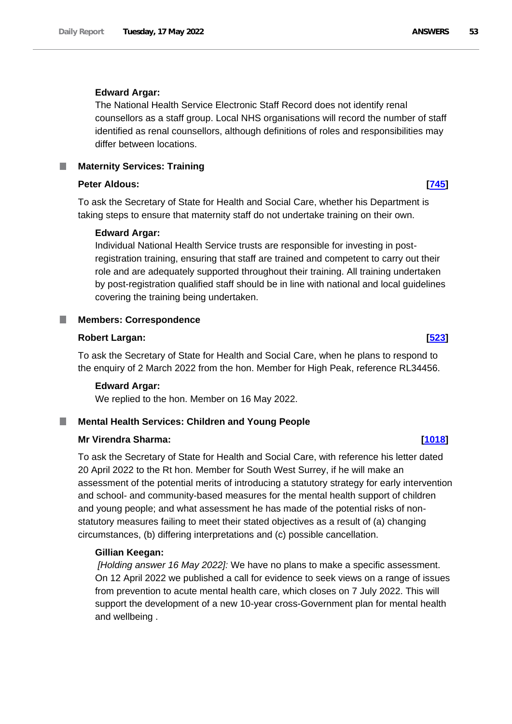## **Edward Argar:**

The National Health Service Electronic Staff Record does not identify renal counsellors as a staff group. Local NHS organisations will record the number of staff identified as renal counsellors, although definitions of roles and responsibilities may differ between locations.

**Maternity Services: Training**

# **Peter Aldous: [\[745\]](http://www.parliament.uk/business/publications/written-questions-answers-statements/written-question/Commons/2022-05-11/745)**

To ask the Secretary of State for Health and Social Care, whether his Department is taking steps to ensure that maternity staff do not undertake training on their own.

# **Edward Argar:**

Individual National Health Service trusts are responsible for investing in postregistration training, ensuring that staff are trained and competent to carry out their role and are adequately supported throughout their training. All training undertaken by post-registration qualified staff should be in line with national and local guidelines covering the training being undertaken.

### **Members: Correspondence** .

# **Robert Largan: [\[523\]](http://www.parliament.uk/business/publications/written-questions-answers-statements/written-question/Commons/2022-05-10/523)**

To ask the Secretary of State for Health and Social Care, when he plans to respond to the enquiry of 2 March 2022 from the hon. Member for High Peak, reference RL34456.

# **Edward Argar:**

We replied to the hon. Member on 16 May 2022.

### **Mental Health Services: Children and Young People** ш

# **Mr Virendra Sharma: [\[1018\]](http://www.parliament.uk/business/publications/written-questions-answers-statements/written-question/Commons/2022-05-11/1018)**

To ask the Secretary of State for Health and Social Care, with reference his letter dated 20 April 2022 to the Rt hon. Member for South West Surrey, if he will make an assessment of the potential merits of introducing a statutory strategy for early intervention and school- and community-based measures for the mental health support of children and young people; and what assessment he has made of the potential risks of nonstatutory measures failing to meet their stated objectives as a result of (a) changing circumstances, (b) differing interpretations and (c) possible cancellation.

# **Gillian Keegan:**

*[Holding answer 16 May 2022]:* We have no plans to make a specific assessment. On 12 April 2022 we published a call for evidence to seek views on a range of issues from prevention to acute mental health care, which closes on 7 July 2022. This will support the development of a new 10-year cross-Government plan for mental health and wellbeing .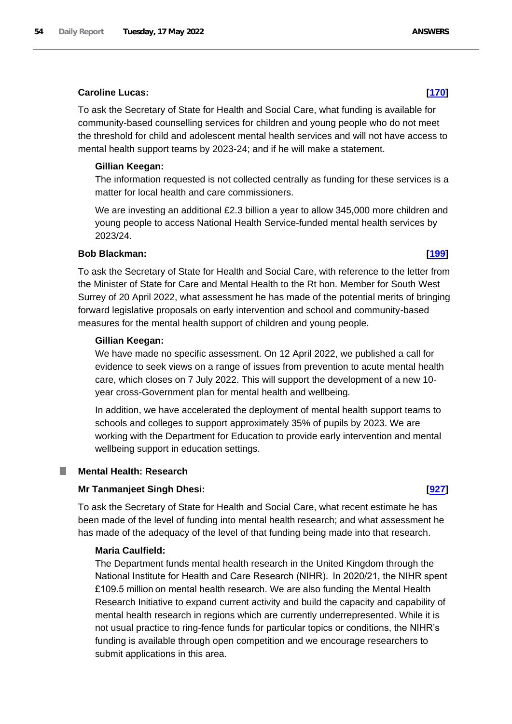# **Caroline Lucas: [\[170\]](http://www.parliament.uk/business/publications/written-questions-answers-statements/written-question/Commons/2022-05-10/170)**

To ask the Secretary of State for Health and Social Care, what funding is available for community-based counselling services for children and young people who do not meet the threshold for child and adolescent mental health services and will not have access to mental health support teams by 2023-24; and if he will make a statement.

# **Gillian Keegan:**

The information requested is not collected centrally as funding for these services is a matter for local health and care commissioners.

We are investing an additional £2.3 billion a year to allow 345,000 more children and young people to access National Health Service-funded mental health services by 2023/24.

# **Bob Blackman: [\[199\]](http://www.parliament.uk/business/publications/written-questions-answers-statements/written-question/Commons/2022-05-10/199)**

To ask the Secretary of State for Health and Social Care, with reference to the letter from the Minister of State for Care and Mental Health to the Rt hon. Member for South West Surrey of 20 April 2022, what assessment he has made of the potential merits of bringing forward legislative proposals on early intervention and school and community-based measures for the mental health support of children and young people.

# **Gillian Keegan:**

We have made no specific assessment. On 12 April 2022, we published a call for evidence to seek views on a range of issues from prevention to acute mental health care, which closes on 7 July 2022. This will support the development of a new 10 year cross-Government plan for mental health and wellbeing*.*

In addition, we have accelerated the deployment of mental health support teams to schools and colleges to support approximately 35% of pupils by 2023. We are working with the Department for Education to provide early intervention and mental wellbeing support in education settings.

# **Mental Health: Research**

# **Mr Tanmanjeet Singh Dhesi: [\[927\]](http://www.parliament.uk/business/publications/written-questions-answers-statements/written-question/Commons/2022-05-11/927)**

To ask the Secretary of State for Health and Social Care, what recent estimate he has been made of the level of funding into mental health research; and what assessment he has made of the adequacy of the level of that funding being made into that research.

# **Maria Caulfield:**

The Department funds mental health research in the United Kingdom through the National Institute for Health and Care Research (NIHR).  In 2020/21, the NIHR spent £109.5 million on mental health research. We are also funding the Mental Health Research Initiative to expand current activity and build the capacity and capability of mental health research in regions which are currently underrepresented. While it is not usual practice to ring-fence funds for particular topics or conditions, the NIHR's funding is available through open competition and we encourage researchers to submit applications in this area.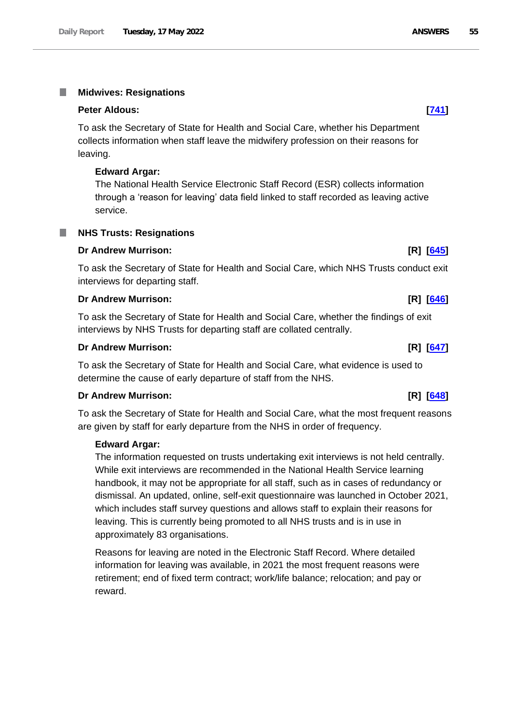### T. **Midwives: Resignations**

### **Peter Aldous: [\[741\]](http://www.parliament.uk/business/publications/written-questions-answers-statements/written-question/Commons/2022-05-11/741)**

To ask the Secretary of State for Health and Social Care, whether his Department collects information when staff leave the midwifery profession on their reasons for leaving.

### **Edward Argar:**

The National Health Service Electronic Staff Record (ESR) collects information through a 'reason for leaving' data field linked to staff recorded as leaving active service.

a a

# **Dr Andrew Murrison: [R] [\[645\]](http://www.parliament.uk/business/publications/written-questions-answers-statements/written-question/Commons/2022-05-11/645)**

**NHS Trusts: Resignations**

To ask the Secretary of State for Health and Social Care, which NHS Trusts conduct exit interviews for departing staff.

### **Dr Andrew Murrison: [R] [\[646\]](http://www.parliament.uk/business/publications/written-questions-answers-statements/written-question/Commons/2022-05-11/646)**

To ask the Secretary of State for Health and Social Care, whether the findings of exit interviews by NHS Trusts for departing staff are collated centrally.

# **Dr Andrew Murrison: [R] [\[647\]](http://www.parliament.uk/business/publications/written-questions-answers-statements/written-question/Commons/2022-05-11/647)**

To ask the Secretary of State for Health and Social Care, what evidence is used to determine the cause of early departure of staff from the NHS.

### **Dr Andrew Murrison: [R] [\[648\]](http://www.parliament.uk/business/publications/written-questions-answers-statements/written-question/Commons/2022-05-11/648)**

To ask the Secretary of State for Health and Social Care, what the most frequent reasons are given by staff for early departure from the NHS in order of frequency.

### **Edward Argar:**

The information requested on trusts undertaking exit interviews is not held centrally. While exit interviews are recommended in the National Health Service learning handbook, it may not be appropriate for all staff, such as in cases of redundancy or dismissal. An updated, online, self-exit questionnaire was launched in October 2021, which includes staff survey questions and allows staff to explain their reasons for leaving. This is currently being promoted to all NHS trusts and is in use in approximately 83 organisations.

Reasons for leaving are noted in the Electronic Staff Record. Where detailed information for leaving was available, in 2021 the most frequent reasons were retirement; end of fixed term contract; work/life balance; relocation; and pay or reward.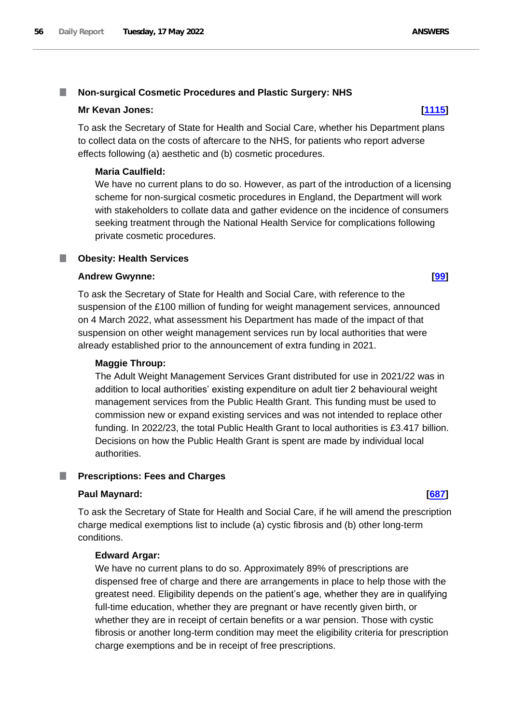### T. **Non-surgical Cosmetic Procedures and Plastic Surgery: NHS**

# **Mr Kevan Jones: [\[1115\]](http://www.parliament.uk/business/publications/written-questions-answers-statements/written-question/Commons/2022-05-12/1115)**

To ask the Secretary of State for Health and Social Care, whether his Department plans to collect data on the costs of aftercare to the NHS, for patients who report adverse effects following (a) aesthetic and (b) cosmetic procedures.

# **Maria Caulfield:**

We have no current plans to do so. However, as part of the introduction of a licensing scheme for non-surgical cosmetic procedures in England, the Department will work with stakeholders to collate data and gather evidence on the incidence of consumers seeking treatment through the National Health Service for complications following private cosmetic procedures.

### **Obesity: Health Services** m.

# **Andrew Gwynne: [\[99\]](http://www.parliament.uk/business/publications/written-questions-answers-statements/written-question/Commons/2022-05-10/99)**

To ask the Secretary of State for Health and Social Care, with reference to the suspension of the £100 million of funding for weight management services, announced on 4 March 2022, what assessment his Department has made of the impact of that suspension on other weight management services run by local authorities that were already established prior to the announcement of extra funding in 2021.

# **Maggie Throup:**

The Adult Weight Management Services Grant distributed for use in 2021/22 was in addition to local authorities' existing expenditure on adult tier 2 behavioural weight management services from the Public Health Grant. This funding must be used to commission new or expand existing services and was not intended to replace other funding. In 2022/23, the total Public Health Grant to local authorities is £3.417 billion. Decisions on how the Public Health Grant is spent are made by individual local authorities.

### **Prescriptions: Fees and Charges** ш

# **Paul Maynard: [\[687\]](http://www.parliament.uk/business/publications/written-questions-answers-statements/written-question/Commons/2022-05-11/687)**

To ask the Secretary of State for Health and Social Care, if he will amend the prescription charge medical exemptions list to include (a) cystic fibrosis and (b) other long-term conditions.

# **Edward Argar:**

We have no current plans to do so. Approximately 89% of prescriptions are dispensed free of charge and there are arrangements in place to help those with the greatest need. Eligibility depends on the patient's age, whether they are in qualifying full-time education, whether they are pregnant or have recently given birth, or whether they are in receipt of certain benefits or a war pension. Those with cystic fibrosis or another long-term condition may meet the eligibility criteria for prescription charge exemptions and be in receipt of free prescriptions.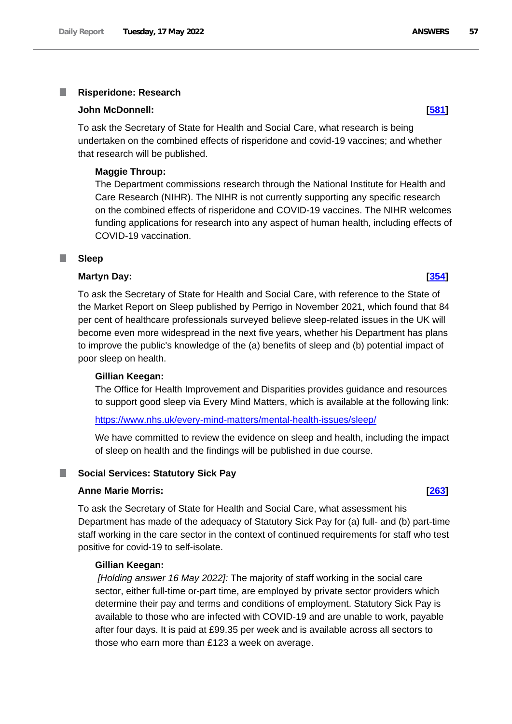### I. **Risperidone: Research**

### **John McDonnell: [\[581\]](http://www.parliament.uk/business/publications/written-questions-answers-statements/written-question/Commons/2022-05-11/581)**

To ask the Secretary of State for Health and Social Care, what research is being undertaken on the combined effects of risperidone and covid-19 vaccines; and whether that research will be published.

## **Maggie Throup:**

The Department commissions research through the National Institute for Health and Care Research (NIHR). The NIHR is not currently supporting any specific research on the combined effects of risperidone and COVID-19 vaccines. The NIHR welcomes funding applications for research into any aspect of human health, including effects of COVID-19 vaccination.

### **Sleep** П

# **Martyn Day: [\[354\]](http://www.parliament.uk/business/publications/written-questions-answers-statements/written-question/Commons/2022-05-10/354)**

To ask the Secretary of State for Health and Social Care, with reference to the State of the Market Report on Sleep published by Perrigo in November 2021, which found that 84 per cent of healthcare professionals surveyed believe sleep-related issues in the UK will become even more widespread in the next five years, whether his Department has plans to improve the public's knowledge of the (a) benefits of sleep and (b) potential impact of poor sleep on health.

## **Gillian Keegan:**

The Office for Health Improvement and Disparities provides guidance and resources to support good sleep via Every Mind Matters, which is available at the following link:

### <https://www.nhs.uk/every-mind-matters/mental-health-issues/sleep/>

We have committed to review the evidence on sleep and health, including the impact of sleep on health and the findings will be published in due course.

## **Social Services: Statutory Sick Pay**

### **Anne Marie Morris: [\[263\]](http://www.parliament.uk/business/publications/written-questions-answers-statements/written-question/Commons/2022-05-10/263)**

To ask the Secretary of State for Health and Social Care, what assessment his Department has made of the adequacy of Statutory Sick Pay for (a) full- and (b) part-time staff working in the care sector in the context of continued requirements for staff who test positive for covid-19 to self-isolate.

## **Gillian Keegan:**

*[Holding answer 16 May 2022]:* The majority of staff working in the social care sector, either full-time or-part time, are employed by private sector providers which determine their pay and terms and conditions of employment. Statutory Sick Pay is available to those who are infected with COVID-19 and are unable to work, payable after four days. It is paid at £99.35 per week and is available across all sectors to those who earn more than £123 a week on average.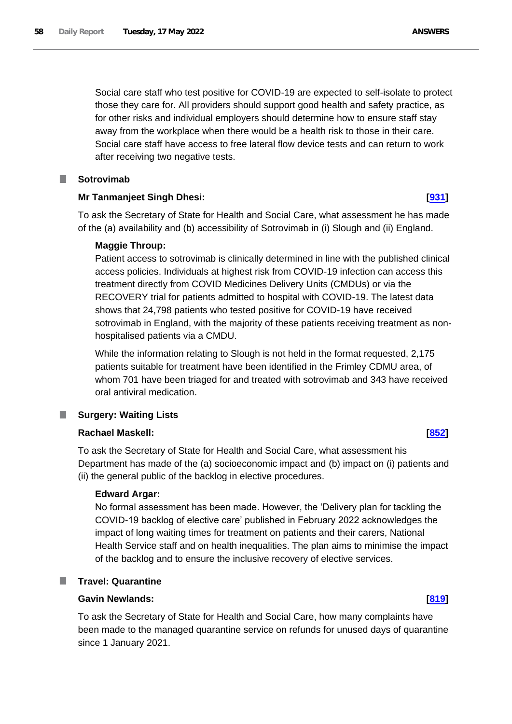Social care staff who test positive for COVID-19 are expected to self-isolate to protect those they care for. All providers should support good health and safety practice, as for other risks and individual employers should determine how to ensure staff stay away from the workplace when there would be a health risk to those in their care. Social care staff have access to free lateral flow device tests and can return to work after receiving two negative tests.

# **Sotrovimab**

# **Mr Tanmanjeet Singh Dhesi: [\[931\]](http://www.parliament.uk/business/publications/written-questions-answers-statements/written-question/Commons/2022-05-11/931)**

To ask the Secretary of State for Health and Social Care, what assessment he has made of the (a) availability and (b) accessibility of Sotrovimab in (i) Slough and (ii) England.

# **Maggie Throup:**

Patient access to sotrovimab is clinically determined in line with the published clinical access policies. Individuals at highest risk from COVID-19 infection can access this treatment directly from COVID Medicines Delivery Units (CMDUs) or via the RECOVERY trial for patients admitted to hospital with COVID-19. The latest data shows that 24,798 patients who tested positive for COVID-19 have received sotrovimab in England, with the majority of these patients receiving treatment as nonhospitalised patients via a CMDU.

While the information relating to Slough is not held in the format requested, 2,175 patients suitable for treatment have been identified in the Frimley CDMU area, of whom 701 have been triaged for and treated with sotrovimab and 343 have received oral antiviral medication.

# **Surgery: Waiting Lists**

# **Rachael Maskell: [\[852\]](http://www.parliament.uk/business/publications/written-questions-answers-statements/written-question/Commons/2022-05-11/852)**

To ask the Secretary of State for Health and Social Care, what assessment his Department has made of the (a) socioeconomic impact and (b) impact on (i) patients and (ii) the general public of the backlog in elective procedures.

# **Edward Argar:**

No formal assessment has been made. However, the 'Delivery plan for tackling the COVID-19 backlog of elective care' published in February 2022 acknowledges the impact of long waiting times for treatment on patients and their carers, National Health Service staff and on health inequalities. The plan aims to minimise the impact of the backlog and to ensure the inclusive recovery of elective services.

### ш **Travel: Quarantine**

# **Gavin Newlands: [\[819\]](http://www.parliament.uk/business/publications/written-questions-answers-statements/written-question/Commons/2022-05-11/819)**

To ask the Secretary of State for Health and Social Care, how many complaints have been made to the managed quarantine service on refunds for unused days of quarantine since 1 January 2021.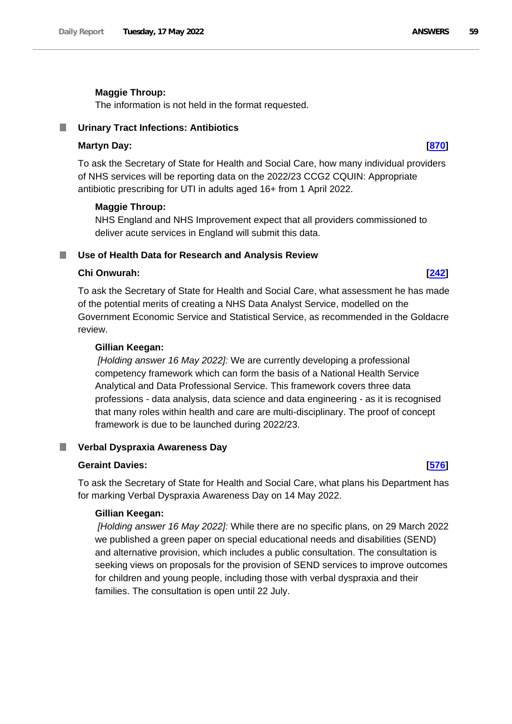## **Maggie Throup:**

The information is not held in the format requested.

## **Urinary Tract Infections: Antibiotics**

## **Martyn Day: [\[870\]](http://www.parliament.uk/business/publications/written-questions-answers-statements/written-question/Commons/2022-05-11/870)**

To ask the Secretary of State for Health and Social Care, how many individual providers of NHS services will be reporting data on the 2022/23 CCG2 CQUIN: Appropriate antibiotic prescribing for UTI in adults aged 16+ from 1 April 2022.

## **Maggie Throup:**

NHS England and NHS Improvement expect that all providers commissioned to deliver acute services in England will submit this data.

### **Use of Health Data for Research and Analysis Review**

# **Chi Onwurah: [\[242\]](http://www.parliament.uk/business/publications/written-questions-answers-statements/written-question/Commons/2022-05-10/242)**

To ask the Secretary of State for Health and Social Care, what assessment he has made of the potential merits of creating a NHS Data Analyst Service, modelled on the Government Economic Service and Statistical Service, as recommended in the Goldacre review.

### **Gillian Keegan:**

*[Holding answer 16 May 2022]:* We are currently developing a professional competency framework which can form the basis of a National Health Service Analytical and Data Professional Service. This framework covers three data professions - data analysis, data science and data engineering - as it is recognised that many roles within health and care are multi-disciplinary. The proof of concept framework is due to be launched during 2022/23.

### **Verbal Dyspraxia Awareness Day** ш

### **Geraint Davies: [\[576\]](http://www.parliament.uk/business/publications/written-questions-answers-statements/written-question/Commons/2022-05-11/576)**

To ask the Secretary of State for Health and Social Care, what plans his Department has for marking Verbal Dyspraxia Awareness Day on 14 May 2022.

### **Gillian Keegan:**

*[Holding answer 16 May 2022]:* While there are no specific plans, on 29 March 2022 we published a green paper on special educational needs and disabilities (SEND) and alternative provision, which includes a public consultation. The consultation is seeking views on proposals for the provision of SEND services to improve outcomes for children and young people, including those with verbal dyspraxia and their families. The consultation is open until 22 July.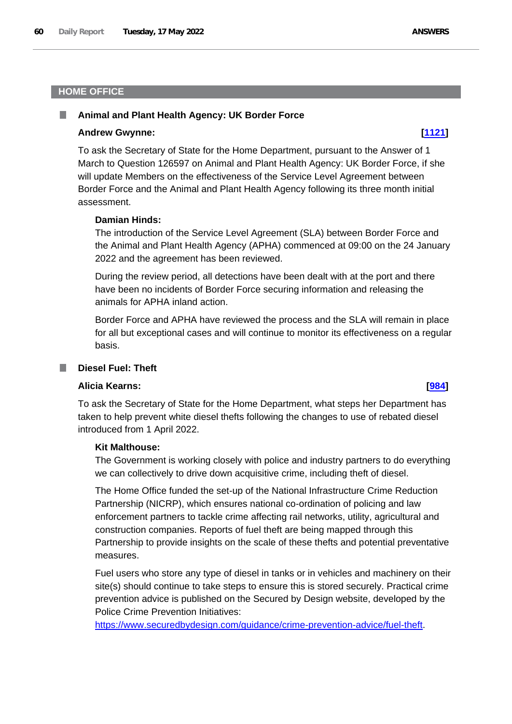# **HOME OFFICE**

## **Animal and Plant Health Agency: UK Border Force**

### **Andrew Gwynne: [\[1121\]](http://www.parliament.uk/business/publications/written-questions-answers-statements/written-question/Commons/2022-05-12/1121)**

To ask the Secretary of State for the Home Department, pursuant to the Answer of 1 March to Question 126597 on Animal and Plant Health Agency: UK Border Force, if she will update Members on the effectiveness of the Service Level Agreement between Border Force and the Animal and Plant Health Agency following its three month initial assessment.

### **Damian Hinds:**

The introduction of the Service Level Agreement (SLA) between Border Force and the Animal and Plant Health Agency (APHA) commenced at 09:00 on the 24 January 2022 and the agreement has been reviewed.

During the review period, all detections have been dealt with at the port and there have been no incidents of Border Force securing information and releasing the animals for APHA inland action.

Border Force and APHA have reviewed the process and the SLA will remain in place for all but exceptional cases and will continue to monitor its effectiveness on a regular basis.

## **Diesel Fuel: Theft**

### **Alicia Kearns: [\[984\]](http://www.parliament.uk/business/publications/written-questions-answers-statements/written-question/Commons/2022-05-11/984)**

To ask the Secretary of State for the Home Department, what steps her Department has taken to help prevent white diesel thefts following the changes to use of rebated diesel introduced from 1 April 2022.

# **Kit Malthouse:**

The Government is working closely with police and industry partners to do everything we can collectively to drive down acquisitive crime, including theft of diesel.

The Home Office funded the set-up of the National Infrastructure Crime Reduction Partnership (NICRP), which ensures national co-ordination of policing and law enforcement partners to tackle crime affecting rail networks, utility, agricultural and construction companies. Reports of fuel theft are being mapped through this Partnership to provide insights on the scale of these thefts and potential preventative measures.

Fuel users who store any type of diesel in tanks or in vehicles and machinery on their site(s) should continue to take steps to ensure this is stored securely. Practical crime prevention advice is published on the Secured by Design website, developed by the Police Crime Prevention Initiatives:

[https://www.securedbydesign.com/guidance/crime-prevention-advice/fuel-theft.](https://www.securedbydesign.com/guidance/crime-prevention-advice/fuel-theft)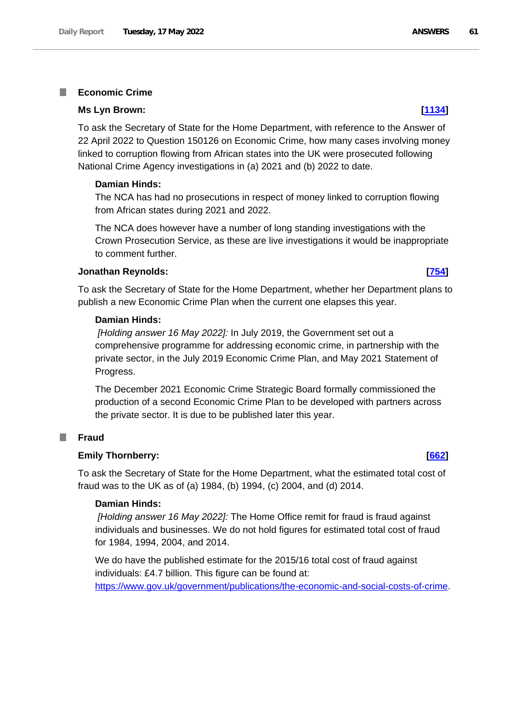### **Economic Crime** T.

## **Ms Lyn Brown: [\[1134\]](http://www.parliament.uk/business/publications/written-questions-answers-statements/written-question/Commons/2022-05-12/1134)**

To ask the Secretary of State for the Home Department, with reference to the Answer of 22 April 2022 to Question 150126 on Economic Crime, how many cases involving money linked to corruption flowing from African states into the UK were prosecuted following National Crime Agency investigations in (a) 2021 and (b) 2022 to date.

## **Damian Hinds:**

The NCA has had no prosecutions in respect of money linked to corruption flowing from African states during 2021 and 2022.

The NCA does however have a number of long standing investigations with the Crown Prosecution Service, as these are live investigations it would be inappropriate to comment further.

## **Jonathan Reynolds: [\[754\]](http://www.parliament.uk/business/publications/written-questions-answers-statements/written-question/Commons/2022-05-11/754)**

To ask the Secretary of State for the Home Department, whether her Department plans to publish a new Economic Crime Plan when the current one elapses this year.

## **Damian Hinds:**

*[Holding answer 16 May 2022]:* In July 2019, the Government set out a comprehensive programme for addressing economic crime, in partnership with the private sector, in the July 2019 Economic Crime Plan, and May 2021 Statement of Progress.

The December 2021 Economic Crime Strategic Board formally commissioned the production of a second Economic Crime Plan to be developed with partners across the private sector. It is due to be published later this year.

### T. **Fraud**

## **Emily Thornberry: [\[662\]](http://www.parliament.uk/business/publications/written-questions-answers-statements/written-question/Commons/2022-05-11/662)**

To ask the Secretary of State for the Home Department, what the estimated total cost of fraud was to the UK as of (a) 1984, (b) 1994, (c) 2004, and (d) 2014.

## **Damian Hinds:**

*[Holding answer 16 May 2022]:* The Home Office remit for fraud is fraud against individuals and businesses. We do not hold figures for estimated total cost of fraud for 1984, 1994, 2004, and 2014.

We do have the published estimate for the 2015/16 total cost of fraud against individuals: £4.7 billion. This figure can be found at: [https://www.gov.uk/government/publications/the-economic-and-social-costs-of-crime.](https://www.gov.uk/government/publications/the-economic-and-social-costs-of-crime)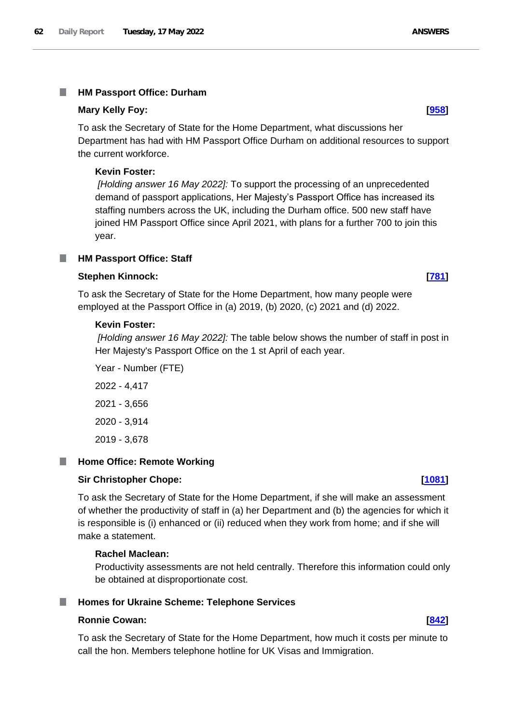### I. **HM Passport Office: Durham**

## **Mary Kelly Foy: [\[958\]](http://www.parliament.uk/business/publications/written-questions-answers-statements/written-question/Commons/2022-05-11/958)**

To ask the Secretary of State for the Home Department, what discussions her Department has had with HM Passport Office Durham on additional resources to support the current workforce.

## **Kevin Foster:**

*[Holding answer 16 May 2022]:* To support the processing of an unprecedented demand of passport applications, Her Majesty's Passport Office has increased its staffing numbers across the UK, including the Durham office. 500 new staff have joined HM Passport Office since April 2021, with plans for a further 700 to join this year.

# **HM Passport Office: Staff**

# **Stephen Kinnock: [\[781\]](http://www.parliament.uk/business/publications/written-questions-answers-statements/written-question/Commons/2022-05-11/781)**

To ask the Secretary of State for the Home Department, how many people were employed at the Passport Office in (a) 2019, (b) 2020, (c) 2021 and (d) 2022.

## **Kevin Foster:**

*[Holding answer 16 May 2022]:* The table below shows the number of staff in post in Her Majesty's Passport Office on the 1 st April of each year.

Year - Number (FTE) 2022 - 4,417 2021 - 3,656 2020 - 3,914 2019 - 3,678

### ш **Home Office: Remote Working**

# **Sir Christopher Chope: [\[1081\]](http://www.parliament.uk/business/publications/written-questions-answers-statements/written-question/Commons/2022-05-12/1081)**

To ask the Secretary of State for the Home Department, if she will make an assessment of whether the productivity of staff in (a) her Department and (b) the agencies for which it is responsible is (i) enhanced or (ii) reduced when they work from home; and if she will make a statement.

# **Rachel Maclean:**

Productivity assessments are not held centrally. Therefore this information could only be obtained at disproportionate cost.

### ш **Homes for Ukraine Scheme: Telephone Services**

## **Ronnie Cowan: [\[842\]](http://www.parliament.uk/business/publications/written-questions-answers-statements/written-question/Commons/2022-05-11/842)**

To ask the Secretary of State for the Home Department, how much it costs per minute to call the hon. Members telephone hotline for UK Visas and Immigration.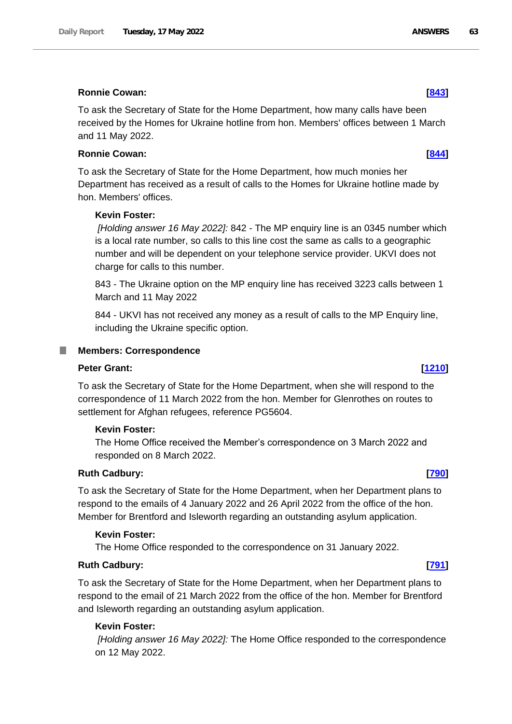## **Ronnie Cowan: [\[843\]](http://www.parliament.uk/business/publications/written-questions-answers-statements/written-question/Commons/2022-05-11/843)**

To ask the Secretary of State for the Home Department, how many calls have been received by the Homes for Ukraine hotline from hon. Members' offices between 1 March and 11 May 2022.

# **Ronnie Cowan: [\[844\]](http://www.parliament.uk/business/publications/written-questions-answers-statements/written-question/Commons/2022-05-11/844)**

To ask the Secretary of State for the Home Department, how much monies her Department has received as a result of calls to the Homes for Ukraine hotline made by hon. Members' offices.

# **Kevin Foster:**

*[Holding answer 16 May 2022]:* 842 - The MP enquiry line is an 0345 number which is a local rate number, so calls to this line cost the same as calls to a geographic number and will be dependent on your telephone service provider. UKVI does not charge for calls to this number.

843 - The Ukraine option on the MP enquiry line has received 3223 calls between 1 March and 11 May 2022

844 - UKVI has not received any money as a result of calls to the MP Enquiry line, including the Ukraine specific option.

### ш **Members: Correspondence**

## **Peter Grant: [\[1210\]](http://www.parliament.uk/business/publications/written-questions-answers-statements/written-question/Commons/2022-05-12/1210)**

To ask the Secretary of State for the Home Department, when she will respond to the correspondence of 11 March 2022 from the hon. Member for Glenrothes on routes to settlement for Afghan refugees, reference PG5604.

# **Kevin Foster:**

The Home Office received the Member's correspondence on 3 March 2022 and responded on 8 March 2022.

# **Ruth Cadbury: [\[790\]](http://www.parliament.uk/business/publications/written-questions-answers-statements/written-question/Commons/2022-05-11/790)**

To ask the Secretary of State for the Home Department, when her Department plans to respond to the emails of 4 January 2022 and 26 April 2022 from the office of the hon. Member for Brentford and Isleworth regarding an outstanding asylum application.

## **Kevin Foster:**

The Home Office responded to the correspondence on 31 January 2022.

## **Ruth Cadbury: [\[791\]](http://www.parliament.uk/business/publications/written-questions-answers-statements/written-question/Commons/2022-05-11/791)**

To ask the Secretary of State for the Home Department, when her Department plans to respond to the email of 21 March 2022 from the office of the hon. Member for Brentford and Isleworth regarding an outstanding asylum application.

### **Kevin Foster:**

*[Holding answer 16 May 2022]:* The Home Office responded to the correspondence on 12 May 2022.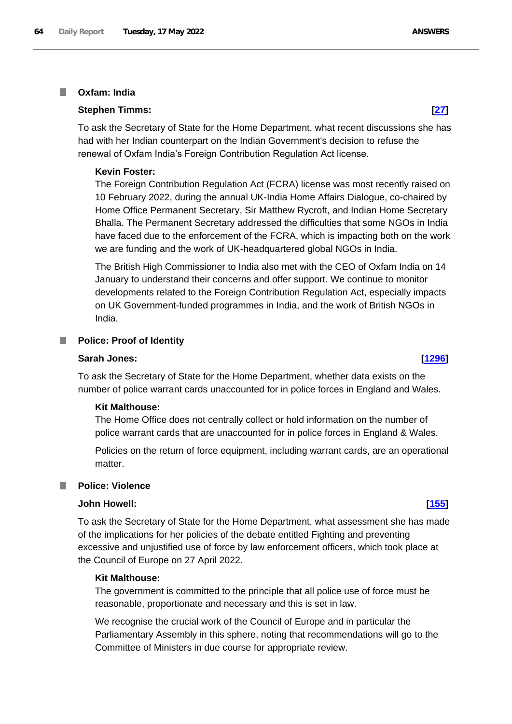### **Oxfam: India** I.

## **Stephen Timms: [\[27\]](http://www.parliament.uk/business/publications/written-questions-answers-statements/written-question/Commons/2022-05-10/27)**

To ask the Secretary of State for the Home Department, what recent discussions she has had with her Indian counterpart on the Indian Government's decision to refuse the renewal of Oxfam India's Foreign Contribution Regulation Act license.

## **Kevin Foster:**

The Foreign Contribution Regulation Act (FCRA) license was most recently raised on 10 February 2022, during the annual UK-India Home Affairs Dialogue, co-chaired by Home Office Permanent Secretary, Sir Matthew Rycroft, and Indian Home Secretary Bhalla. The Permanent Secretary addressed the difficulties that some NGOs in India have faced due to the enforcement of the FCRA, which is impacting both on the work we are funding and the work of UK-headquartered global NGOs in India.

The British High Commissioner to India also met with the CEO of Oxfam India on 14 January to understand their concerns and offer support. We continue to monitor developments related to the Foreign Contribution Regulation Act, especially impacts on UK Government-funded programmes in India, and the work of British NGOs in India.

# **Police: Proof of Identity**

### **Sarah Jones: [\[1296\]](http://www.parliament.uk/business/publications/written-questions-answers-statements/written-question/Commons/2022-05-12/1296)**

To ask the Secretary of State for the Home Department, whether data exists on the number of police warrant cards unaccounted for in police forces in England and Wales.

### **Kit Malthouse:**

The Home Office does not centrally collect or hold information on the number of police warrant cards that are unaccounted for in police forces in England & Wales.

Policies on the return of force equipment, including warrant cards, are an operational matter.

## **Police: Violence**

### **John Howell: [\[155\]](http://www.parliament.uk/business/publications/written-questions-answers-statements/written-question/Commons/2022-05-10/155)**

To ask the Secretary of State for the Home Department, what assessment she has made of the implications for her policies of the debate entitled Fighting and preventing excessive and unjustified use of force by law enforcement officers, which took place at the Council of Europe on 27 April 2022.

## **Kit Malthouse:**

The government is committed to the principle that all police use of force must be reasonable, proportionate and necessary and this is set in law.

We recognise the crucial work of the Council of Europe and in particular the Parliamentary Assembly in this sphere, noting that recommendations will go to the Committee of Ministers in due course for appropriate review.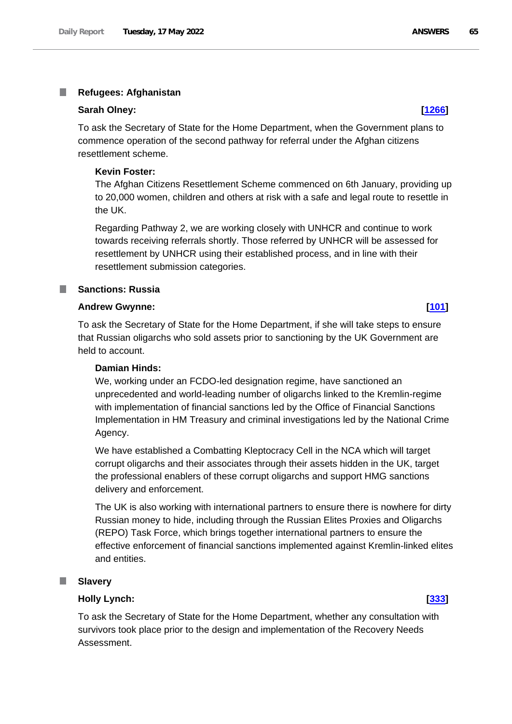### T. **Refugees: Afghanistan**

### **Sarah Olney: [\[1266\]](http://www.parliament.uk/business/publications/written-questions-answers-statements/written-question/Commons/2022-05-12/1266)**

To ask the Secretary of State for the Home Department, when the Government plans to commence operation of the second pathway for referral under the Afghan citizens resettlement scheme.

### **Kevin Foster:**

The Afghan Citizens Resettlement Scheme commenced on 6th January, providing up to 20,000 women, children and others at risk with a safe and legal route to resettle in the UK.

Regarding Pathway 2, we are working closely with UNHCR and continue to work towards receiving referrals shortly. Those referred by UNHCR will be assessed for resettlement by UNHCR using their established process, and in line with their resettlement submission categories.

## **Sanctions: Russia**

## **Andrew Gwynne: [\[101\]](http://www.parliament.uk/business/publications/written-questions-answers-statements/written-question/Commons/2022-05-10/101)**

To ask the Secretary of State for the Home Department, if she will take steps to ensure that Russian oligarchs who sold assets prior to sanctioning by the UK Government are held to account.

## **Damian Hinds:**

We, working under an FCDO-led designation regime, have sanctioned an unprecedented and world-leading number of oligarchs linked to the Kremlin-regime with implementation of financial sanctions led by the Office of Financial Sanctions Implementation in HM Treasury and criminal investigations led by the National Crime Agency.

We have established a Combatting Kleptocracy Cell in the NCA which will target corrupt oligarchs and their associates through their assets hidden in the UK, target the professional enablers of these corrupt oligarchs and support HMG sanctions delivery and enforcement.

The UK is also working with international partners to ensure there is nowhere for dirty Russian money to hide, including through the Russian Elites Proxies and Oligarchs (REPO) Task Force, which brings together international partners to ensure the effective enforcement of financial sanctions implemented against Kremlin-linked elites and entities.

### **Slavery**

# **Holly Lynch: [\[333\]](http://www.parliament.uk/business/publications/written-questions-answers-statements/written-question/Commons/2022-05-10/333)**

To ask the Secretary of State for the Home Department, whether any consultation with survivors took place prior to the design and implementation of the Recovery Needs Assessment.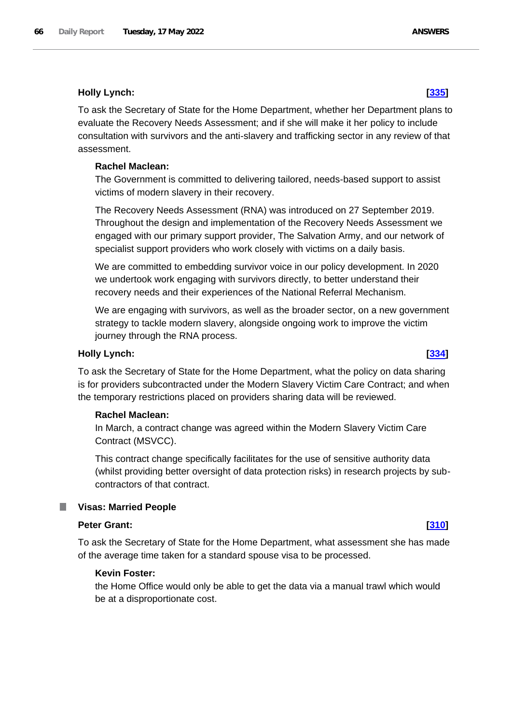# **Holly Lynch: [\[335\]](http://www.parliament.uk/business/publications/written-questions-answers-statements/written-question/Commons/2022-05-10/335)**

To ask the Secretary of State for the Home Department, whether her Department plans to evaluate the Recovery Needs Assessment; and if she will make it her policy to include consultation with survivors and the anti-slavery and trafficking sector in any review of that assessment.

# **Rachel Maclean:**

The Government is committed to delivering tailored, needs-based support to assist victims of modern slavery in their recovery.

The Recovery Needs Assessment (RNA) was introduced on 27 September 2019. Throughout the design and implementation of the Recovery Needs Assessment we engaged with our primary support provider, The Salvation Army, and our network of specialist support providers who work closely with victims on a daily basis.

We are committed to embedding survivor voice in our policy development. In 2020 we undertook work engaging with survivors directly, to better understand their recovery needs and their experiences of the National Referral Mechanism.

We are engaging with survivors, as well as the broader sector, on a new government strategy to tackle modern slavery, alongside ongoing work to improve the victim journey through the RNA process.

# **Holly Lynch: [\[334\]](http://www.parliament.uk/business/publications/written-questions-answers-statements/written-question/Commons/2022-05-10/334)**

To ask the Secretary of State for the Home Department, what the policy on data sharing is for providers subcontracted under the Modern Slavery Victim Care Contract; and when the temporary restrictions placed on providers sharing data will be reviewed.

### **Rachel Maclean:**

In March, a contract change was agreed within the Modern Slavery Victim Care Contract (MSVCC).

This contract change specifically facilitates for the use of sensitive authority data (whilst providing better oversight of data protection risks) in research projects by subcontractors of that contract.

# **Visas: Married People**

## **Peter Grant: [\[310\]](http://www.parliament.uk/business/publications/written-questions-answers-statements/written-question/Commons/2022-05-10/310)**

To ask the Secretary of State for the Home Department, what assessment she has made of the average time taken for a standard spouse visa to be processed.

### **Kevin Foster:**

the Home Office would only be able to get the data via a manual trawl which would be at a disproportionate cost.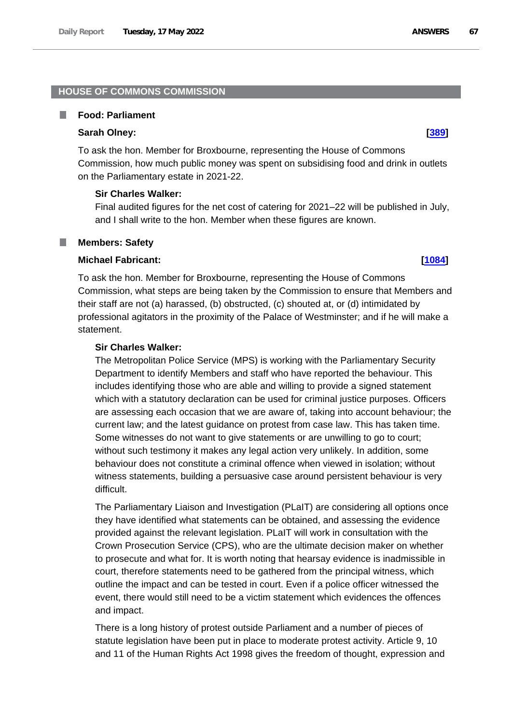## **HOUSE OF COMMONS COMMISSION**

### ш **Food: Parliament**

## **Sarah Olney: [\[389\]](http://www.parliament.uk/business/publications/written-questions-answers-statements/written-question/Commons/2022-05-10/389)**

To ask the hon. Member for Broxbourne, representing the House of Commons Commission, how much public money was spent on subsidising food and drink in outlets on the Parliamentary estate in 2021-22.

## **Sir Charles Walker:**

Final audited figures for the net cost of catering for 2021–22 will be published in July, and I shall write to the hon. Member when these figures are known.

### **Members: Safety** T.

## **Michael Fabricant: [\[1084\]](http://www.parliament.uk/business/publications/written-questions-answers-statements/written-question/Commons/2022-05-12/1084)**

To ask the hon. Member for Broxbourne, representing the House of Commons Commission, what steps are being taken by the Commission to ensure that Members and their staff are not (a) harassed, (b) obstructed, (c) shouted at, or (d) intimidated by professional agitators in the proximity of the Palace of Westminster; and if he will make a statement.

### **Sir Charles Walker:**

The Metropolitan Police Service (MPS) is working with the Parliamentary Security Department to identify Members and staff who have reported the behaviour. This includes identifying those who are able and willing to provide a signed statement which with a statutory declaration can be used for criminal justice purposes. Officers are assessing each occasion that we are aware of, taking into account behaviour; the current law; and the latest guidance on protest from case law. This has taken time. Some witnesses do not want to give statements or are unwilling to go to court; without such testimony it makes any legal action very unlikely. In addition, some behaviour does not constitute a criminal offence when viewed in isolation; without witness statements, building a persuasive case around persistent behaviour is very difficult.

The Parliamentary Liaison and Investigation (PLaIT) are considering all options once they have identified what statements can be obtained, and assessing the evidence provided against the relevant legislation. PLaIT will work in consultation with the Crown Prosecution Service (CPS), who are the ultimate decision maker on whether to prosecute and what for. It is worth noting that hearsay evidence is inadmissible in court, therefore statements need to be gathered from the principal witness, which outline the impact and can be tested in court. Even if a police officer witnessed the event, there would still need to be a victim statement which evidences the offences and impact.

There is a long history of protest outside Parliament and a number of pieces of statute legislation have been put in place to moderate protest activity. Article 9, 10 and 11 of the Human Rights Act 1998 gives the freedom of thought, expression and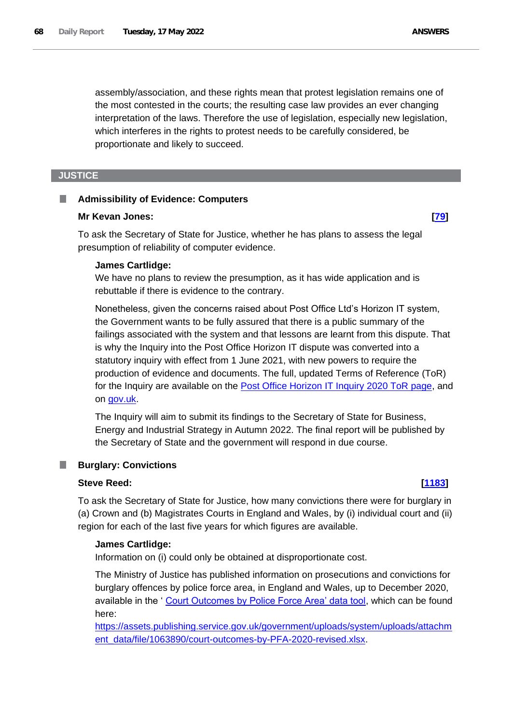assembly/association, and these rights mean that protest legislation remains one of the most contested in the courts; the resulting case law provides an ever changing interpretation of the laws. Therefore the use of legislation, especially new legislation, which interferes in the rights to protest needs to be carefully considered, be proportionate and likely to succeed.

# **JUSTICE**

### П **Admissibility of Evidence: Computers**

### **Mr Kevan Jones: [\[79\]](http://www.parliament.uk/business/publications/written-questions-answers-statements/written-question/Commons/2022-05-10/79)**

To ask the Secretary of State for Justice, whether he has plans to assess the legal presumption of reliability of computer evidence.

### **James Cartlidge:**

We have no plans to review the presumption, as it has wide application and is rebuttable if there is evidence to the contrary.

Nonetheless, given the concerns raised about Post Office Ltd's Horizon IT system, the Government wants to be fully assured that there is a public summary of the failings associated with the system and that lessons are learnt from this dispute. That is why the Inquiry into the Post Office Horizon IT dispute was converted into a statutory inquiry with effect from 1 June 2021, with new powers to require the production of evidence and documents. The full, updated Terms of Reference (ToR) for the Inquiry are available on the [Post Office Horizon IT Inquiry 2020 ToR page,](https://www.postofficehorizoninquiry.org.uk/publications/terms-reference) and on [gov.uk.](https://www.gov.uk/government/publications/post-office-horizon-it-inquiry-2020/terms-of-reference)

The Inquiry will aim to submit its findings to the Secretary of State for Business, Energy and Industrial Strategy in Autumn 2022. The final report will be published by the Secretary of State and the government will respond in due course.

# **Burglary: Convictions**

## **Steve Reed: [\[1183\]](http://www.parliament.uk/business/publications/written-questions-answers-statements/written-question/Commons/2022-05-12/1183)**

To ask the Secretary of State for Justice, how many convictions there were for burglary in (a) Crown and (b) Magistrates Courts in England and Wales, by (i) individual court and (ii) region for each of the last five years for which figures are available.

## **James Cartlidge:**

Information on (i) could only be obtained at disproportionate cost.

The Ministry of Justice has published information on prosecutions and convictions for burglary offences by police force area, in England and Wales, up to December 2020, available in the ' [Court Outcomes by Police Force Area' data tool,](https://assets.publishing.service.gov.uk/government/uploads/system/uploads/attachment_data/file/804510/HO-code-tool-principal-offence-2018.xlsx) which can be found here:

[https://assets.publishing.service.gov.uk/government/uploads/system/uploads/attachm](https://assets.publishing.service.gov.uk/government/uploads/system/uploads/attachment_data/file/1063890/court-outcomes-by-PFA-2020-revised.xlsx) [ent\\_data/file/1063890/court-outcomes-by-PFA-2020-revised.xlsx.](https://assets.publishing.service.gov.uk/government/uploads/system/uploads/attachment_data/file/1063890/court-outcomes-by-PFA-2020-revised.xlsx)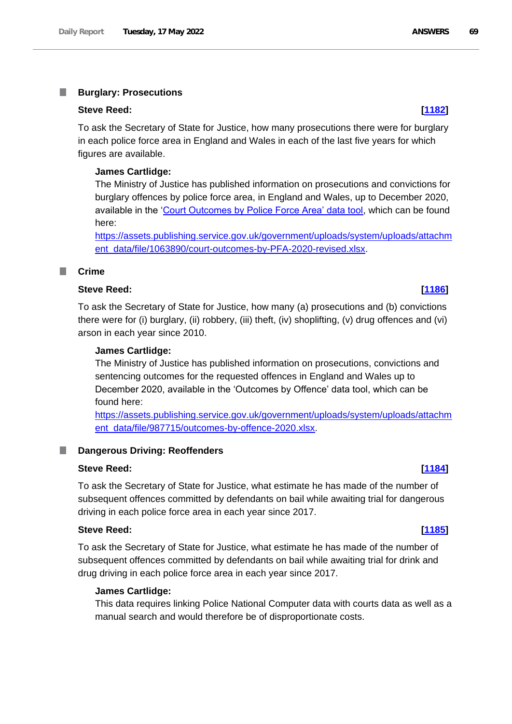### T. **Burglary: Prosecutions**

### **Steve Reed: [\[1182\]](http://www.parliament.uk/business/publications/written-questions-answers-statements/written-question/Commons/2022-05-12/1182)**

To ask the Secretary of State for Justice, how many prosecutions there were for burglary in each police force area in England and Wales in each of the last five years for which figures are available.

### **James Cartlidge:**

The Ministry of Justice has published information on prosecutions and convictions for burglary offences by police force area, in England and Wales, up to December 2020, available in the 'Court Outcomes by Police Force Area' data tool, which can be found here:

https://assets.publishing.service.gov.uk/government/uploads/system/uploads/attachm ent\_data/file/1063890/court-outcomes-by-PFA-2020-revised.xlsx.

### **I Crime**

# **Steve Reed: [\[1186\]](http://www.parliament.uk/business/publications/written-questions-answers-statements/written-question/Commons/2022-05-12/1186)**

To ask the Secretary of State for Justice, how many (a) prosecutions and (b) convictions there were for (i) burglary, (ii) robbery, (iii) theft, (iv) shoplifting, (v) drug offences and (vi) arson in each year since 2010.

## **James Cartlidge:**

The Ministry of Justice has published information on prosecutions, convictions and sentencing outcomes for the requested offences in England and Wales up to December 2020, available in the 'Outcomes by Offence' data tool, which can be found here:

https://assets.publishing.service.gov.uk/government/uploads/system/uploads/attachm ent\_data/file/987715/outcomes-by-offence-2020.xlsx.

### **Dangerous Driving: Reoffenders** ш

# **Steve Reed: [\[1184\]](http://www.parliament.uk/business/publications/written-questions-answers-statements/written-question/Commons/2022-05-12/1184)**

To ask the Secretary of State for Justice, what estimate he has made of the number of subsequent offences committed by defendants on bail while awaiting trial for dangerous driving in each police force area in each year since 2017.

## **Steve Reed: [\[1185\]](http://www.parliament.uk/business/publications/written-questions-answers-statements/written-question/Commons/2022-05-12/1185)**

To ask the Secretary of State for Justice, what estimate he has made of the number of subsequent offences committed by defendants on bail while awaiting trial for drink and drug driving in each police force area in each year since 2017.

## **James Cartlidge:**

This data requires linking Police National Computer data with courts data as well as a manual search and would therefore be of disproportionate costs.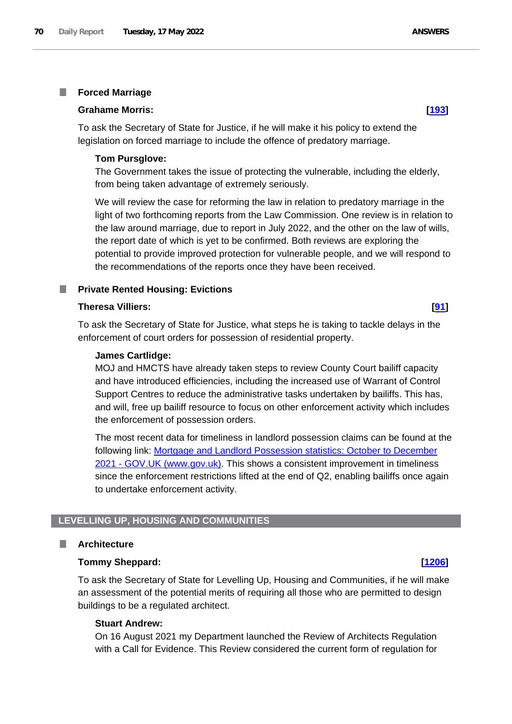### T. **Forced Marriage**

## **Grahame Morris: [\[193\]](http://www.parliament.uk/business/publications/written-questions-answers-statements/written-question/Commons/2022-05-10/193)**

To ask the Secretary of State for Justice, if he will make it his policy to extend the legislation on forced marriage to include the offence of predatory marriage.

## **Tom Pursglove:**

The Government takes the issue of protecting the vulnerable, including the elderly, from being taken advantage of extremely seriously.

We will review the case for reforming the law in relation to predatory marriage in the light of two forthcoming reports from the Law Commission. One review is in relation to the law around marriage, due to report in July 2022, and the other on the law of wills, the report date of which is yet to be confirmed. Both reviews are exploring the potential to provide improved protection for vulnerable people, and we will respond to the recommendations of the reports once they have been received.

# **Private Rented Housing: Evictions**

## **Theresa Villiers: [\[91\]](http://www.parliament.uk/business/publications/written-questions-answers-statements/written-question/Commons/2022-05-10/91)**

To ask the Secretary of State for Justice, what steps he is taking to tackle delays in the enforcement of court orders for possession of residential property.

## **James Cartlidge:**

MOJ and HMCTS have already taken steps to review County Court bailiff capacity and have introduced efficiencies, including the increased use of Warrant of Control Support Centres to reduce the administrative tasks undertaken by bailiffs. This has, and will, free up bailiff resource to focus on other enforcement activity which includes the enforcement of possession orders.

The most recent data for timeliness in landlord possession claims can be found at the following link: [Mortgage and Landlord Possession statistics: October to December](https://www.gov.uk/government/statistics/mortgage-and-landlord-possession-statistics-october-to-december-2021)  2021 - [GOV.UK \(www.gov.uk\).](https://www.gov.uk/government/statistics/mortgage-and-landlord-possession-statistics-october-to-december-2021) This shows a consistent improvement in timeliness since the enforcement restrictions lifted at the end of Q2, enabling bailiffs once again to undertake enforcement activity.

# **LEVELLING UP, HOUSING AND COMMUNITIES**

### **Architecture** I.

## **Tommy Sheppard: [\[1206\]](http://www.parliament.uk/business/publications/written-questions-answers-statements/written-question/Commons/2022-05-12/1206)**

To ask the Secretary of State for Levelling Up, Housing and Communities, if he will make an assessment of the potential merits of requiring all those who are permitted to design buildings to be a regulated architect.

## **Stuart Andrew:**

On 16 August 2021 my Department launched the Review of Architects Regulation with a Call for Evidence. This Review considered the current form of regulation for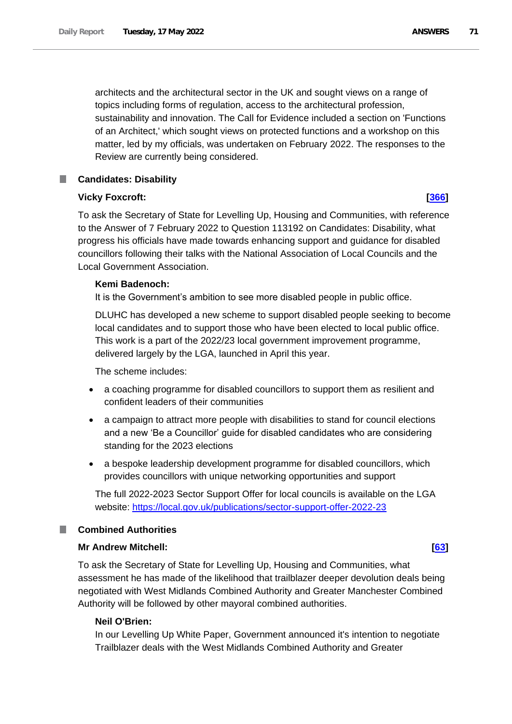matter, led by my officials, was undertaken on February 2022. The responses to the Review are currently being considered.

### **Candidates: Disability** ш

# **Vicky Foxcroft: [\[366\]](http://www.parliament.uk/business/publications/written-questions-answers-statements/written-question/Commons/2022-05-10/366)**

To ask the Secretary of State for Levelling Up, Housing and Communities, with reference to the Answer of 7 February 2022 to Question 113192 on Candidates: Disability, what progress his officials have made towards enhancing support and guidance for disabled councillors following their talks with the National Association of Local Councils and the Local Government Association.

# **Kemi Badenoch:**

It is the Government's ambition to see more disabled people in public office.

DLUHC has developed a new scheme to support disabled people seeking to become local candidates and to support those who have been elected to local public office. This work is a part of the 2022/23 local government improvement programme, delivered largely by the LGA, launched in April this year.

The scheme includes:

- a coaching programme for disabled councillors to support them as resilient and confident leaders of their communities
- a campaign to attract more people with disabilities to stand for council elections and a new 'Be a Councillor' guide for disabled candidates who are considering standing for the 2023 elections
- a bespoke leadership development programme for disabled councillors, which provides councillors with unique networking opportunities and support

The full 2022-2023 Sector Support Offer for local councils is available on the LGA website: [https://local.gov.uk/publications/sector-support-offer-2022-23](https://gbr01.safelinks.protection.outlook.com/?url=https%3A%2F%2Flocal.gov.uk%2Fpublications%2Fsector-support-offer-2022-23&data=05%7C01%7CNatasha.Alleyne%40levellingup.gov.uk%7C93bedb0d1c714829134708da3400faba%7Cbf3468109c7d43dea87224a2ef3995a8%7C0%7C0%7C637879476043411915%7CUnknown%7CTWFpbGZsb3d8eyJWIjoiMC4wLjAwMDAiLCJQIjoiV2luMzIiLCJBTiI6Ik1haWwiLCJXVCI6Mn0%3D%7C3000%7C%7C%7C&sdata=JRUGC%2FvJS10F1VZGKuWCFHEAuz1aBaQRKNkFUbhxFzk%3D&reserved=0)

# **Combined Authorities**

# **Mr Andrew Mitchell: [\[63\]](http://www.parliament.uk/business/publications/written-questions-answers-statements/written-question/Commons/2022-05-10/63)**

To ask the Secretary of State for Levelling Up, Housing and Communities, what assessment he has made of the likelihood that trailblazer deeper devolution deals being negotiated with West Midlands Combined Authority and Greater Manchester Combined Authority will be followed by other mayoral combined authorities.

# **Neil O'Brien:**

In our Levelling Up White Paper, Government announced it's intention to negotiate Trailblazer deals with the West Midlands Combined Authority and Greater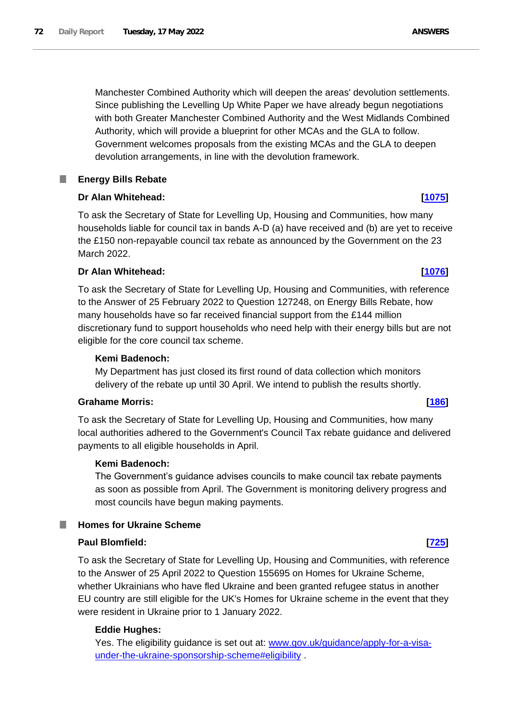Manchester Combined Authority which will deepen the areas' devolution settlements. Since publishing the Levelling Up White Paper we have already begun negotiations with both Greater Manchester Combined Authority and the West Midlands Combined Authority, which will provide a blueprint for other MCAs and the GLA to follow. Government welcomes proposals from the existing MCAs and the GLA to deepen devolution arrangements, in line with the devolution framework.

### **Energy Bills Rebate** L.

# **Dr Alan Whitehead: [\[1075\]](http://www.parliament.uk/business/publications/written-questions-answers-statements/written-question/Commons/2022-05-12/1075)**

To ask the Secretary of State for Levelling Up, Housing and Communities, how many households liable for council tax in bands A-D (a) have received and (b) are yet to receive the £150 non-repayable council tax rebate as announced by the Government on the 23 March 2022.

# **Dr Alan Whitehead: [\[1076\]](http://www.parliament.uk/business/publications/written-questions-answers-statements/written-question/Commons/2022-05-12/1076)**

To ask the Secretary of State for Levelling Up, Housing and Communities, with reference to the Answer of 25 February 2022 to Question 127248, on Energy Bills Rebate, how many households have so far received financial support from the £144 million discretionary fund to support households who need help with their energy bills but are not eligible for the core council tax scheme.

# **Kemi Badenoch:**

My Department has just closed its first round of data collection which monitors delivery of the rebate up until 30 April. We intend to publish the results shortly.

# **Grahame Morris: [\[186\]](http://www.parliament.uk/business/publications/written-questions-answers-statements/written-question/Commons/2022-05-10/186)**

To ask the Secretary of State for Levelling Up, Housing and Communities, how many local authorities adhered to the Government's Council Tax rebate guidance and delivered payments to all eligible households in April.

# **Kemi Badenoch:**

The Government's guidance advises councils to make council tax rebate payments as soon as possible from April. The Government is monitoring delivery progress and most councils have begun making payments.

# **Homes for Ukraine Scheme**

# **Paul Blomfield: [\[725\]](http://www.parliament.uk/business/publications/written-questions-answers-statements/written-question/Commons/2022-05-11/725)**

To ask the Secretary of State for Levelling Up, Housing and Communities, with reference to the Answer of 25 April 2022 to Question 155695 on Homes for Ukraine Scheme, whether Ukrainians who have fled Ukraine and been granted refugee status in another EU country are still eligible for the UK's Homes for Ukraine scheme in the event that they were resident in Ukraine prior to 1 January 2022.

# **Eddie Hughes:**

Yes. The eligibility guidance is set out at: www.gov.uk/guidance/apply-for-a-visaunder-the-ukraine-sponsorship-scheme#eligibility .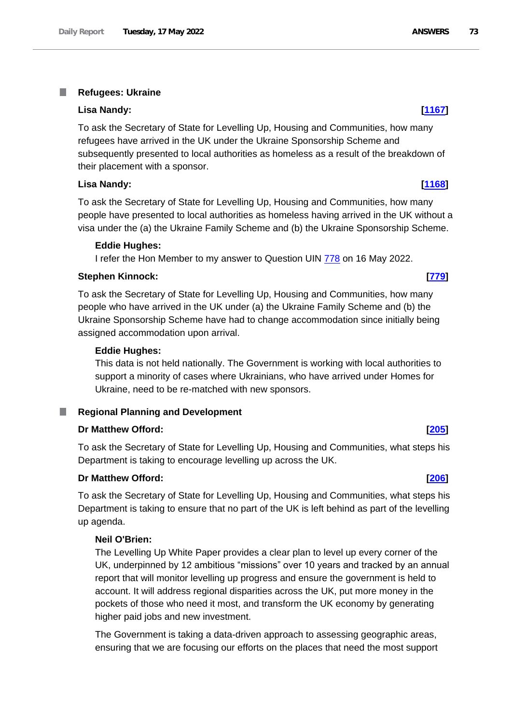#### T. **Refugees: Ukraine**

#### **Lisa Nandy: [\[1167\]](http://www.parliament.uk/business/publications/written-questions-answers-statements/written-question/Commons/2022-05-12/1167)**

To ask the Secretary of State for Levelling Up, Housing and Communities, how many refugees have arrived in the UK under the Ukraine Sponsorship Scheme and subsequently presented to local authorities as homeless as a result of the breakdown of their placement with a sponsor.

### **Lisa Nandy: [\[1168\]](http://www.parliament.uk/business/publications/written-questions-answers-statements/written-question/Commons/2022-05-12/1168)**

To ask the Secretary of State for Levelling Up, Housing and Communities, how many people have presented to local authorities as homeless having arrived in the UK without a visa under the (a) the Ukraine Family Scheme and (b) the Ukraine Sponsorship Scheme.

#### **Eddie Hughes:**

I refer the Hon Member to my answer to Question UIN 778 on 16 May 2022.

## **Stephen Kinnock: [\[779\]](http://www.parliament.uk/business/publications/written-questions-answers-statements/written-question/Commons/2022-05-11/779)**

To ask the Secretary of State for Levelling Up, Housing and Communities, how many people who have arrived in the UK under (a) the Ukraine Family Scheme and (b) the Ukraine Sponsorship Scheme have had to change accommodation since initially being assigned accommodation upon arrival.

#### **Eddie Hughes:**

This data is not held nationally. The Government is working with local authorities to support a minority of cases where Ukrainians, who have arrived under Homes for Ukraine, need to be re-matched with new sponsors.

#### ш **Regional Planning and Development**

#### **Dr Matthew Offord: [\[205\]](http://www.parliament.uk/business/publications/written-questions-answers-statements/written-question/Commons/2022-05-10/205)**

To ask the Secretary of State for Levelling Up, Housing and Communities, what steps his Department is taking to encourage levelling up across the UK.

#### **Dr Matthew Offord: [\[206\]](http://www.parliament.uk/business/publications/written-questions-answers-statements/written-question/Commons/2022-05-10/206)**

To ask the Secretary of State for Levelling Up, Housing and Communities, what steps his Department is taking to ensure that no part of the UK is left behind as part of the levelling up agenda.

#### **Neil O'Brien:**

The Levelling Up White Paper provides a clear plan to level up every corner of the UK, underpinned by 12 ambitious "missions" over 10 years and tracked by an annual report that will monitor levelling up progress and ensure the government is held to account. It will address regional disparities across the UK, put more money in the pockets of those who need it most, and transform the UK economy by generating higher paid jobs and new investment.

The Government is taking a data-driven approach to assessing geographic areas, ensuring that we are focusing our efforts on the places that need the most support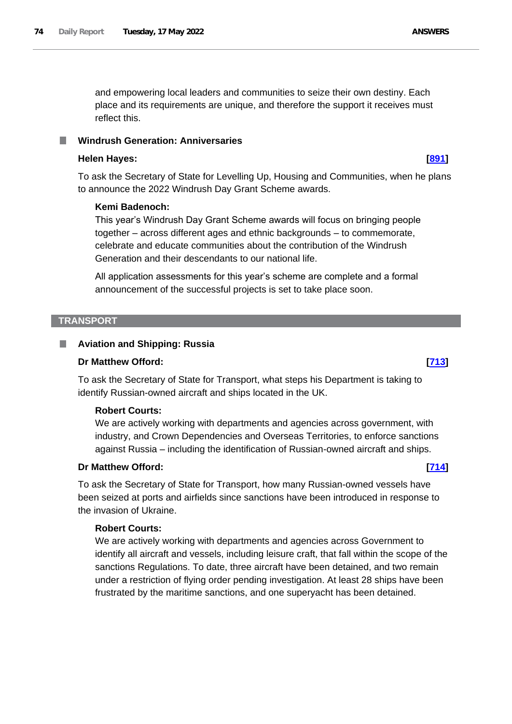and empowering local leaders and communities to seize their own destiny. Each place and its requirements are unique, and therefore the support it receives must reflect this.

#### **Windrush Generation: Anniversaries**

#### **Helen Hayes: [\[891\]](http://www.parliament.uk/business/publications/written-questions-answers-statements/written-question/Commons/2022-05-10/891)**

To ask the Secretary of State for Levelling Up, Housing and Communities, when he plans to announce the 2022 Windrush Day Grant Scheme awards.

#### **Kemi Badenoch:**

This year's Windrush Day Grant Scheme awards will focus on bringing people together – across different ages and ethnic backgrounds – to commemorate, celebrate and educate communities about the contribution of the Windrush Generation and their descendants to our national life.

All application assessments for this year's scheme are complete and a formal announcement of the successful projects is set to take place soon.

#### **TRANSPORT**

#### **Aviation and Shipping: Russia** .

### **Dr Matthew Offord: [\[713\]](http://www.parliament.uk/business/publications/written-questions-answers-statements/written-question/Commons/2022-05-11/713)**

To ask the Secretary of State for Transport, what steps his Department is taking to identify Russian-owned aircraft and ships located in the UK.

### **Robert Courts:**

We are actively working with departments and agencies across government, with industry, and Crown Dependencies and Overseas Territories, to enforce sanctions against Russia – including the identification of Russian-owned aircraft and ships.

### **Dr Matthew Offord: [\[714\]](http://www.parliament.uk/business/publications/written-questions-answers-statements/written-question/Commons/2022-05-11/714)**

To ask the Secretary of State for Transport, how many Russian-owned vessels have been seized at ports and airfields since sanctions have been introduced in response to the invasion of Ukraine.

#### **Robert Courts:**

We are actively working with departments and agencies across Government to identify all aircraft and vessels, including leisure craft, that fall within the scope of the sanctions Regulations. To date, three aircraft have been detained, and two remain under a restriction of flying order pending investigation. At least 28 ships have been frustrated by the maritime sanctions, and one superyacht has been detained.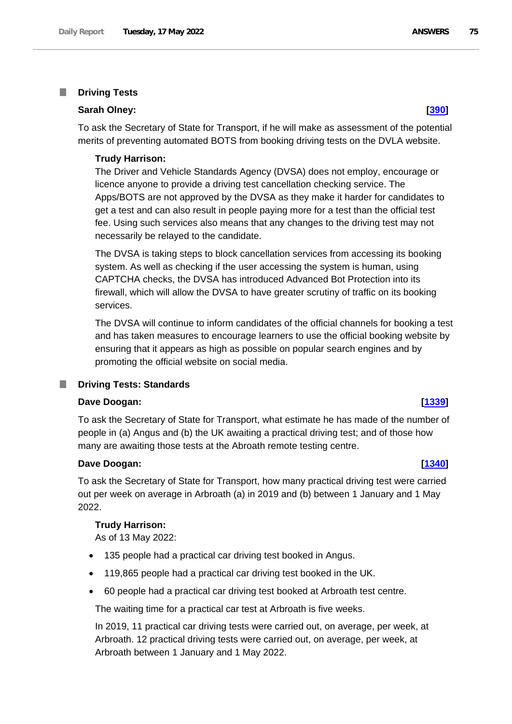#### **Driving Tests** T.

## **Sarah Olney: [\[390\]](http://www.parliament.uk/business/publications/written-questions-answers-statements/written-question/Commons/2022-05-10/390)**

To ask the Secretary of State for Transport, if he will make as assessment of the potential merits of preventing automated BOTS from booking driving tests on the DVLA website.

#### **Trudy Harrison:**

The Driver and Vehicle Standards Agency (DVSA) does not employ, encourage or licence anyone to provide a driving test cancellation checking service. The Apps/BOTS are not approved by the DVSA as they make it harder for candidates to get a test and can also result in people paying more for a test than the official test fee. Using such services also means that any changes to the driving test may not necessarily be relayed to the candidate.

The DVSA is taking steps to block cancellation services from accessing its booking system. As well as checking if the user accessing the system is human, using CAPTCHA checks, the DVSA has introduced Advanced Bot Protection into its firewall, which will allow the DVSA to have greater scrutiny of traffic on its booking services.

The DVSA will continue to inform candidates of the official channels for booking a test and has taken measures to encourage learners to use the official booking website by ensuring that it appears as high as possible on popular search engines and by promoting the official website on social media.

#### **Driving Tests: Standards** ш

### **Dave Doogan: [\[1339\]](http://www.parliament.uk/business/publications/written-questions-answers-statements/written-question/Commons/2022-05-12/1339)**

To ask the Secretary of State for Transport, what estimate he has made of the number of people in (a) Angus and (b) the UK awaiting a practical driving test; and of those how many are awaiting those tests at the Abroath remote testing centre.

#### **Dave Doogan: [\[1340\]](http://www.parliament.uk/business/publications/written-questions-answers-statements/written-question/Commons/2022-05-12/1340)**

To ask the Secretary of State for Transport, how many practical driving test were carried out per week on average in Arbroath (a) in 2019 and (b) between 1 January and 1 May 2022.

#### **Trudy Harrison:**

As of 13 May 2022:

- 135 people had a practical car driving test booked in Angus.
- 119,865 people had a practical car driving test booked in the UK.
- 60 people had a practical car driving test booked at Arbroath test centre.

The waiting time for a practical car test at Arbroath is five weeks.

In 2019, 11 practical car driving tests were carried out, on average, per week, at Arbroath. 12 practical driving tests were carried out, on average, per week, at Arbroath between 1 January and 1 May 2022.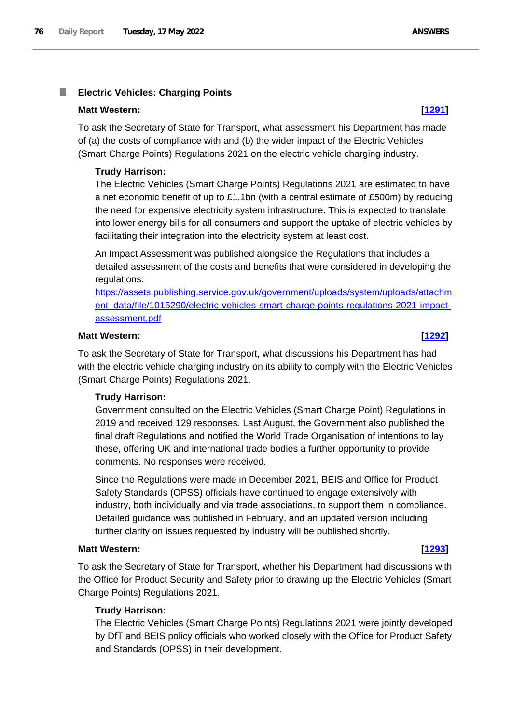#### T. **Electric Vehicles: Charging Points**

### **Matt Western: [\[1291\]](http://www.parliament.uk/business/publications/written-questions-answers-statements/written-question/Commons/2022-05-12/1291)**

To ask the Secretary of State for Transport, what assessment his Department has made of (a) the costs of compliance with and (b) the wider impact of the Electric Vehicles (Smart Charge Points) Regulations 2021 on the electric vehicle charging industry.

## **Trudy Harrison:**

The Electric Vehicles (Smart Charge Points) Regulations 2021 are estimated to have a net economic benefit of up to £1.1bn (with a central estimate of £500m) by reducing the need for expensive electricity system infrastructure. This is expected to translate into lower energy bills for all consumers and support the uptake of electric vehicles by facilitating their integration into the electricity system at least cost.

An Impact Assessment was published alongside the Regulations that includes a detailed assessment of the costs and benefits that were considered in developing the regulations:

[https://assets.publishing.service.gov.uk/government/uploads/system/uploads/attachm](https://assets.publishing.service.gov.uk/government/uploads/system/uploads/attachment_data/file/1015290/electric-vehicles-smart-charge-points-regulations-2021-impact-assessment.pdf) [ent\\_data/file/1015290/electric-vehicles-smart-charge-points-regulations-2021-impact](https://assets.publishing.service.gov.uk/government/uploads/system/uploads/attachment_data/file/1015290/electric-vehicles-smart-charge-points-regulations-2021-impact-assessment.pdf)[assessment.pdf](https://assets.publishing.service.gov.uk/government/uploads/system/uploads/attachment_data/file/1015290/electric-vehicles-smart-charge-points-regulations-2021-impact-assessment.pdf)

## **Matt Western: [\[1292\]](http://www.parliament.uk/business/publications/written-questions-answers-statements/written-question/Commons/2022-05-12/1292)**

To ask the Secretary of State for Transport, what discussions his Department has had with the electric vehicle charging industry on its ability to comply with the Electric Vehicles (Smart Charge Points) Regulations 2021.

# **Trudy Harrison:**

Government consulted on the Electric Vehicles (Smart Charge Point) Regulations in 2019 and received 129 responses. Last August, the Government also published the final draft Regulations and notified the World Trade Organisation of intentions to lay these, offering UK and international trade bodies a further opportunity to provide comments. No responses were received.

Since the Regulations were made in December 2021, BEIS and Office for Product Safety Standards (OPSS) officials have continued to engage extensively with industry, both individually and via trade associations, to support them in compliance. Detailed guidance was published in February, and an updated version including further clarity on issues requested by industry will be published shortly.

### **Matt Western: [\[1293\]](http://www.parliament.uk/business/publications/written-questions-answers-statements/written-question/Commons/2022-05-12/1293)**

To ask the Secretary of State for Transport, whether his Department had discussions with the Office for Product Security and Safety prior to drawing up the Electric Vehicles (Smart Charge Points) Regulations 2021.

# **Trudy Harrison:**

The Electric Vehicles (Smart Charge Points) Regulations 2021 were jointly developed by DfT and BEIS policy officials who worked closely with the Office for Product Safety and Standards (OPSS) in their development.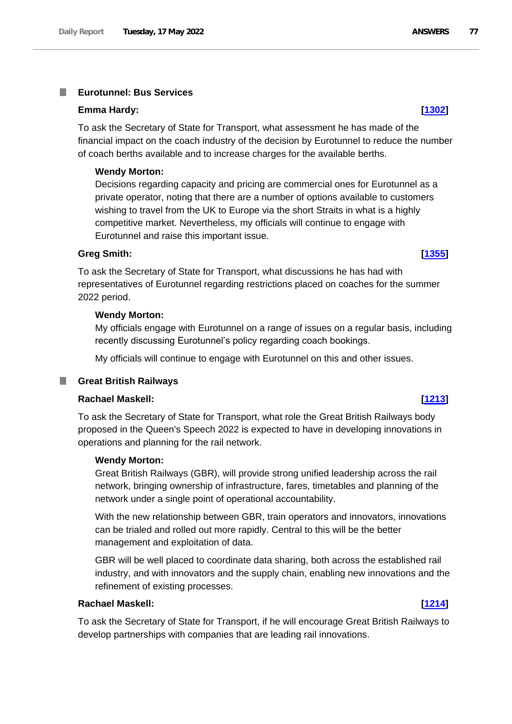#### **Eurotunnel: Bus Services** T.

#### **Emma Hardy: [\[1302\]](http://www.parliament.uk/business/publications/written-questions-answers-statements/written-question/Commons/2022-05-12/1302)**

To ask the Secretary of State for Transport, what assessment he has made of the financial impact on the coach industry of the decision by Eurotunnel to reduce the number of coach berths available and to increase charges for the available berths.

#### **Wendy Morton:**

Decisions regarding capacity and pricing are commercial ones for Eurotunnel as a private operator, noting that there are a number of options available to customers wishing to travel from the UK to Europe via the short Straits in what is a highly competitive market. Nevertheless, my officials will continue to engage with Eurotunnel and raise this important issue.

#### **Greg Smith: [\[1355\]](http://www.parliament.uk/business/publications/written-questions-answers-statements/written-question/Commons/2022-05-12/1355)**

To ask the Secretary of State for Transport, what discussions he has had with representatives of Eurotunnel regarding restrictions placed on coaches for the summer 2022 period.

#### **Wendy Morton:**

My officials engage with Eurotunnel on a range of issues on a regular basis, including recently discussing Eurotunnel's policy regarding coach bookings.

My officials will continue to engage with Eurotunnel on this and other issues.

### **Great British Railways**

## **Rachael Maskell: [\[1213\]](http://www.parliament.uk/business/publications/written-questions-answers-statements/written-question/Commons/2022-05-12/1213)**

To ask the Secretary of State for Transport, what role the Great British Railways body proposed in the Queen's Speech 2022 is expected to have in developing innovations in operations and planning for the rail network.

#### **Wendy Morton:**

Great British Railways (GBR), will provide strong unified leadership across the rail network, bringing ownership of infrastructure, fares, timetables and planning of the network under a single point of operational accountability.

With the new relationship between GBR, train operators and innovators, innovations can be trialed and rolled out more rapidly. Central to this will be the better management and exploitation of data.

GBR will be well placed to coordinate data sharing, both across the established rail industry, and with innovators and the supply chain, enabling new innovations and the refinement of existing processes.

#### **Rachael Maskell: [\[1214\]](http://www.parliament.uk/business/publications/written-questions-answers-statements/written-question/Commons/2022-05-12/1214)**

To ask the Secretary of State for Transport, if he will encourage Great British Railways to develop partnerships with companies that are leading rail innovations.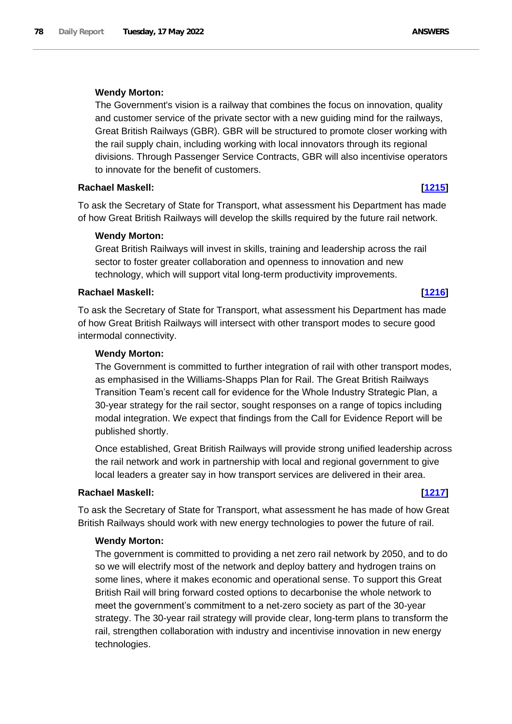#### **Wendy Morton:**

The Government's vision is a railway that combines the focus on innovation, quality and customer service of the private sector with a new guiding mind for the railways, Great British Railways (GBR). GBR will be structured to promote closer working with the rail supply chain, including working with local innovators through its regional divisions. Through Passenger Service Contracts, GBR will also incentivise operators to innovate for the benefit of customers.

#### **Rachael Maskell: [\[1215\]](http://www.parliament.uk/business/publications/written-questions-answers-statements/written-question/Commons/2022-05-12/1215)**

To ask the Secretary of State for Transport, what assessment his Department has made of how Great British Railways will develop the skills required by the future rail network.

#### **Wendy Morton:**

Great British Railways will invest in skills, training and leadership across the rail sector to foster greater collaboration and openness to innovation and new technology, which will support vital long-term productivity improvements.

#### **Rachael Maskell: [\[1216\]](http://www.parliament.uk/business/publications/written-questions-answers-statements/written-question/Commons/2022-05-12/1216)**

To ask the Secretary of State for Transport, what assessment his Department has made of how Great British Railways will intersect with other transport modes to secure good intermodal connectivity.

#### **Wendy Morton:**

The Government is committed to further integration of rail with other transport modes, as emphasised in the Williams-Shapps Plan for Rail. The Great British Railways Transition Team's recent call for evidence for the Whole Industry Strategic Plan, a 30-year strategy for the rail sector, sought responses on a range of topics including modal integration. We expect that findings from the Call for Evidence Report will be published shortly.

Once established, Great British Railways will provide strong unified leadership across the rail network and work in partnership with local and regional government to give local leaders a greater say in how transport services are delivered in their area.

#### **Rachael Maskell: [\[1217\]](http://www.parliament.uk/business/publications/written-questions-answers-statements/written-question/Commons/2022-05-12/1217)**

To ask the Secretary of State for Transport, what assessment he has made of how Great British Railways should work with new energy technologies to power the future of rail.

### **Wendy Morton:**

The government is committed to providing a net zero rail network by 2050, and to do so we will electrify most of the network and deploy battery and hydrogen trains on some lines, where it makes economic and operational sense. To support this Great British Rail will bring forward costed options to decarbonise the whole network to meet the government's commitment to a net-zero society as part of the 30-year strategy. The 30-year rail strategy will provide clear, long-term plans to transform the rail, strengthen collaboration with industry and incentivise innovation in new energy technologies.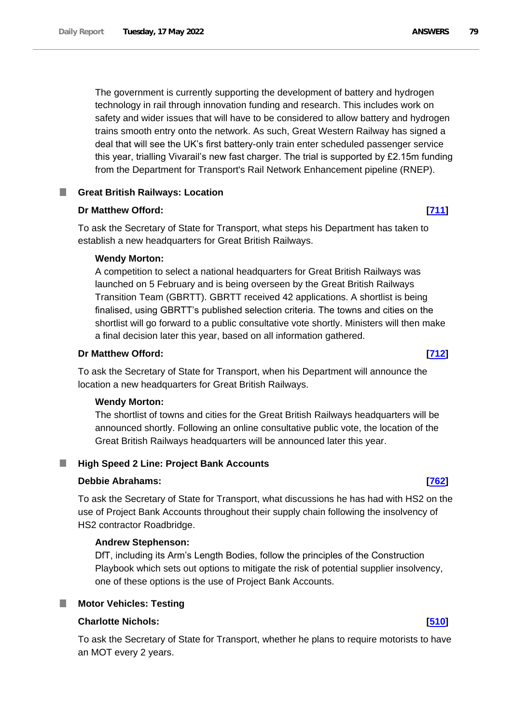The government is currently supporting the development of battery and hydrogen technology in rail through innovation funding and research. This includes work on safety and wider issues that will have to be considered to allow battery and hydrogen trains smooth entry onto the network. As such, Great Western Railway has signed a deal that will see the UK's first battery-only train enter scheduled passenger service this year, trialling Vivarail's new fast charger. The trial is supported by £2.15m funding from the Department for Transport's Rail Network Enhancement pipeline (RNEP).

## **Great British Railways: Location**

### **Dr Matthew Offord: [\[711\]](http://www.parliament.uk/business/publications/written-questions-answers-statements/written-question/Commons/2022-05-11/711)**

To ask the Secretary of State for Transport, what steps his Department has taken to establish a new headquarters for Great British Railways.

#### **Wendy Morton:**

A competition to select a national headquarters for Great British Railways was launched on 5 February and is being overseen by the Great British Railways Transition Team (GBRTT). GBRTT received 42 applications. A shortlist is being finalised, using GBRTT's published selection criteria. The towns and cities on the shortlist will go forward to a public consultative vote shortly. Ministers will then make a final decision later this year, based on all information gathered.

### **Dr Matthew Offord: [\[712\]](http://www.parliament.uk/business/publications/written-questions-answers-statements/written-question/Commons/2022-05-11/712)**

To ask the Secretary of State for Transport, when his Department will announce the location a new headquarters for Great British Railways.

#### **Wendy Morton:**

The shortlist of towns and cities for the Great British Railways headquarters will be announced shortly. Following an online consultative public vote, the location of the Great British Railways headquarters will be announced later this year.

# **High Speed 2 Line: Project Bank Accounts**

#### **Debbie Abrahams: [\[762\]](http://www.parliament.uk/business/publications/written-questions-answers-statements/written-question/Commons/2022-05-11/762)**

To ask the Secretary of State for Transport, what discussions he has had with HS2 on the use of Project Bank Accounts throughout their supply chain following the insolvency of HS2 contractor Roadbridge.

#### **Andrew Stephenson:**

DfT, including its Arm's Length Bodies, follow the principles of the Construction Playbook which sets out options to mitigate the risk of potential supplier insolvency, one of these options is the use of Project Bank Accounts.

#### **Motor Vehicles: Testing**

## **Charlotte Nichols: [\[510\]](http://www.parliament.uk/business/publications/written-questions-answers-statements/written-question/Commons/2022-05-10/510)**

To ask the Secretary of State for Transport, whether he plans to require motorists to have an MOT every 2 years.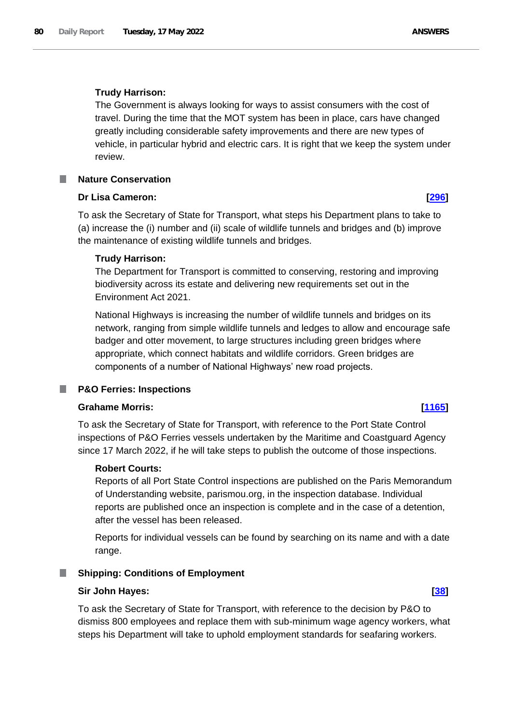The Government is always looking for ways to assist consumers with the cost of travel. During the time that the MOT system has been in place, cars have changed greatly including considerable safety improvements and there are new types of vehicle, in particular hybrid and electric cars. It is right that we keep the system under review.

## **Nature Conservation**

## **Dr Lisa Cameron: [\[296\]](http://www.parliament.uk/business/publications/written-questions-answers-statements/written-question/Commons/2022-05-10/296)**

To ask the Secretary of State for Transport, what steps his Department plans to take to (a) increase the (i) number and (ii) scale of wildlife tunnels and bridges and (b) improve the maintenance of existing wildlife tunnels and bridges.

## **Trudy Harrison:**

The Department for Transport is committed to conserving, restoring and improving biodiversity across its estate and delivering new requirements set out in the Environment Act 2021.

National Highways is increasing the number of wildlife tunnels and bridges on its network, ranging from simple wildlife tunnels and ledges to allow and encourage safe badger and otter movement, to large structures including green bridges where appropriate, which connect habitats and wildlife corridors. Green bridges are components of a number of National Highways' new road projects.

#### **P&O Ferries: Inspections** .

### **Grahame Morris: [\[1165\]](http://www.parliament.uk/business/publications/written-questions-answers-statements/written-question/Commons/2022-05-12/1165)**

To ask the Secretary of State for Transport, with reference to the Port State Control inspections of P&O Ferries vessels undertaken by the Maritime and Coastguard Agency since 17 March 2022, if he will take steps to publish the outcome of those inspections.

### **Robert Courts:**

Reports of all Port State Control inspections are published on the Paris Memorandum of Understanding website, parismou.org, in the inspection database. Individual reports are published once an inspection is complete and in the case of a detention, after the vessel has been released.

Reports for individual vessels can be found by searching on its name and with a date range.

#### **Shipping: Conditions of Employment** a an

#### **Sir John Hayes: [\[38\]](http://www.parliament.uk/business/publications/written-questions-answers-statements/written-question/Commons/2022-05-10/38)**

To ask the Secretary of State for Transport, with reference to the decision by P&O to dismiss 800 employees and replace them with sub-minimum wage agency workers, what steps his Department will take to uphold employment standards for seafaring workers.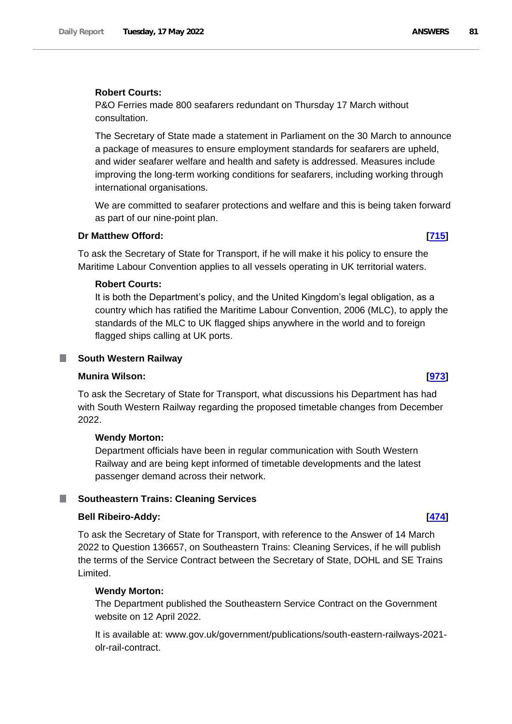### **Robert Courts:**

P&O Ferries made 800 seafarers redundant on Thursday 17 March without consultation.

The Secretary of State made a statement in Parliament on the 30 March to announce a package of measures to ensure employment standards for seafarers are upheld, and wider seafarer welfare and health and safety is addressed. Measures include improving the long-term working conditions for seafarers, including working through international organisations.

We are committed to seafarer protections and welfare and this is being taken forward as part of our nine-point plan.

### **Dr Matthew Offord: [\[715\]](http://www.parliament.uk/business/publications/written-questions-answers-statements/written-question/Commons/2022-05-11/715)**

To ask the Secretary of State for Transport, if he will make it his policy to ensure the Maritime Labour Convention applies to all vessels operating in UK territorial waters.

#### **Robert Courts:**

It is both the Department's policy, and the United Kingdom's legal obligation, as a country which has ratified the Maritime Labour Convention, 2006 (MLC), to apply the standards of the MLC to UK flagged ships anywhere in the world and to foreign flagged ships calling at UK ports.

#### **South Western Railway**

#### **Munira Wilson: [\[973\]](http://www.parliament.uk/business/publications/written-questions-answers-statements/written-question/Commons/2022-05-11/973)**

.

To ask the Secretary of State for Transport, what discussions his Department has had with South Western Railway regarding the proposed timetable changes from December 2022.

### **Wendy Morton:**

Department officials have been in regular communication with South Western Railway and are being kept informed of timetable developments and the latest passenger demand across their network.

#### **Noutheastern Trains: Cleaning Services**

### **Bell Ribeiro-Addy: [\[474\]](http://www.parliament.uk/business/publications/written-questions-answers-statements/written-question/Commons/2022-05-10/474)**

To ask the Secretary of State for Transport, with reference to the Answer of 14 March 2022 to Question 136657, on Southeastern Trains: Cleaning Services, if he will publish the terms of the Service Contract between the Secretary of State, DOHL and SE Trains Limited.

#### **Wendy Morton:**

The Department published the Southeastern Service Contract on the Government website on 12 April 2022.

It is available at: www.gov.uk/government/publications/south-eastern-railways-2021 olr-rail-contract.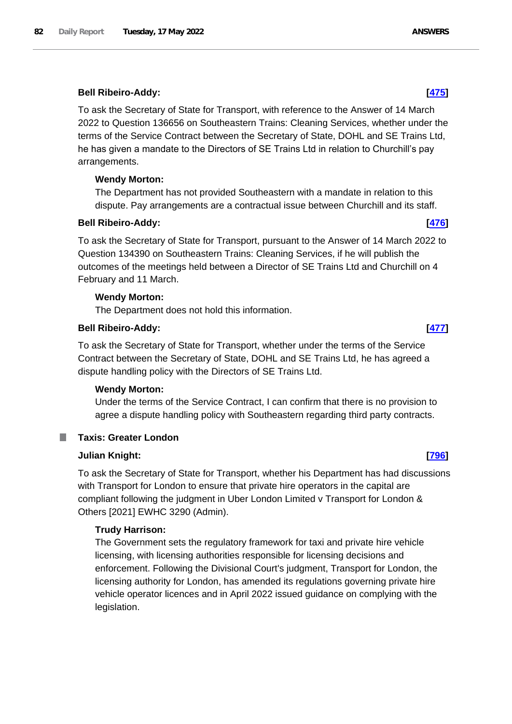To ask the Secretary of State for Transport, with reference to the Answer of 14 March 2022 to Question 136656 on Southeastern Trains: Cleaning Services, whether under the terms of the Service Contract between the Secretary of State, DOHL and SE Trains Ltd, he has given a mandate to the Directors of SE Trains Ltd in relation to Churchill's pay arrangements.

# **Wendy Morton:**

The Department has not provided Southeastern with a mandate in relation to this dispute. Pay arrangements are a contractual issue between Churchill and its staff.

## **Bell Ribeiro-Addy: [\[476\]](http://www.parliament.uk/business/publications/written-questions-answers-statements/written-question/Commons/2022-05-10/476)**

To ask the Secretary of State for Transport, pursuant to the Answer of 14 March 2022 to Question 134390 on Southeastern Trains: Cleaning Services, if he will publish the outcomes of the meetings held between a Director of SE Trains Ltd and Churchill on 4 February and 11 March.

## **Wendy Morton:**

The Department does not hold this information.

## **Bell Ribeiro-Addy: [\[477\]](http://www.parliament.uk/business/publications/written-questions-answers-statements/written-question/Commons/2022-05-10/477)**

To ask the Secretary of State for Transport, whether under the terms of the Service Contract between the Secretary of State, DOHL and SE Trains Ltd, he has agreed a dispute handling policy with the Directors of SE Trains Ltd.

### **Wendy Morton:**

Under the terms of the Service Contract, I can confirm that there is no provision to agree a dispute handling policy with Southeastern regarding third party contracts.

#### T. **Taxis: Greater London**

### **Julian Knight: [\[796\]](http://www.parliament.uk/business/publications/written-questions-answers-statements/written-question/Commons/2022-05-11/796)**

To ask the Secretary of State for Transport, whether his Department has had discussions with Transport for London to ensure that private hire operators in the capital are compliant following the judgment in Uber London Limited v Transport for London & Others [2021] EWHC 3290 (Admin).

### **Trudy Harrison:**

The Government sets the regulatory framework for taxi and private hire vehicle licensing, with licensing authorities responsible for licensing decisions and enforcement. Following the Divisional Court's judgment, Transport for London, the licensing authority for London, has amended its regulations governing private hire vehicle operator licences and in April 2022 issued guidance on complying with the legislation.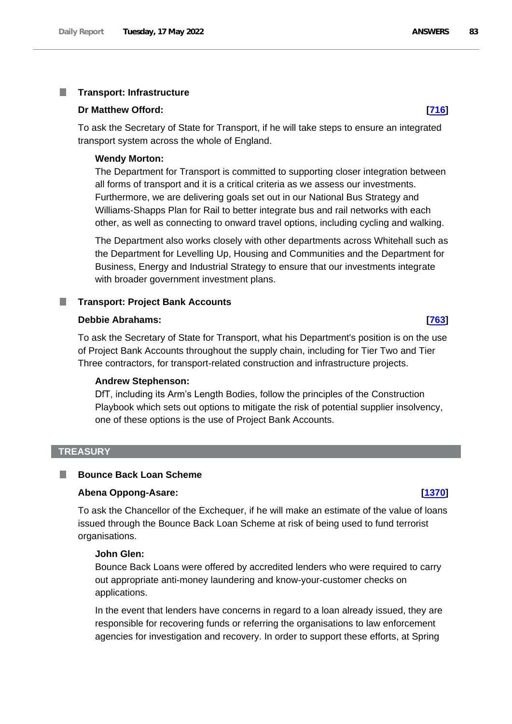#### T. **Transport: Infrastructure**

#### **Dr Matthew Offord: [\[716\]](http://www.parliament.uk/business/publications/written-questions-answers-statements/written-question/Commons/2022-05-11/716)**

To ask the Secretary of State for Transport, if he will take steps to ensure an integrated transport system across the whole of England.

#### **Wendy Morton:**

The Department for Transport is committed to supporting closer integration between all forms of transport and it is a critical criteria as we assess our investments. Furthermore, we are delivering goals set out in our National Bus Strategy and Williams-Shapps Plan for Rail to better integrate bus and rail networks with each other, as well as connecting to onward travel options, including cycling and walking.

The Department also works closely with other departments across Whitehall such as the Department for Levelling Up, Housing and Communities and the Department for Business, Energy and Industrial Strategy to ensure that our investments integrate with broader government investment plans.

#### **Transport: Project Bank Accounts**

#### **Debbie Abrahams: [\[763\]](http://www.parliament.uk/business/publications/written-questions-answers-statements/written-question/Commons/2022-05-11/763)**

To ask the Secretary of State for Transport, what his Department's position is on the use of Project Bank Accounts throughout the supply chain, including for Tier Two and Tier Three contractors, for transport-related construction and infrastructure projects.

#### **Andrew Stephenson:**

DfT, including its Arm's Length Bodies, follow the principles of the Construction Playbook which sets out options to mitigate the risk of potential supplier insolvency, one of these options is the use of Project Bank Accounts.

#### **TREASURY**

#### L. **Bounce Back Loan Scheme**

#### **Abena Oppong-Asare: [\[1370\]](http://www.parliament.uk/business/publications/written-questions-answers-statements/written-question/Commons/2022-05-12/1370)**

To ask the Chancellor of the Exchequer, if he will make an estimate of the value of loans issued through the Bounce Back Loan Scheme at risk of being used to fund terrorist organisations.

#### **John Glen:**

Bounce Back Loans were offered by accredited lenders who were required to carry out appropriate anti-money laundering and know-your-customer checks on applications.

In the event that lenders have concerns in regard to a loan already issued, they are responsible for recovering funds or referring the organisations to law enforcement agencies for investigation and recovery. In order to support these efforts, at Spring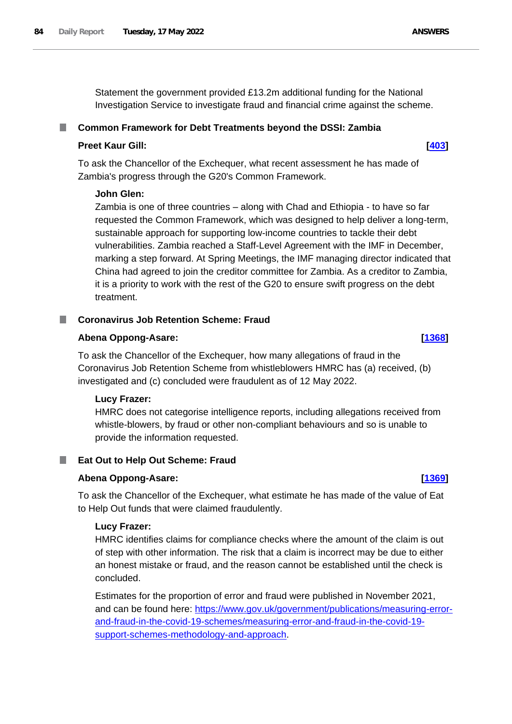Statement the government provided £13.2m additional funding for the National Investigation Service to investigate fraud and financial crime against the scheme.

## **Common Framework for Debt Treatments beyond the DSSI: Zambia**

### **Preet Kaur Gill: [\[403\]](http://www.parliament.uk/business/publications/written-questions-answers-statements/written-question/Commons/2022-05-10/403)**

To ask the Chancellor of the Exchequer, what recent assessment he has made of Zambia's progress through the G20's Common Framework.

## **John Glen:**

Zambia is one of three countries – along with Chad and Ethiopia - to have so far requested the Common Framework, which was designed to help deliver a long-term, sustainable approach for supporting low-income countries to tackle their debt vulnerabilities. Zambia reached a Staff-Level Agreement with the IMF in December, marking a step forward. At Spring Meetings, the IMF managing director indicated that China had agreed to join the creditor committee for Zambia. As a creditor to Zambia, it is a priority to work with the rest of the G20 to ensure swift progress on the debt treatment.

# **Coronavirus Job Retention Scheme: Fraud**

## **Abena Oppong-Asare: [\[1368\]](http://www.parliament.uk/business/publications/written-questions-answers-statements/written-question/Commons/2022-05-12/1368)**

To ask the Chancellor of the Exchequer, how many allegations of fraud in the Coronavirus Job Retention Scheme from whistleblowers HMRC has (a) received, (b) investigated and (c) concluded were fraudulent as of 12 May 2022.

# **Lucy Frazer:**

HMRC does not categorise intelligence reports, including allegations received from whistle-blowers, by fraud or other non-compliant behaviours and so is unable to provide the information requested.

# **Eat Out to Help Out Scheme: Fraud**

### **Abena Oppong-Asare: [\[1369\]](http://www.parliament.uk/business/publications/written-questions-answers-statements/written-question/Commons/2022-05-12/1369)**

To ask the Chancellor of the Exchequer, what estimate he has made of the value of Eat to Help Out funds that were claimed fraudulently.

### **Lucy Frazer:**

HMRC identifies claims for compliance checks where the amount of the claim is out of step with other information. The risk that a claim is incorrect may be due to either an honest mistake or fraud, and the reason cannot be established until the check is concluded.

Estimates for the proportion of error and fraud were published in November 2021, and can be found here: [https://www.gov.uk/government/publications/measuring-error](https://www.gov.uk/government/publications/measuring-error-and-fraud-in-the-covid-19-schemes/measuring-error-and-fraud-in-the-covid-19-support-schemes-methodology-and-approach)[and-fraud-in-the-covid-19-schemes/measuring-error-and-fraud-in-the-covid-19](https://www.gov.uk/government/publications/measuring-error-and-fraud-in-the-covid-19-schemes/measuring-error-and-fraud-in-the-covid-19-support-schemes-methodology-and-approach) [support-schemes-methodology-and-approach.](https://www.gov.uk/government/publications/measuring-error-and-fraud-in-the-covid-19-schemes/measuring-error-and-fraud-in-the-covid-19-support-schemes-methodology-and-approach)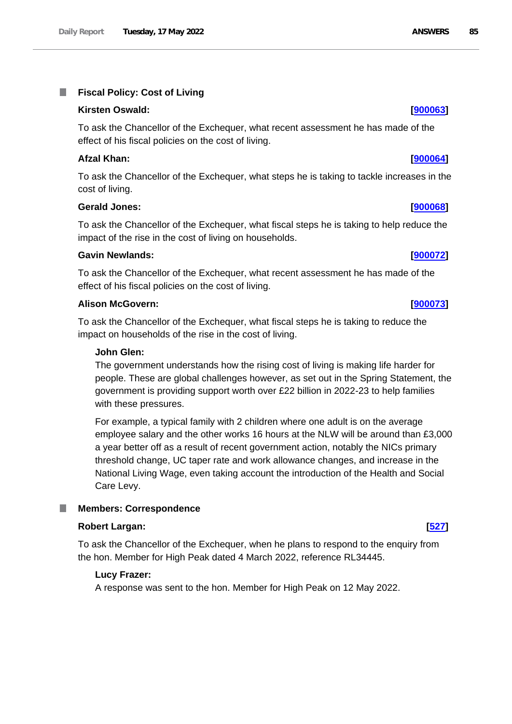#### **Fiscal Policy: Cost of Living** T.

# **Kirsten Oswald: [\[900063\]](http://www.parliament.uk/business/publications/written-questions-answers-statements/written-question/Commons/2022-05-11/900063)**

To ask the Chancellor of the Exchequer, what recent assessment he has made of the effect of his fiscal policies on the cost of living.

# **Afzal Khan: [\[900064\]](http://www.parliament.uk/business/publications/written-questions-answers-statements/written-question/Commons/2022-05-11/900064)**

To ask the Chancellor of the Exchequer, what steps he is taking to tackle increases in the cost of living.

# **Gerald Jones: [\[900068\]](http://www.parliament.uk/business/publications/written-questions-answers-statements/written-question/Commons/2022-05-11/900068)**

To ask the Chancellor of the Exchequer, what fiscal steps he is taking to help reduce the impact of the rise in the cost of living on households.

## **Gavin Newlands: [\[900072\]](http://www.parliament.uk/business/publications/written-questions-answers-statements/written-question/Commons/2022-05-11/900072)**

To ask the Chancellor of the Exchequer, what recent assessment he has made of the effect of his fiscal policies on the cost of living.

## **Alison McGovern: [\[900073\]](http://www.parliament.uk/business/publications/written-questions-answers-statements/written-question/Commons/2022-05-11/900073)**

To ask the Chancellor of the Exchequer, what fiscal steps he is taking to reduce the impact on households of the rise in the cost of living.

## **John Glen:**

The government understands how the rising cost of living is making life harder for people. These are global challenges however, as set out in the Spring Statement, the government is providing support worth over £22 billion in 2022-23 to help families with these pressures.

For example, a typical family with 2 children where one adult is on the average employee salary and the other works 16 hours at the NLW will be around than £3,000 a year better off as a result of recent government action, notably the NICs primary threshold change, UC taper rate and work allowance changes, and increase in the National Living Wage, even taking account the introduction of the Health and Social Care Levy.

# **Members: Correspondence**

### **Robert Largan: [\[527\]](http://www.parliament.uk/business/publications/written-questions-answers-statements/written-question/Commons/2022-05-10/527)**

To ask the Chancellor of the Exchequer, when he plans to respond to the enquiry from the hon. Member for High Peak dated 4 March 2022, reference RL34445.

# **Lucy Frazer:**

A response was sent to the hon. Member for High Peak on 12 May 2022.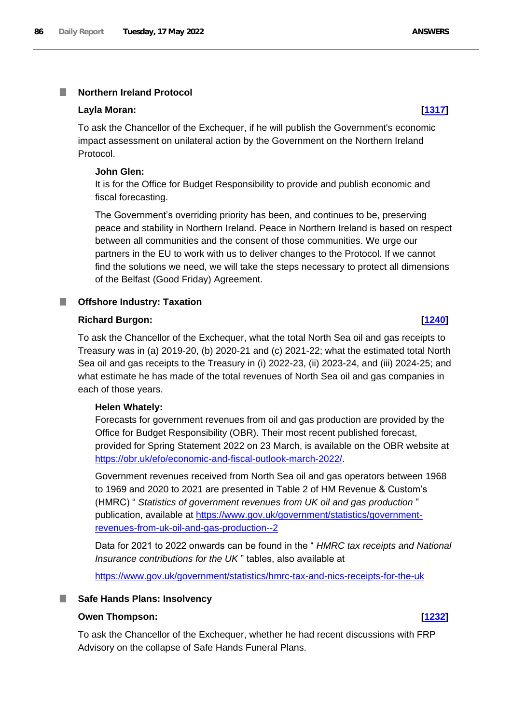#### **Layla Moran: [\[1317\]](http://www.parliament.uk/business/publications/written-questions-answers-statements/written-question/Commons/2022-05-12/1317)**

To ask the Chancellor of the Exchequer, if he will publish the Government's economic impact assessment on unilateral action by the Government on the Northern Ireland Protocol.

#### **John Glen:**

It is for the Office for Budget Responsibility to provide and publish economic and fiscal forecasting.

The Government's overriding priority has been, and continues to be, preserving peace and stability in Northern Ireland. Peace in Northern Ireland is based on respect between all communities and the consent of those communities. We urge our partners in the EU to work with us to deliver changes to the Protocol. If we cannot find the solutions we need, we will take the steps necessary to protect all dimensions of the Belfast (Good Friday) Agreement.

# **Offshore Industry: Taxation**

### **Richard Burgon: [\[1240\]](http://www.parliament.uk/business/publications/written-questions-answers-statements/written-question/Commons/2022-05-12/1240)**

To ask the Chancellor of the Exchequer, what the total North Sea oil and gas receipts to Treasury was in (a) 2019-20, (b) 2020-21 and (c) 2021-22; what the estimated total North Sea oil and gas receipts to the Treasury in (i) 2022-23, (ii) 2023-24, and (iii) 2024-25; and what estimate he has made of the total revenues of North Sea oil and gas companies in each of those years.

### **Helen Whately:**

Forecasts for government revenues from oil and gas production are provided by the Office for Budget Responsibility (OBR). Their most recent published forecast, provided for Spring Statement 2022 on 23 March, is available on the OBR website at https://obr.uk/efo/economic-and-fiscal-outlook-march-2022/.

Government revenues received from North Sea oil and gas operators between 1968 to 1969 and 2020 to 2021 are presented in Table 2 of HM Revenue & Custom's (HMRC) " *Statistics of government revenues from UK oil and gas production* " publication, available at [https://www.gov.uk/government/statistics/government](https://www.gov.uk/government/statistics/government-revenues-from-uk-oil-and-gas-production--2)[revenues-from-uk-oil-and-gas-production--2](https://www.gov.uk/government/statistics/government-revenues-from-uk-oil-and-gas-production--2)

Data for 2021 to 2022 onwards can be found in the " *HMRC tax receipts and National Insurance contributions for the UK* " tables, also available at

<https://www.gov.uk/government/statistics/hmrc-tax-and-nics-receipts-for-the-uk>

### ■ Safe Hands Plans: Insolvency

### **Owen Thompson: [\[1232\]](http://www.parliament.uk/business/publications/written-questions-answers-statements/written-question/Commons/2022-05-12/1232)**

To ask the Chancellor of the Exchequer, whether he had recent discussions with FRP Advisory on the collapse of Safe Hands Funeral Plans.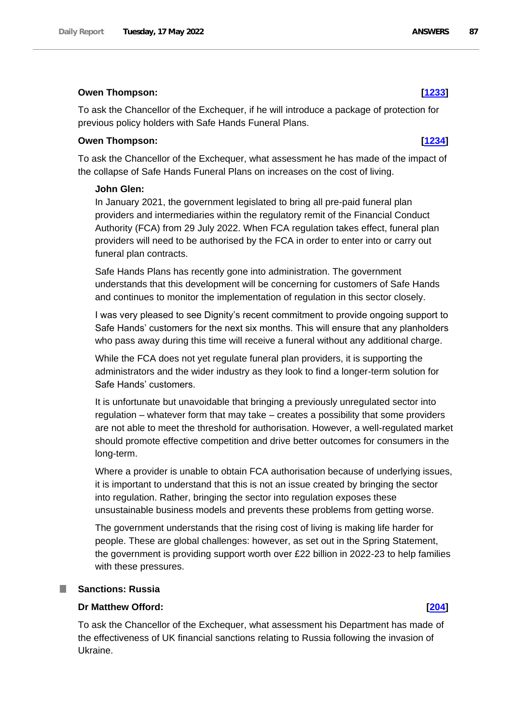#### **Owen Thompson: [\[1233\]](http://www.parliament.uk/business/publications/written-questions-answers-statements/written-question/Commons/2022-05-12/1233)**

To ask the Chancellor of the Exchequer, if he will introduce a package of protection for previous policy holders with Safe Hands Funeral Plans.

#### **Owen Thompson: [\[1234\]](http://www.parliament.uk/business/publications/written-questions-answers-statements/written-question/Commons/2022-05-12/1234)**

To ask the Chancellor of the Exchequer, what assessment he has made of the impact of the collapse of Safe Hands Funeral Plans on increases on the cost of living.

#### **John Glen:**

In January 2021, the government legislated to bring all pre-paid funeral plan providers and intermediaries within the regulatory remit of the Financial Conduct Authority (FCA) from 29 July 2022. When FCA regulation takes effect, funeral plan providers will need to be authorised by the FCA in order to enter into or carry out funeral plan contracts.

Safe Hands Plans has recently gone into administration. The government understands that this development will be concerning for customers of Safe Hands and continues to monitor the implementation of regulation in this sector closely.

I was very pleased to see Dignity's recent commitment to provide ongoing support to Safe Hands' customers for the next six months. This will ensure that any planholders who pass away during this time will receive a funeral without any additional charge.

While the FCA does not yet regulate funeral plan providers, it is supporting the administrators and the wider industry as they look to find a longer-term solution for Safe Hands' customers.

It is unfortunate but unavoidable that bringing a previously unregulated sector into regulation – whatever form that may take – creates a possibility that some providers are not able to meet the threshold for authorisation. However, a well-regulated market should promote effective competition and drive better outcomes for consumers in the long-term.

Where a provider is unable to obtain FCA authorisation because of underlying issues, it is important to understand that this is not an issue created by bringing the sector into regulation. Rather, bringing the sector into regulation exposes these unsustainable business models and prevents these problems from getting worse.

The government understands that the rising cost of living is making life harder for people. These are global challenges: however, as set out in the Spring Statement, the government is providing support worth over £22 billion in 2022-23 to help families with these pressures.

## **Sanctions: Russia**

### **Dr Matthew Offord: [\[204\]](http://www.parliament.uk/business/publications/written-questions-answers-statements/written-question/Commons/2022-05-10/204)**

To ask the Chancellor of the Exchequer, what assessment his Department has made of the effectiveness of UK financial sanctions relating to Russia following the invasion of Ukraine.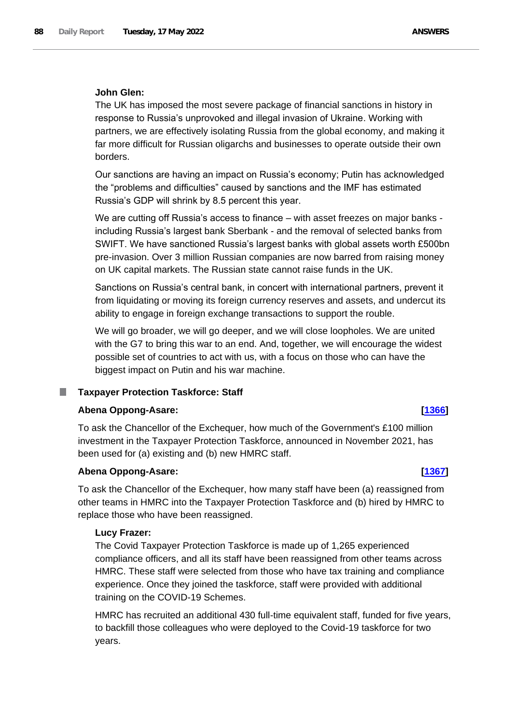## **John Glen:**

The UK has imposed the most severe package of financial sanctions in history in response to Russia's unprovoked and illegal invasion of Ukraine. Working with partners, we are effectively isolating Russia from the global economy, and making it far more difficult for Russian oligarchs and businesses to operate outside their own borders.

Our sanctions are having an impact on Russia's economy; Putin has acknowledged the "problems and difficulties" caused by sanctions and the IMF has estimated Russia's GDP will shrink by 8.5 percent this year.

We are cutting off Russia's access to finance – with asset freezes on major banks including Russia's largest bank Sberbank - and the removal of selected banks from SWIFT. We have sanctioned Russia's largest banks with global assets worth £500bn pre-invasion. Over 3 million Russian companies are now barred from raising money on UK capital markets. The Russian state cannot raise funds in the UK.

Sanctions on Russia's central bank, in concert with international partners, prevent it from liquidating or moving its foreign currency reserves and assets, and undercut its ability to engage in foreign exchange transactions to support the rouble.

We will go broader, we will go deeper, and we will close loopholes. We are united with the G7 to bring this war to an end. And, together, we will encourage the widest possible set of countries to act with us, with a focus on those who can have the biggest impact on Putin and his war machine.

#### **Taxpayer Protection Taskforce: Staff** ш

#### **Abena Oppong-Asare: [\[1366\]](http://www.parliament.uk/business/publications/written-questions-answers-statements/written-question/Commons/2022-05-12/1366)**

To ask the Chancellor of the Exchequer, how much of the Government's £100 million investment in the Taxpayer Protection Taskforce, announced in November 2021, has been used for (a) existing and (b) new HMRC staff.

#### **Abena Oppong-Asare: [\[1367\]](http://www.parliament.uk/business/publications/written-questions-answers-statements/written-question/Commons/2022-05-12/1367)**

To ask the Chancellor of the Exchequer, how many staff have been (a) reassigned from other teams in HMRC into the Taxpayer Protection Taskforce and (b) hired by HMRC to replace those who have been reassigned.

#### **Lucy Frazer:**

The Covid Taxpayer Protection Taskforce is made up of 1,265 experienced compliance officers, and all its staff have been reassigned from other teams across HMRC. These staff were selected from those who have tax training and compliance experience. Once they joined the taskforce, staff were provided with additional training on the COVID-19 Schemes.

HMRC has recruited an additional 430 full-time equivalent staff, funded for five years, to backfill those colleagues who were deployed to the Covid-19 taskforce for two years.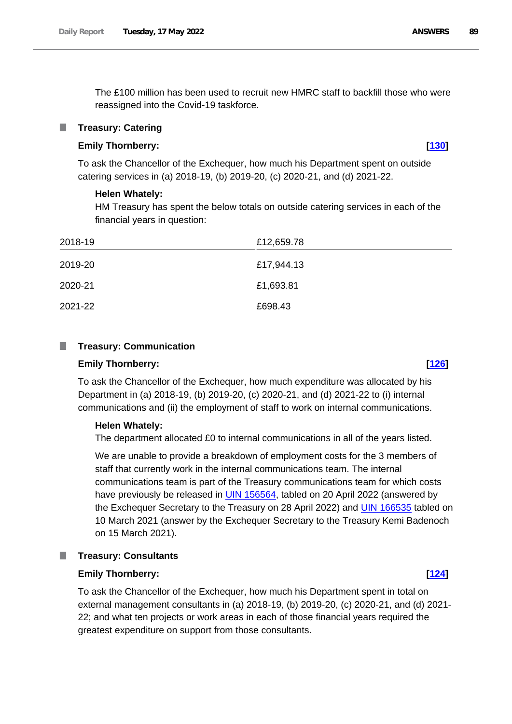The £100 million has been used to recruit new HMRC staff to backfill those who were reassigned into the Covid-19 taskforce.

#### **Treasury: Catering**

# **Emily Thornberry: [\[130\]](http://www.parliament.uk/business/publications/written-questions-answers-statements/written-question/Commons/2022-05-10/130)**

To ask the Chancellor of the Exchequer, how much his Department spent on outside catering services in (a) 2018-19, (b) 2019-20, (c) 2020-21, and (d) 2021-22.

#### **Helen Whately:**

HM Treasury has spent the below totals on outside catering services in each of the financial years in question:

| 2018-19 | £12,659.78 |
|---------|------------|
| 2019-20 | £17,944.13 |
| 2020-21 | £1,693.81  |
| 2021-22 | £698.43    |

#### **Treasury: Communication**  $\mathbb{R}^n$

### **Emily Thornberry: [\[126\]](http://www.parliament.uk/business/publications/written-questions-answers-statements/written-question/Commons/2022-05-10/126)**

To ask the Chancellor of the Exchequer, how much expenditure was allocated by his Department in (a) 2018-19, (b) 2019-20, (c) 2020-21, and (d) 2021-22 to (i) internal communications and (ii) the employment of staff to work on internal communications.

#### **Helen Whately:**

The department allocated £0 to internal communications in all of the years listed.

We are unable to provide a breakdown of employment costs for the 3 members of staff that currently work in the internal communications team. The internal communications team is part of the Treasury communications team for which costs have previously be released in [UIN 156564,](https://questions-statements.parliament.uk/written-questions/detail/2022-04-20/156564) tabled on 20 April 2022 (answered by the Exchequer Secretary to the Treasury on 28 April 2022) and [UIN 166535](https://questions-statements.parliament.uk/written-questions/detail/2021-03-10/166535) tabled on 10 March 2021 (answer by the Exchequer Secretary to the Treasury Kemi Badenoch on 15 March 2021).

#### **Treasury: Consultants** ш

#### **Emily Thornberry: [\[124\]](http://www.parliament.uk/business/publications/written-questions-answers-statements/written-question/Commons/2022-05-10/124)**

To ask the Chancellor of the Exchequer, how much his Department spent in total on external management consultants in (a) 2018-19, (b) 2019-20, (c) 2020-21, and (d) 2021- 22; and what ten projects or work areas in each of those financial years required the greatest expenditure on support from those consultants.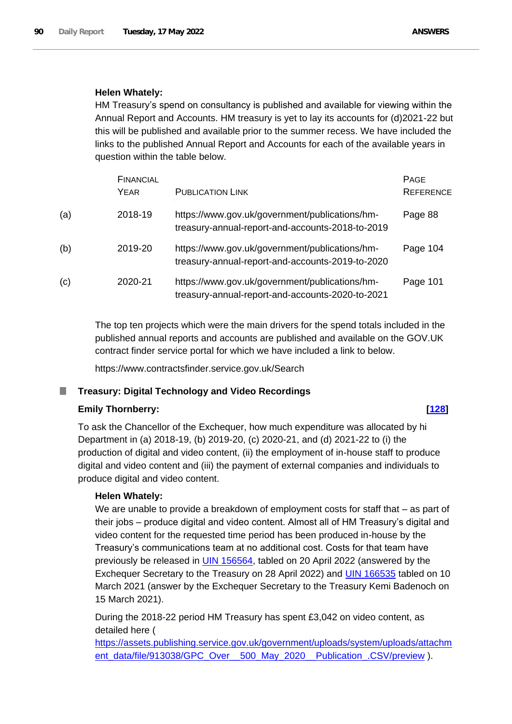# **Helen Whately:**

HM Treasury's spend on consultancy is published and available for viewing within the Annual Report and Accounts. HM treasury is yet to lay its accounts for (d)2021-22 but this will be published and available prior to the summer recess. We have included the links to the published Annual Report and Accounts for each of the available years in question within the table below.

|     | <b>FINANCIAL</b><br>YEAR | <b>PUBLICATION LINK</b>                                                                            | <b>PAGE</b><br><b>REFERENCE</b> |
|-----|--------------------------|----------------------------------------------------------------------------------------------------|---------------------------------|
| (a) | 2018-19                  | https://www.gov.uk/government/publications/hm-<br>treasury-annual-report-and-accounts-2018-to-2019 | Page 88                         |
| (b) | 2019-20                  | https://www.gov.uk/government/publications/hm-<br>treasury-annual-report-and-accounts-2019-to-2020 | Page 104                        |
| (c) | 2020-21                  | https://www.gov.uk/government/publications/hm-<br>treasury-annual-report-and-accounts-2020-to-2021 | Page 101                        |

The top ten projects which were the main drivers for the spend totals included in the published annual reports and accounts are published and available on the GOV.UK contract finder service portal for which we have included a link to below.

https://www.contractsfinder.service.gov.uk/Search

# **Treasury: Digital Technology and Video Recordings**

# **Emily Thornberry: [\[128\]](http://www.parliament.uk/business/publications/written-questions-answers-statements/written-question/Commons/2022-05-10/128)**

To ask the Chancellor of the Exchequer, how much expenditure was allocated by hi Department in (a) 2018-19, (b) 2019-20, (c) 2020-21, and (d) 2021-22 to (i) the production of digital and video content, (ii) the employment of in-house staff to produce digital and video content and (iii) the payment of external companies and individuals to produce digital and video content.

# **Helen Whately:**

We are unable to provide a breakdown of employment costs for staff that – as part of their jobs – produce digital and video content. Almost all of HM Treasury's digital and video content for the requested time period has been produced in-house by the Treasury's communications team at no additional cost. Costs for that team have previously be released in UIN 156564, tabled on 20 April 2022 (answered by the Exchequer Secretary to the Treasury on 28 April 2022) and UIN 166535 tabled on 10 March 2021 (answer by the Exchequer Secretary to the Treasury Kemi Badenoch on 15 March 2021).

During the 2018-22 period HM Treasury has spent £3,042 on video content, as detailed here (

[https://assets.publishing.service.gov.uk/government/uploads/system/uploads/attachm](https://gbr01.safelinks.protection.outlook.com/?url=https%3A%2F%2Fassets.publishing.service.gov.uk%2Fgovernment%2Fuploads%2Fsystem%2Fuploads%2Fattachment_data%2Ffile%2F913038%2FGPC_Over__500_May_2020__Publication_.CSV%2Fpreview&data=05%7C01%7CPatrick.Wilson%40hmtreasury.gov.uk%7Ccbc8cf95428a4f97583408da374a4bc4%7Ced1644c505e049e6bc39fcf7ac51c18c%7C0%7C0%7C637883089475948284%7CUnknown%7CTWFpbGZsb3d8eyJWIjoiMC4wLjAwMDAiLCJQIjoiV2luMzIiLCJBTiI6Ik1haWwiLCJXVCI6Mn0%3D%7C3000%7C%7C%7C&sdata=xwN8y5a%2BBMcOlBMGqkjWZ1GpNJUjNZ8pY8s633syRlM%3D&reserved=0) [ent\\_data/file/913038/GPC\\_Over\\_\\_500\\_May\\_2020\\_\\_Publication\\_.CSV/preview](https://gbr01.safelinks.protection.outlook.com/?url=https%3A%2F%2Fassets.publishing.service.gov.uk%2Fgovernment%2Fuploads%2Fsystem%2Fuploads%2Fattachment_data%2Ffile%2F913038%2FGPC_Over__500_May_2020__Publication_.CSV%2Fpreview&data=05%7C01%7CPatrick.Wilson%40hmtreasury.gov.uk%7Ccbc8cf95428a4f97583408da374a4bc4%7Ced1644c505e049e6bc39fcf7ac51c18c%7C0%7C0%7C637883089475948284%7CUnknown%7CTWFpbGZsb3d8eyJWIjoiMC4wLjAwMDAiLCJQIjoiV2luMzIiLCJBTiI6Ik1haWwiLCJXVCI6Mn0%3D%7C3000%7C%7C%7C&sdata=xwN8y5a%2BBMcOlBMGqkjWZ1GpNJUjNZ8pY8s633syRlM%3D&reserved=0) ).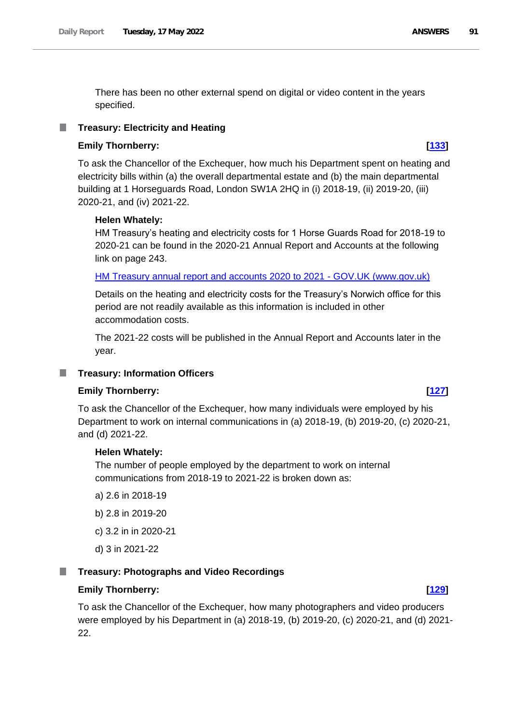There has been no other external spend on digital or video content in the years specified.

### **Treasury: Electricity and Heating**

### **Emily Thornberry: [\[133\]](http://www.parliament.uk/business/publications/written-questions-answers-statements/written-question/Commons/2022-05-10/133)**

To ask the Chancellor of the Exchequer, how much his Department spent on heating and electricity bills within (a) the overall departmental estate and (b) the main departmental building at 1 Horseguards Road, London SW1A 2HQ in (i) 2018-19, (ii) 2019-20, (iii) 2020-21, and (iv) 2021-22.

#### **Helen Whately:**

HM Treasury's heating and electricity costs for 1 Horse Guards Road for 2018-19 to 2020-21 can be found in the 2020-21 Annual Report and Accounts at the following link on page 243.

[HM Treasury annual report and accounts 2020 to 2021 -](https://www.gov.uk/government/publications/hm-treasury-annual-report-and-accounts-2020-to-2021) GOV.UK (www.gov.uk)

Details on the heating and electricity costs for the Treasury's Norwich office for this period are not readily available as this information is included in other accommodation costs.

The 2021-22 costs will be published in the Annual Report and Accounts later in the year.

#### **Treasury: Information Officers** ш

### **Emily Thornberry: [\[127\]](http://www.parliament.uk/business/publications/written-questions-answers-statements/written-question/Commons/2022-05-10/127)**

To ask the Chancellor of the Exchequer, how many individuals were employed by his Department to work on internal communications in (a) 2018-19, (b) 2019-20, (c) 2020-21, and (d) 2021-22.

#### **Helen Whately:**

The number of people employed by the department to work on internal communications from 2018-19 to 2021-22 is broken down as:

- a) 2.6 in 2018-19
- b) 2.8 in 2019-20
- c) 3.2 in in 2020-21
- d) 3 in 2021-22

#### ш **Treasury: Photographs and Video Recordings**

#### **Emily Thornberry: [\[129\]](http://www.parliament.uk/business/publications/written-questions-answers-statements/written-question/Commons/2022-05-10/129)**

To ask the Chancellor of the Exchequer, how many photographers and video producers were employed by his Department in (a) 2018-19, (b) 2019-20, (c) 2020-21, and (d) 2021- 22.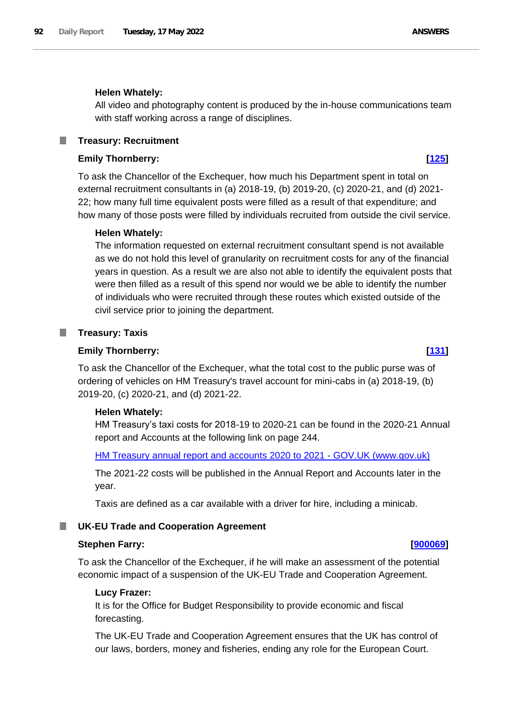#### **Helen Whately:**

All video and photography content is produced by the in-house communications team with staff working across a range of disciplines.

#### **Treasury: Recruitment** ш

## **Emily Thornberry: [\[125\]](http://www.parliament.uk/business/publications/written-questions-answers-statements/written-question/Commons/2022-05-10/125)**

To ask the Chancellor of the Exchequer, how much his Department spent in total on external recruitment consultants in (a) 2018-19, (b) 2019-20, (c) 2020-21, and (d) 2021- 22; how many full time equivalent posts were filled as a result of that expenditure; and how many of those posts were filled by individuals recruited from outside the civil service.

#### **Helen Whately:**

The information requested on external recruitment consultant spend is not available as we do not hold this level of granularity on recruitment costs for any of the financial years in question. As a result we are also not able to identify the equivalent posts that were then filled as a result of this spend nor would we be able to identify the number of individuals who were recruited through these routes which existed outside of the civil service prior to joining the department.

#### **Treasury: Taxis**

#### **Emily Thornberry: [\[131\]](http://www.parliament.uk/business/publications/written-questions-answers-statements/written-question/Commons/2022-05-10/131)**

To ask the Chancellor of the Exchequer, what the total cost to the public purse was of ordering of vehicles on HM Treasury's travel account for mini-cabs in (a) 2018-19, (b) 2019-20, (c) 2020-21, and (d) 2021-22.

#### **Helen Whately:**

HM Treasury's taxi costs for 2018-19 to 2020-21 can be found in the 2020-21 Annual report and Accounts at the following link on page 244.

[HM Treasury annual report and accounts 2020 to 2021 -](https://www.gov.uk/government/publications/hm-treasury-annual-report-and-accounts-2020-to-2021) GOV.UK (www.gov.uk)

The 2021-22 costs will be published in the Annual Report and Accounts later in the year.

Taxis are defined as a car available with a driver for hire, including a minicab.

#### **UK-EU Trade and Cooperation Agreement**

#### **Stephen Farry: [\[900069\]](http://www.parliament.uk/business/publications/written-questions-answers-statements/written-question/Commons/2022-05-11/900069)**

To ask the Chancellor of the Exchequer, if he will make an assessment of the potential economic impact of a suspension of the UK-EU Trade and Cooperation Agreement.

#### **Lucy Frazer:**

It is for the Office for Budget Responsibility to provide economic and fiscal forecasting.

The UK-EU Trade and Cooperation Agreement ensures that the UK has control of our laws, borders, money and fisheries, ending any role for the European Court.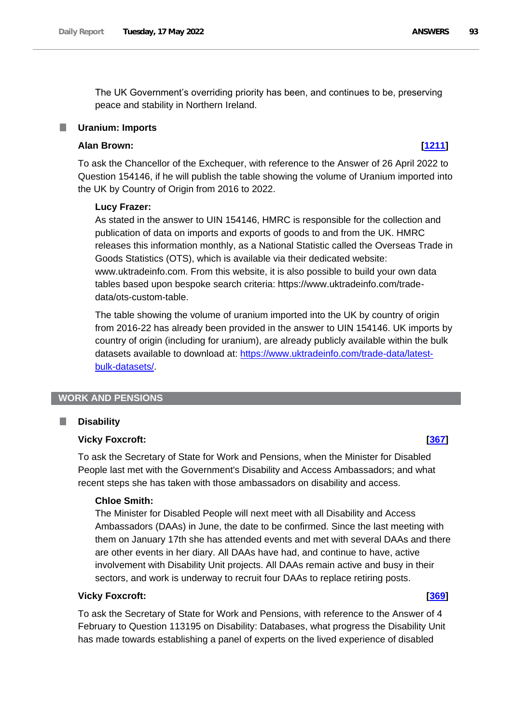The UK Government's overriding priority has been, and continues to be, preserving peace and stability in Northern Ireland.

#### **Uranium: Imports**

## **Alan Brown: [\[1211\]](http://www.parliament.uk/business/publications/written-questions-answers-statements/written-question/Commons/2022-05-12/1211)**

To ask the Chancellor of the Exchequer, with reference to the Answer of 26 April 2022 to Question 154146, if he will publish the table showing the volume of Uranium imported into the UK by Country of Origin from 2016 to 2022.

#### **Lucy Frazer:**

As stated in the answer to UIN 154146, HMRC is responsible for the collection and publication of data on imports and exports of goods to and from the UK. HMRC releases this information monthly, as a National Statistic called the Overseas Trade in Goods Statistics (OTS), which is available via their dedicated website: www.uktradeinfo.com. From this website, it is also possible to build your own data tables based upon bespoke search criteria: https://www.uktradeinfo.com/tradedata/ots-custom-table.

The table showing the volume of uranium imported into the UK by country of origin from 2016-22 has already been provided in the answer to UIN 154146. UK imports by country of origin (including for uranium), are already publicly available within the bulk datasets available to download at: [https://www.uktradeinfo.com/trade-data/latest](https://www.uktradeinfo.com/trade-data/latest-bulk-datasets/)[bulk-datasets/.](https://www.uktradeinfo.com/trade-data/latest-bulk-datasets/)

#### **WORK AND PENSIONS**

#### **Disability** ш

### **Vicky Foxcroft: [\[367\]](http://www.parliament.uk/business/publications/written-questions-answers-statements/written-question/Commons/2022-05-10/367)**

To ask the Secretary of State for Work and Pensions, when the Minister for Disabled People last met with the Government's Disability and Access Ambassadors; and what recent steps she has taken with those ambassadors on disability and access.

#### **Chloe Smith:**

The Minister for Disabled People will next meet with all Disability and Access Ambassadors (DAAs) in June, the date to be confirmed. Since the last meeting with them on January 17th she has attended events and met with several DAAs and there are other events in her diary. All DAAs have had, and continue to have, active involvement with Disability Unit projects. All DAAs remain active and busy in their sectors, and work is underway to recruit four DAAs to replace retiring posts.

#### **Vicky Foxcroft: [\[369\]](http://www.parliament.uk/business/publications/written-questions-answers-statements/written-question/Commons/2022-05-10/369)**

To ask the Secretary of State for Work and Pensions, with reference to the Answer of 4 February to Question 113195 on Disability: Databases, what progress the Disability Unit has made towards establishing a panel of experts on the lived experience of disabled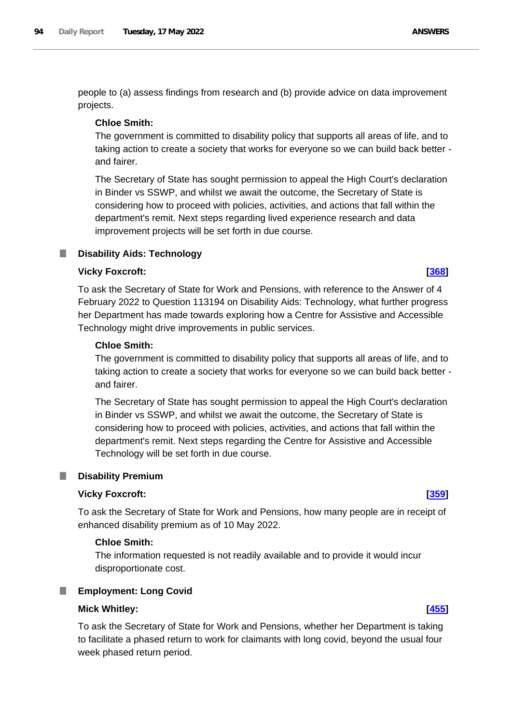people to (a) assess findings from research and (b) provide advice on data improvement projects.

#### **Chloe Smith:**

The government is committed to disability policy that supports all areas of life, and to taking action to create a society that works for everyone so we can build back better and fairer.

The Secretary of State has sought permission to appeal the High Court's declaration in Binder vs SSWP, and whilst we await the outcome, the Secretary of State is considering how to proceed with policies, activities, and actions that fall within the department's remit. Next steps regarding lived experience research and data improvement projects will be set forth in due course.

#### **Disability Aids: Technology** a a

### **Vicky Foxcroft: [\[368\]](http://www.parliament.uk/business/publications/written-questions-answers-statements/written-question/Commons/2022-05-10/368)**

To ask the Secretary of State for Work and Pensions, with reference to the Answer of 4 February 2022 to Question 113194 on Disability Aids: Technology, what further progress her Department has made towards exploring how a Centre for Assistive and Accessible Technology might drive improvements in public services.

#### **Chloe Smith:**

The government is committed to disability policy that supports all areas of life, and to taking action to create a society that works for everyone so we can build back better and fairer.

The Secretary of State has sought permission to appeal the High Court's declaration in Binder vs SSWP, and whilst we await the outcome, the Secretary of State is considering how to proceed with policies, activities, and actions that fall within the department's remit. Next steps regarding the Centre for Assistive and Accessible Technology will be set forth in due course.

#### П **Disability Premium**

#### **Vicky Foxcroft: [\[359\]](http://www.parliament.uk/business/publications/written-questions-answers-statements/written-question/Commons/2022-05-10/359)**

To ask the Secretary of State for Work and Pensions, how many people are in receipt of enhanced disability premium as of 10 May 2022.

#### **Chloe Smith:**

The information requested is not readily available and to provide it would incur disproportionate cost.

#### L. **Employment: Long Covid**

### **Mick Whitley: [\[455\]](http://www.parliament.uk/business/publications/written-questions-answers-statements/written-question/Commons/2022-05-10/455)**

To ask the Secretary of State for Work and Pensions, whether her Department is taking to facilitate a phased return to work for claimants with long covid, beyond the usual four week phased return period.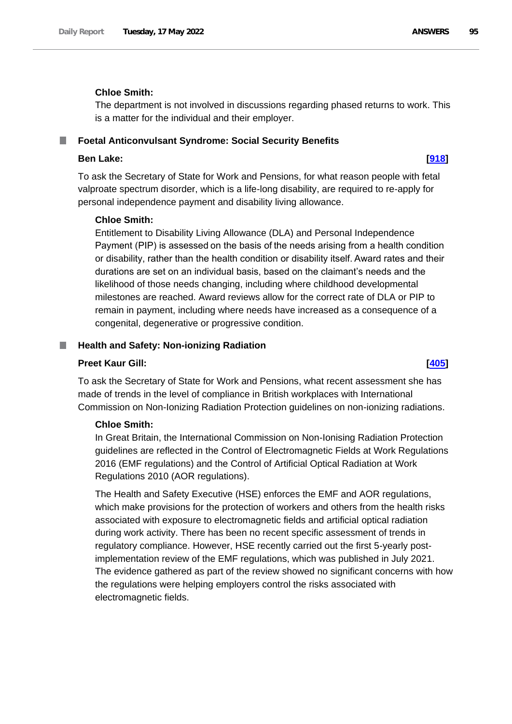## **Chloe Smith:**

The department is not involved in discussions regarding phased returns to work. This is a matter for the individual and their employer.

#### **Foetal Anticonvulsant Syndrome: Social Security Benefits** ш

#### **Ben Lake: [\[918\]](http://www.parliament.uk/business/publications/written-questions-answers-statements/written-question/Commons/2022-05-11/918)**

To ask the Secretary of State for Work and Pensions, for what reason people with fetal valproate spectrum disorder, which is a life-long disability, are required to re-apply for personal independence payment and disability living allowance.

### **Chloe Smith:**

Entitlement to Disability Living Allowance (DLA) and Personal Independence Payment (PIP) is assessed on the basis of the needs arising from a health condition or disability, rather than the health condition or disability itself. Award rates and their durations are set on an individual basis, based on the claimant's needs and the likelihood of those needs changing, including where childhood developmental milestones are reached. Award reviews allow for the correct rate of DLA or PIP to remain in payment, including where needs have increased as a consequence of a congenital, degenerative or progressive condition.

#### **Health and Safety: Non-ionizing Radiation** .

#### **Preet Kaur Gill: [\[405\]](http://www.parliament.uk/business/publications/written-questions-answers-statements/written-question/Commons/2022-05-10/405)**

To ask the Secretary of State for Work and Pensions, what recent assessment she has made of trends in the level of compliance in British workplaces with International Commission on Non-Ionizing Radiation Protection guidelines on non-ionizing radiations.

### **Chloe Smith:**

In Great Britain, the International Commission on Non-Ionising Radiation Protection guidelines are reflected in the Control of Electromagnetic Fields at Work Regulations 2016 (EMF regulations) and the Control of Artificial Optical Radiation at Work Regulations 2010 (AOR regulations).

The Health and Safety Executive (HSE) enforces the EMF and AOR regulations, which make provisions for the protection of workers and others from the health risks associated with exposure to electromagnetic fields and artificial optical radiation during work activity. There has been no recent specific assessment of trends in regulatory compliance. However, HSE recently carried out the first 5-yearly postimplementation review of the EMF regulations, which was published in July 2021. The evidence gathered as part of the review showed no significant concerns with how the regulations were helping employers control the risks associated with electromagnetic fields.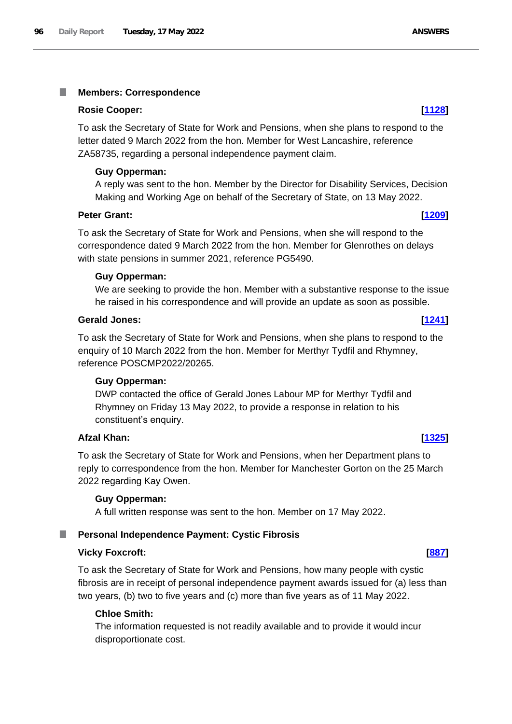#### T. **Members: Correspondence**

#### **Rosie Cooper: [\[1128\]](http://www.parliament.uk/business/publications/written-questions-answers-statements/written-question/Commons/2022-05-12/1128)**

To ask the Secretary of State for Work and Pensions, when she plans to respond to the letter dated 9 March 2022 from the hon. Member for West Lancashire, reference ZA58735, regarding a personal independence payment claim.

#### **Guy Opperman:**

A reply was sent to the hon. Member by the Director for Disability Services, Decision Making and Working Age on behalf of the Secretary of State, on 13 May 2022.

### **Peter Grant: [\[1209\]](http://www.parliament.uk/business/publications/written-questions-answers-statements/written-question/Commons/2022-05-12/1209)**

To ask the Secretary of State for Work and Pensions, when she will respond to the correspondence dated 9 March 2022 from the hon. Member for Glenrothes on delays with state pensions in summer 2021, reference PG5490.

#### **Guy Opperman:**

We are seeking to provide the hon. Member with a substantive response to the issue he raised in his correspondence and will provide an update as soon as possible.

#### **Gerald Jones: [\[1241\]](http://www.parliament.uk/business/publications/written-questions-answers-statements/written-question/Commons/2022-05-12/1241)**

To ask the Secretary of State for Work and Pensions, when she plans to respond to the enquiry of 10 March 2022 from the hon. Member for Merthyr Tydfil and Rhymney, reference POSCMP2022/20265.

#### **Guy Opperman:**

DWP contacted the office of Gerald Jones Labour MP for Merthyr Tydfil and Rhymney on Friday 13 May 2022, to provide a response in relation to his constituent's enquiry.

### **Afzal Khan: [\[1325\]](http://www.parliament.uk/business/publications/written-questions-answers-statements/written-question/Commons/2022-05-12/1325)**

To ask the Secretary of State for Work and Pensions, when her Department plans to reply to correspondence from the hon. Member for Manchester Gorton on the 25 March 2022 regarding Kay Owen.

#### **Guy Opperman:**

A full written response was sent to the hon. Member on 17 May 2022.

#### **Personal Independence Payment: Cystic Fibrosis**

#### **Vicky Foxcroft: [\[887\]](http://www.parliament.uk/business/publications/written-questions-answers-statements/written-question/Commons/2022-05-11/887)**

To ask the Secretary of State for Work and Pensions, how many people with cystic fibrosis are in receipt of personal independence payment awards issued for (a) less than two years, (b) two to five years and (c) more than five years as of 11 May 2022.

#### **Chloe Smith:**

The information requested is not readily available and to provide it would incur disproportionate cost.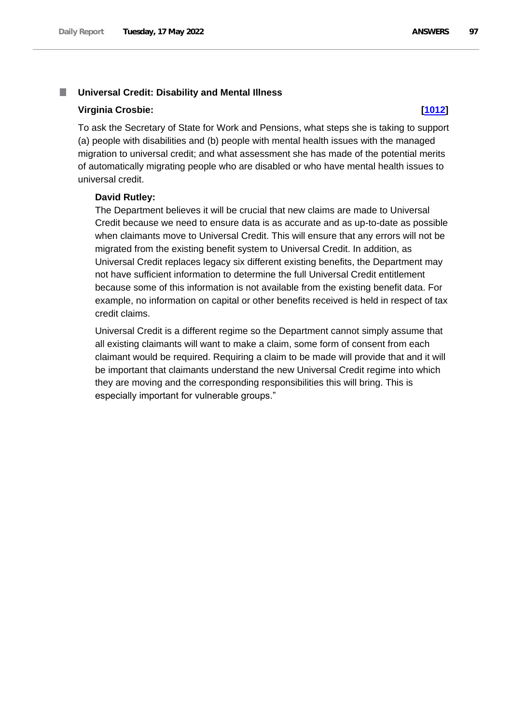#### m. **Universal Credit: Disability and Mental Illness**

#### **Virginia Crosbie: [\[1012\]](http://www.parliament.uk/business/publications/written-questions-answers-statements/written-question/Commons/2022-05-11/1012)**

To ask the Secretary of State for Work and Pensions, what steps she is taking to support (a) people with disabilities and (b) people with mental health issues with the managed migration to universal credit; and what assessment she has made of the potential merits of automatically migrating people who are disabled or who have mental health issues to universal credit.

#### **David Rutley:**

The Department believes it will be crucial that new claims are made to Universal Credit because we need to ensure data is as accurate and as up-to-date as possible when claimants move to Universal Credit. This will ensure that any errors will not be migrated from the existing benefit system to Universal Credit. In addition, as Universal Credit replaces legacy six different existing benefits, the Department may not have sufficient information to determine the full Universal Credit entitlement because some of this information is not available from the existing benefit data. For example, no information on capital or other benefits received is held in respect of tax credit claims.

Universal Credit is a different regime so the Department cannot simply assume that all existing claimants will want to make a claim, some form of consent from each claimant would be required. Requiring a claim to be made will provide that and it will be important that claimants understand the new Universal Credit regime into which they are moving and the corresponding responsibilities this will bring. This is especially important for vulnerable groups."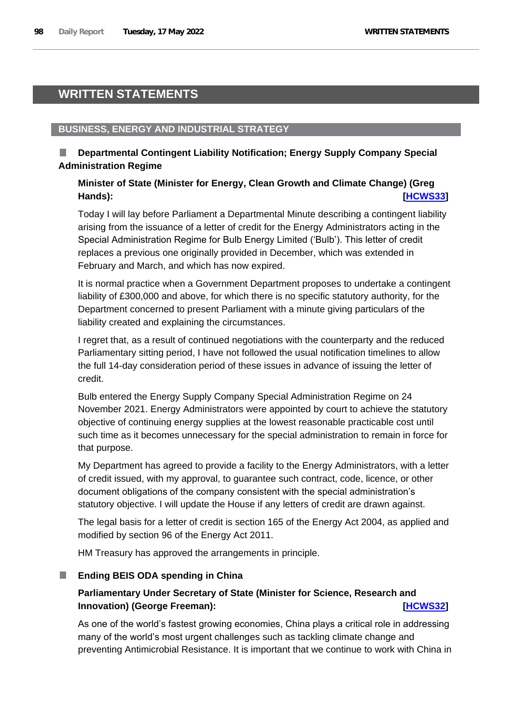# **WRITTEN STATEMENTS**

# **BUSINESS, ENERGY AND INDUSTRIAL STRATEGY**

# **Departmental Contingent Liability Notification; Energy Supply Company Special Administration Regime**

# **Minister of State (Minister for Energy, Clean Growth and Climate Change) (Greg Hands): [\[HCWS33\]](http://www.parliament.uk/business/publications/written-questions-answers-statements/written-statement/Commons/2022-05-17/HCWS33/)**

Today I will lay before Parliament a Departmental Minute describing a contingent liability arising from the issuance of a letter of credit for the Energy Administrators acting in the Special Administration Regime for Bulb Energy Limited ('Bulb'). This letter of credit replaces a previous one originally provided in December, which was extended in February and March, and which has now expired.

It is normal practice when a Government Department proposes to undertake a contingent liability of £300,000 and above, for which there is no specific statutory authority, for the Department concerned to present Parliament with a minute giving particulars of the liability created and explaining the circumstances.

I regret that, as a result of continued negotiations with the counterparty and the reduced Parliamentary sitting period, I have not followed the usual notification timelines to allow the full 14-day consideration period of these issues in advance of issuing the letter of credit.

Bulb entered the Energy Supply Company Special Administration Regime on 24 November 2021. Energy Administrators were appointed by court to achieve the statutory objective of continuing energy supplies at the lowest reasonable practicable cost until such time as it becomes unnecessary for the special administration to remain in force for that purpose.

My Department has agreed to provide a facility to the Energy Administrators, with a letter of credit issued, with my approval, to guarantee such contract, code, licence, or other document obligations of the company consistent with the special administration's statutory objective. I will update the House if any letters of credit are drawn against.

The legal basis for a letter of credit is section 165 of the Energy Act 2004, as applied and modified by section 96 of the Energy Act 2011.

HM Treasury has approved the arrangements in principle.

# **Ending BEIS ODA spending in China**

# **Parliamentary Under Secretary of State (Minister for Science, Research and Innovation) (George Freeman):** *Innovation Incws32***</u>**

As one of the world's fastest growing economies, China plays a critical role in addressing many of the world's most urgent challenges such as tackling climate change and preventing Antimicrobial Resistance. It is important that we continue to work with China in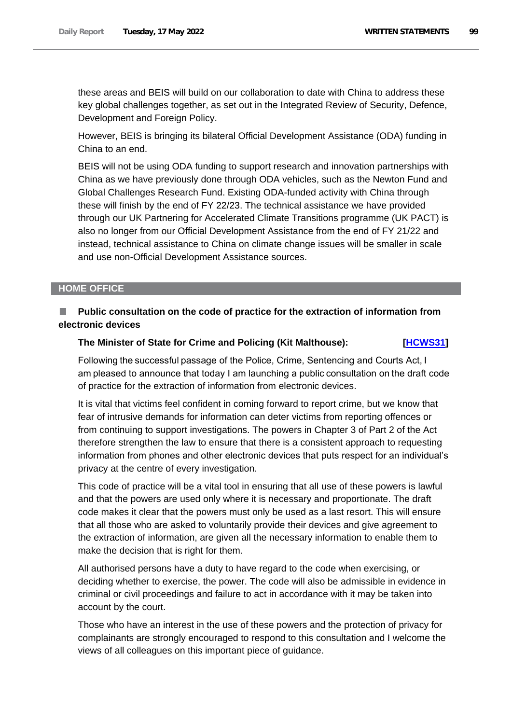these areas and BEIS will build on our collaboration to date with China to address these key global challenges together, as set out in the Integrated Review of Security, Defence, Development and Foreign Policy.

However, BEIS is bringing its bilateral Official Development Assistance (ODA) funding in China to an end.

BEIS will not be using ODA funding to support research and innovation partnerships with China as we have previously done through ODA vehicles, such as the Newton Fund and Global Challenges Research Fund. Existing ODA-funded activity with China through these will finish by the end of FY 22/23. The technical assistance we have provided through our UK Partnering for Accelerated Climate Transitions programme (UK PACT) is also no longer from our Official Development Assistance from the end of FY 21/22 and instead, technical assistance to China on climate change issues will be smaller in scale and use non-Official Development Assistance sources.

## **HOME OFFICE**

# **Public consultation on the code of practice for the extraction of information from electronic devices**

### **The Minister of State for Crime and Policing (Kit Malthouse): [\[HCWS31\]](http://www.parliament.uk/business/publications/written-questions-answers-statements/written-statement/Commons/2022-05-17/HCWS31/)**

Following the successful passage of the Police, Crime, Sentencing and Courts Act, I am pleased to announce that today I am launching a public consultation on the draft code of practice for the extraction of information from electronic devices.

It is vital that victims feel confident in coming forward to report crime, but we know that fear of intrusive demands for information can deter victims from reporting offences or from continuing to support investigations. The powers in Chapter 3 of Part 2 of the Act therefore strengthen the law to ensure that there is a consistent approach to requesting information from phones and other electronic devices that puts respect for an individual's privacy at the centre of every investigation.

This code of practice will be a vital tool in ensuring that all use of these powers is lawful and that the powers are used only where it is necessary and proportionate. The draft code makes it clear that the powers must only be used as a last resort. This will ensure that all those who are asked to voluntarily provide their devices and give agreement to the extraction of information, are given all the necessary information to enable them to make the decision that is right for them.

All authorised persons have a duty to have regard to the code when exercising, or deciding whether to exercise, the power. The code will also be admissible in evidence in criminal or civil proceedings and failure to act in accordance with it may be taken into account by the court.

Those who have an interest in the use of these powers and the protection of privacy for complainants are strongly encouraged to respond to this consultation and I welcome the views of all colleagues on this important piece of guidance.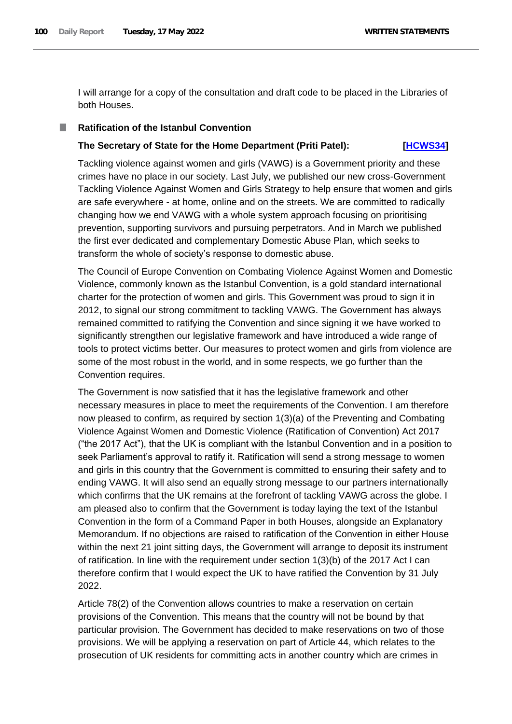I will arrange for a copy of the consultation and draft code to be placed in the Libraries of both Houses.

# **Ratification of the Istanbul Convention**

# **The Secretary of State for the Home Department (Priti Patel): [\[HCWS34\]](http://www.parliament.uk/business/publications/written-questions-answers-statements/written-statement/Commons/2022-05-17/HCWS34/)**

Tackling violence against women and girls (VAWG) is a Government priority and these crimes have no place in our society. Last July, we published our new cross-Government Tackling Violence Against Women and Girls Strategy to help ensure that women and girls are safe everywhere - at home, online and on the streets. We are committed to radically changing how we end VAWG with a whole system approach focusing on prioritising prevention, supporting survivors and pursuing perpetrators. And in March we published the first ever dedicated and complementary Domestic Abuse Plan, which seeks to transform the whole of society's response to domestic abuse.

The Council of Europe Convention on Combating Violence Against Women and Domestic Violence, commonly known as the Istanbul Convention, is a gold standard international charter for the protection of women and girls. This Government was proud to sign it in 2012, to signal our strong commitment to tackling VAWG. The Government has always remained committed to ratifying the Convention and since signing it we have worked to significantly strengthen our legislative framework and have introduced a wide range of tools to protect victims better. Our measures to protect women and girls from violence are some of the most robust in the world, and in some respects, we go further than the Convention requires.

The Government is now satisfied that it has the legislative framework and other necessary measures in place to meet the requirements of the Convention. I am therefore now pleased to confirm, as required by section 1(3)(a) of the Preventing and Combating Violence Against Women and Domestic Violence (Ratification of Convention) Act 2017 ("the 2017 Act"), that the UK is compliant with the Istanbul Convention and in a position to seek Parliament's approval to ratify it. Ratification will send a strong message to women and girls in this country that the Government is committed to ensuring their safety and to ending VAWG. It will also send an equally strong message to our partners internationally which confirms that the UK remains at the forefront of tackling VAWG across the globe. I am pleased also to confirm that the Government is today laying the text of the Istanbul Convention in the form of a Command Paper in both Houses, alongside an Explanatory Memorandum. If no objections are raised to ratification of the Convention in either House within the next 21 joint sitting days, the Government will arrange to deposit its instrument of ratification. In line with the requirement under section 1(3)(b) of the 2017 Act I can therefore confirm that I would expect the UK to have ratified the Convention by 31 July 2022.

Article 78(2) of the Convention allows countries to make a reservation on certain provisions of the Convention. This means that the country will not be bound by that particular provision. The Government has decided to make reservations on two of those provisions. We will be applying a reservation on part of Article 44, which relates to the prosecution of UK residents for committing acts in another country which are crimes in